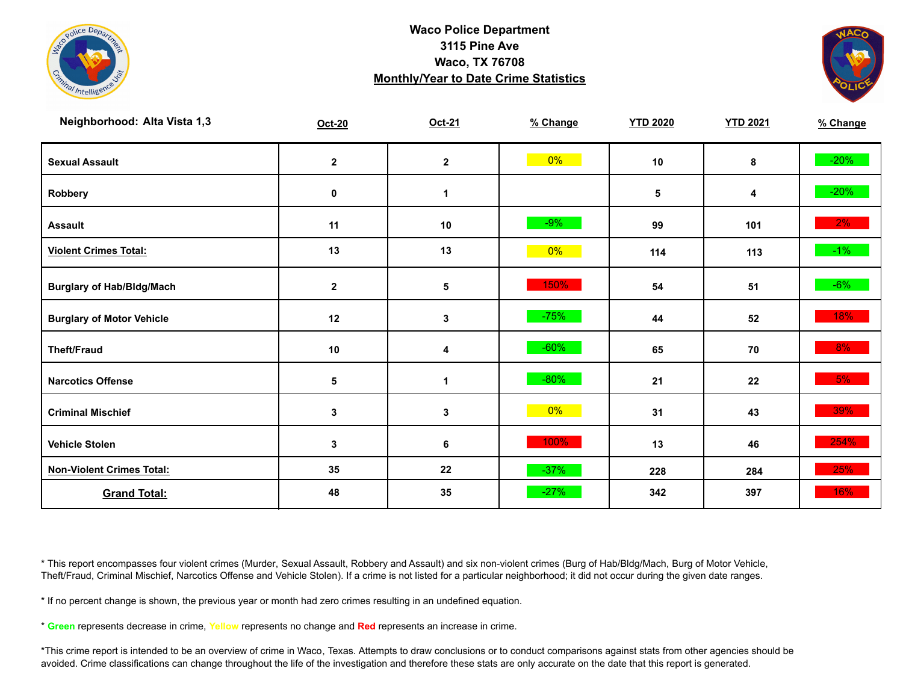



| Neighborhood: Alta Vista 1,3     | Oct-20       | Oct-21       | % Change | <b>YTD 2020</b> | <b>YTD 2021</b> | % Change |
|----------------------------------|--------------|--------------|----------|-----------------|-----------------|----------|
| <b>Sexual Assault</b>            | $\mathbf{2}$ | $\mathbf{2}$ | $0\%$    | 10              | 8               | $-20%$   |
| Robbery                          | 0            | 1            |          | 5               | 4               | $-20%$   |
| <b>Assault</b>                   | 11           | 10           | $-9%$    | 99              | 101             | 2%       |
| <b>Violent Crimes Total:</b>     | 13           | 13           | $0\%$    | 114             | 113             | $-1\%$   |
| <b>Burglary of Hab/Bldg/Mach</b> | $\mathbf 2$  | 5            | 150%     | 54              | 51              | $-6\%$   |
| <b>Burglary of Motor Vehicle</b> | 12           | 3            | $-75%$   | 44              | 52              | 18%      |
| <b>Theft/Fraud</b>               | 10           | 4            | $-60%$   | 65              | 70              | 8%       |
| <b>Narcotics Offense</b>         | 5            | 1            | $-80%$   | 21              | 22              | 5%       |
| <b>Criminal Mischief</b>         | 3            | 3            | $0\%$    | 31              | 43              | 39%      |
| <b>Vehicle Stolen</b>            | 3            | 6            | 100%     | 13              | 46              | 254%     |
| <b>Non-Violent Crimes Total:</b> | 35           | 22           | $-37%$   | 228             | 284             | 25%      |
| <b>Grand Total:</b>              | 48           | 35           | $-27%$   | 342             | 397             | 16%      |

\* This report encompasses four violent crimes (Murder, Sexual Assault, Robbery and Assault) and six non-violent crimes (Burg of Hab/Bldg/Mach, Burg of Motor Vehicle, Theft/Fraud, Criminal Mischief, Narcotics Offense and Vehicle Stolen). If a crime is not listed for a particular neighborhood; it did not occur during the given date ranges.

\* If no percent change is shown, the previous year or month had zero crimes resulting in an undefined equation.

\* **Green** represents decrease in crime, **Yellow** represents no change and **Red** represents an increase in crime.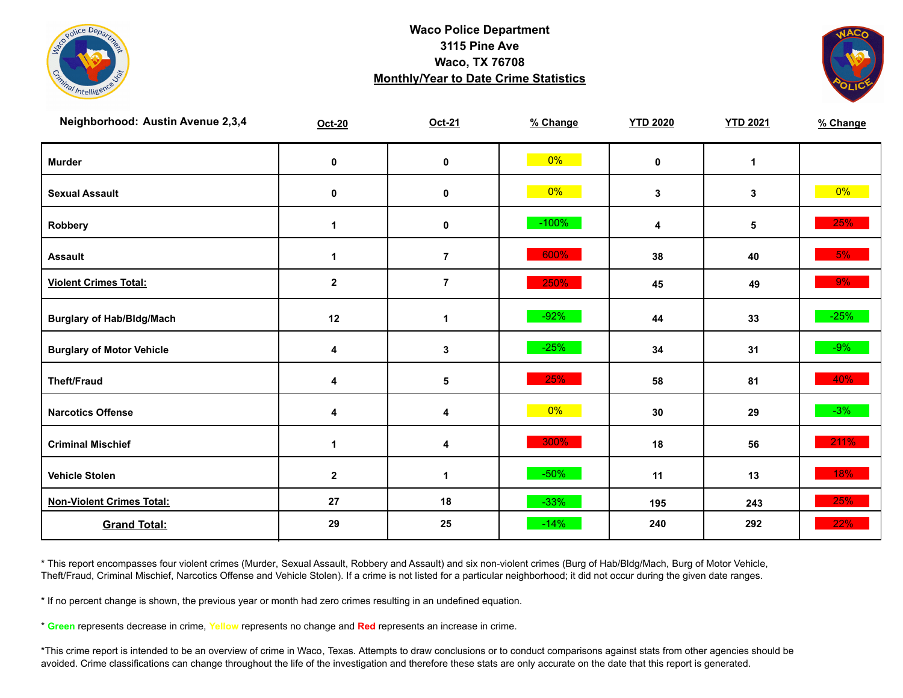



| Neighborhood: Austin Avenue 2,3,4 | <b>Oct-20</b> | Oct-21         | % Change | <b>YTD 2020</b> | <b>YTD 2021</b> | % Change |
|-----------------------------------|---------------|----------------|----------|-----------------|-----------------|----------|
| <b>Murder</b>                     | $\pmb{0}$     | $\mathbf 0$    | 0%       | $\mathbf 0$     | $\mathbf{1}$    |          |
| <b>Sexual Assault</b>             | 0             | 0              | $0\%$    | $\mathbf{3}$    | 3               | $0\%$    |
| Robbery                           | $\mathbf 1$   | 0              | $-100%$  | 4               | 5               | 25%      |
| <b>Assault</b>                    | $\mathbf{1}$  | $\overline{7}$ | 600%     | 38              | 40              | 5%       |
| <b>Violent Crimes Total:</b>      | $\mathbf{2}$  | $\overline{7}$ | 250%     | 45              | 49              | 9%       |
| <b>Burglary of Hab/Bldg/Mach</b>  | 12            | $\mathbf{1}$   | $-92%$   | 44              | 33              | $-25%$   |
| <b>Burglary of Motor Vehicle</b>  | 4             | 3              | $-25%$   | 34              | 31              | $-9%$    |
| <b>Theft/Fraud</b>                | 4             | 5              | 25%      | 58              | 81              | 40%      |
| <b>Narcotics Offense</b>          | 4             | 4              | $0\%$    | 30              | 29              | $-3%$    |
| <b>Criminal Mischief</b>          | $\mathbf 1$   | 4              | 300%     | 18              | 56              | 211%     |
| <b>Vehicle Stolen</b>             | $\mathbf 2$   | 1              | $-50%$   | 11              | 13              | 18%      |
| <b>Non-Violent Crimes Total:</b>  | 27            | 18             | $-33%$   | 195             | 243             | 25%      |
| <b>Grand Total:</b>               | 29            | 25             | $-14%$   | 240             | 292             | 22%      |

\* This report encompasses four violent crimes (Murder, Sexual Assault, Robbery and Assault) and six non-violent crimes (Burg of Hab/Bldg/Mach, Burg of Motor Vehicle, Theft/Fraud, Criminal Mischief, Narcotics Offense and Vehicle Stolen). If a crime is not listed for a particular neighborhood; it did not occur during the given date ranges.

\* If no percent change is shown, the previous year or month had zero crimes resulting in an undefined equation.

\* **Green** represents decrease in crime, **Yellow** represents no change and **Red** represents an increase in crime.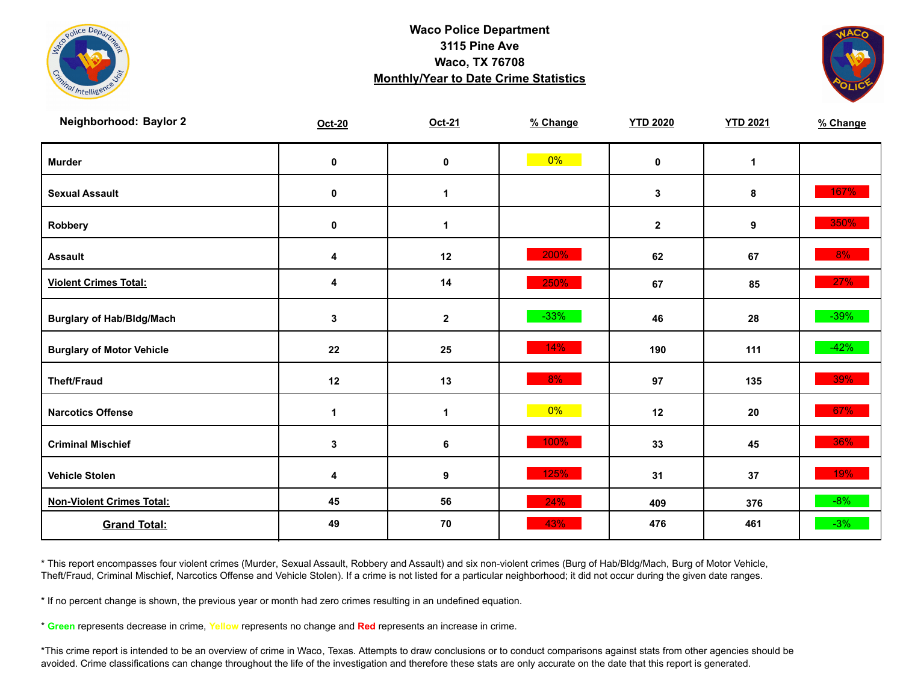



| Neighborhood: Baylor 2           | <b>Oct-20</b> | Oct-21           | % Change | <b>YTD 2020</b> | <b>YTD 2021</b> | % Change |
|----------------------------------|---------------|------------------|----------|-----------------|-----------------|----------|
| <b>Murder</b>                    | $\mathbf 0$   | $\pmb{0}$        | $0\%$    | $\mathbf 0$     | $\mathbf{1}$    |          |
| <b>Sexual Assault</b>            | 0             | $\mathbf 1$      |          | $\mathbf{3}$    | 8               | 167%     |
| Robbery                          | 0             | 1                |          | $\mathbf{2}$    | 9               | 350%     |
| <b>Assault</b>                   | 4             | 12               | 200%     | 62              | 67              | $8\%$    |
| <b>Violent Crimes Total:</b>     | 4             | 14               | 250%     | 67              | 85              | 27%      |
| <b>Burglary of Hab/Bldg/Mach</b> | 3             | $\mathbf{2}$     | $-33%$   | 46              | 28              | $-39\%$  |
| <b>Burglary of Motor Vehicle</b> | 22            | 25               | 14%      | 190             | 111             | $-42%$   |
| <b>Theft/Fraud</b>               | 12            | 13               | 8%       | 97              | 135             | 39%      |
| <b>Narcotics Offense</b>         | 1             | 1                | $0\%$    | 12              | 20              | 67%      |
| <b>Criminal Mischief</b>         | $\mathbf{3}$  | $\bf 6$          | 100%     | 33              | 45              | 36%      |
| <b>Vehicle Stolen</b>            | 4             | $\boldsymbol{9}$ | 125%     | 31              | 37              | 19%      |
| <b>Non-Violent Crimes Total:</b> | 45            | 56               | 24%      | 409             | 376             | $-8%$    |
| <b>Grand Total:</b>              | 49            | 70               | 43%      | 476             | 461             | $-3%$    |

\* This report encompasses four violent crimes (Murder, Sexual Assault, Robbery and Assault) and six non-violent crimes (Burg of Hab/Bldg/Mach, Burg of Motor Vehicle, Theft/Fraud, Criminal Mischief, Narcotics Offense and Vehicle Stolen). If a crime is not listed for a particular neighborhood; it did not occur during the given date ranges.

\* If no percent change is shown, the previous year or month had zero crimes resulting in an undefined equation.

\* **Green** represents decrease in crime, **Yellow** represents no change and **Red** represents an increase in crime.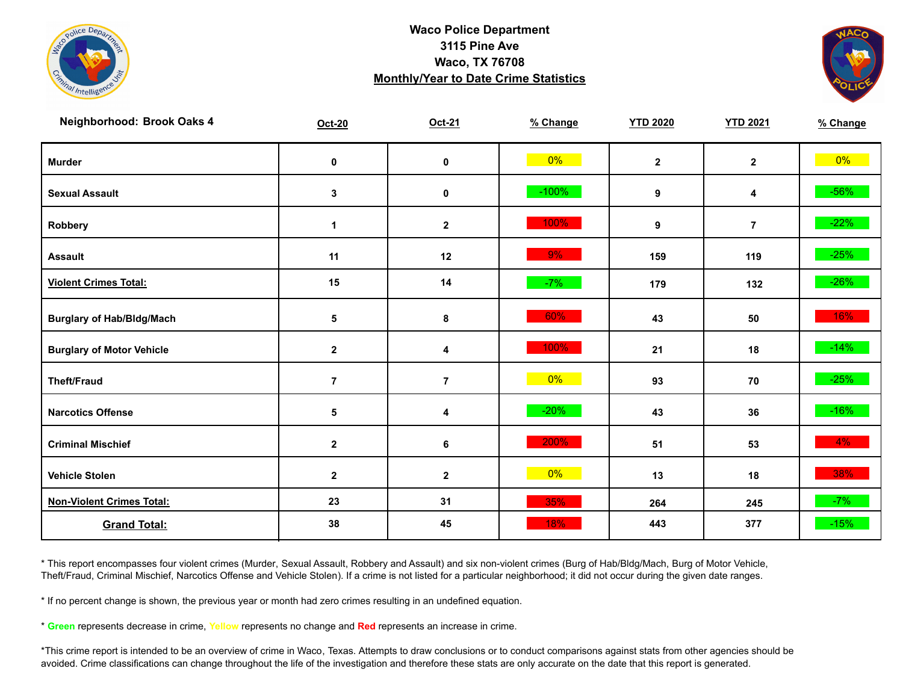



| Neighborhood: Brook Oaks 4       | Oct-20         | Oct-21         | % Change | <b>YTD 2020</b> | <b>YTD 2021</b> | % Change |
|----------------------------------|----------------|----------------|----------|-----------------|-----------------|----------|
| <b>Murder</b>                    | $\pmb{0}$      | $\mathbf 0$    | $0\%$    | $\mathbf{2}$    | $\mathbf{2}$    | $0\%$    |
| <b>Sexual Assault</b>            | 3              | 0              | $-100%$  | 9               | 4               | $-56%$   |
| Robbery                          | $\mathbf 1$    | $\mathbf{2}$   | 100%     | 9               | $\overline{7}$  | $-22%$   |
| <b>Assault</b>                   | 11             | 12             | $9\%$    | 159             | 119             | $-25%$   |
| <b>Violent Crimes Total:</b>     | 15             | 14             | $-7%$    | 179             | 132             | $-26%$   |
| <b>Burglary of Hab/Bldg/Mach</b> | 5              | 8              | 60%      | 43              | 50              | 16%      |
| <b>Burglary of Motor Vehicle</b> | $\mathbf 2$    | 4              | 100%     | 21              | 18              | $-14%$   |
| <b>Theft/Fraud</b>               | $\overline{7}$ | $\overline{7}$ | $0\%$    | 93              | 70              | $-25%$   |
| <b>Narcotics Offense</b>         | 5              | 4              | $-20%$   | 43              | 36              | $-16%$   |
| <b>Criminal Mischief</b>         | $\mathbf 2$    | 6              | 200%     | 51              | 53              | $4\%$    |
| <b>Vehicle Stolen</b>            | $\mathbf 2$    | $\mathbf{2}$   | $0\%$    | 13              | 18              | 38%      |
| <b>Non-Violent Crimes Total:</b> | 23             | 31             | 35%      | 264             | 245             | $-7%$    |
| <b>Grand Total:</b>              | 38             | 45             | 18%      | 443             | 377             | $-15%$   |

\* This report encompasses four violent crimes (Murder, Sexual Assault, Robbery and Assault) and six non-violent crimes (Burg of Hab/Bldg/Mach, Burg of Motor Vehicle, Theft/Fraud, Criminal Mischief, Narcotics Offense and Vehicle Stolen). If a crime is not listed for a particular neighborhood; it did not occur during the given date ranges.

\* If no percent change is shown, the previous year or month had zero crimes resulting in an undefined equation.

\* **Green** represents decrease in crime, **Yellow** represents no change and **Red** represents an increase in crime.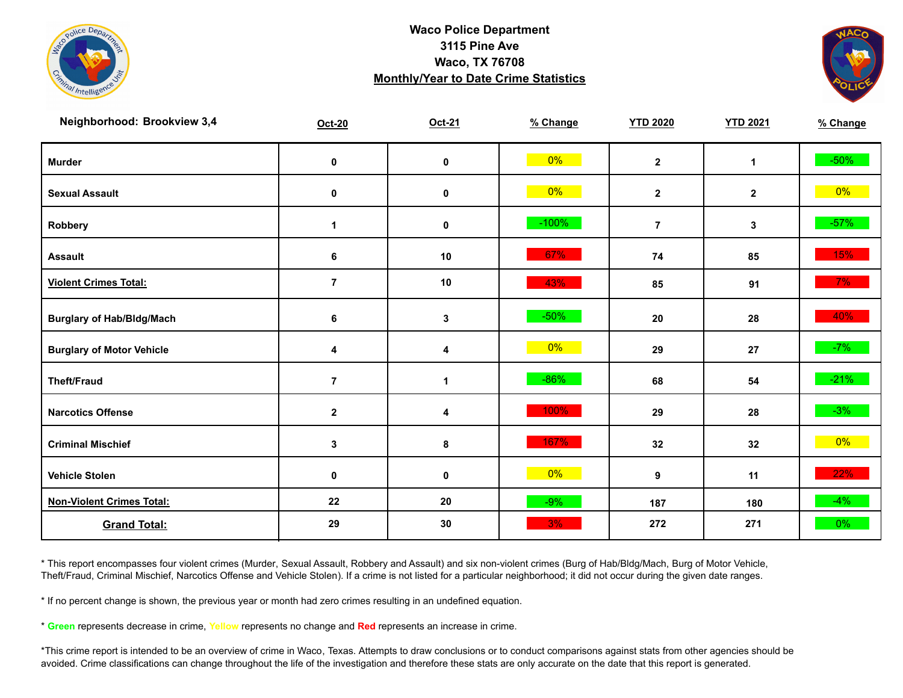



| Neighborhood: Brookview 3,4      | Oct-20         | Oct-21       | % Change | <b>YTD 2020</b> | <b>YTD 2021</b> | % Change |
|----------------------------------|----------------|--------------|----------|-----------------|-----------------|----------|
| <b>Murder</b>                    | $\mathbf 0$    | $\pmb{0}$    | $0\%$    | $\mathbf{2}$    | $\mathbf{1}$    | $-50\%$  |
| <b>Sexual Assault</b>            | 0              | 0            | $0\%$    | $\mathbf{2}$    | $\mathbf{2}$    | $0\%$    |
| Robbery                          | 1              | 0            | $-100%$  | $\overline{7}$  | 3               | $-57%$   |
| <b>Assault</b>                   | 6              | 10           | 67%      | 74              | 85              | 15%      |
| <b>Violent Crimes Total:</b>     | $\overline{7}$ | 10           | 43%      | 85              | 91              | $7\%$    |
| <b>Burglary of Hab/Bldg/Mach</b> | 6              | $\mathbf 3$  | $-50%$   | 20              | 28              | 40%      |
| <b>Burglary of Motor Vehicle</b> | 4              | 4            | $0\%$    | 29              | 27              | $-7%$    |
| <b>Theft/Fraud</b>               | $\overline{7}$ | $\mathbf{1}$ | $-86%$   | 68              | 54              | $-21%$   |
| <b>Narcotics Offense</b>         | $\mathbf{2}$   | 4            | 100%     | 29              | 28              | $-3%$    |
| <b>Criminal Mischief</b>         | $\mathbf{3}$   | 8            | 167%     | 32              | 32              | $0\%$    |
| <b>Vehicle Stolen</b>            | 0              | 0            | $0\%$    | 9               | 11              | 22%      |
| <b>Non-Violent Crimes Total:</b> | 22             | 20           | $-9%$    | 187             | 180             | $-4%$    |
| <b>Grand Total:</b>              | 29             | 30           | 3%       | 272             | 271             | $0\%$    |

\* This report encompasses four violent crimes (Murder, Sexual Assault, Robbery and Assault) and six non-violent crimes (Burg of Hab/Bldg/Mach, Burg of Motor Vehicle, Theft/Fraud, Criminal Mischief, Narcotics Offense and Vehicle Stolen). If a crime is not listed for a particular neighborhood; it did not occur during the given date ranges.

\* If no percent change is shown, the previous year or month had zero crimes resulting in an undefined equation.

\* **Green** represents decrease in crime, **Yellow** represents no change and **Red** represents an increase in crime.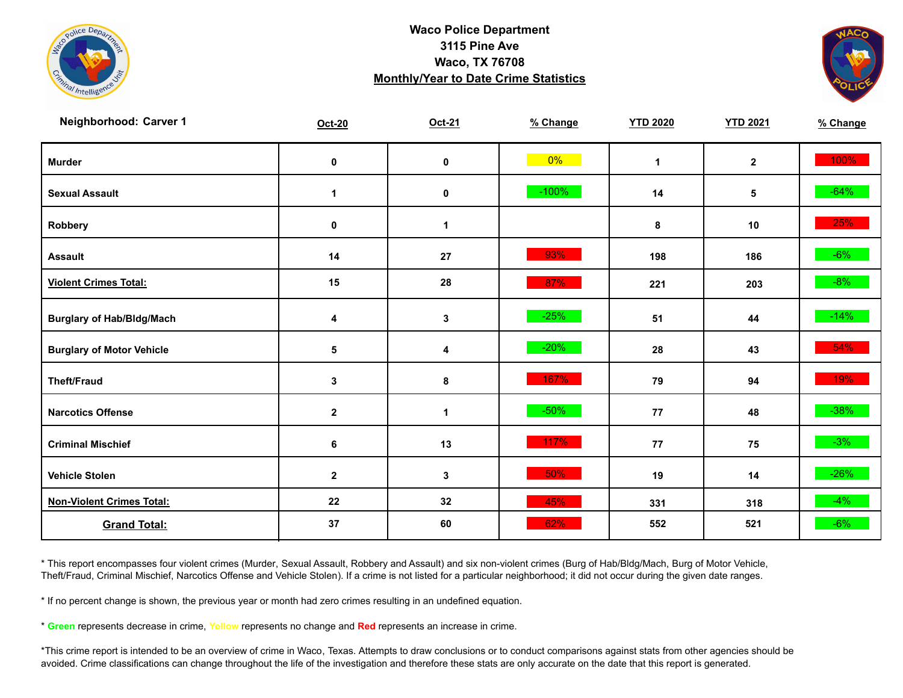



| Neighborhood: Carver 1           | Oct-20           | Oct-21      | % Change | <b>YTD 2020</b> | <b>YTD 2021</b> | % Change |
|----------------------------------|------------------|-------------|----------|-----------------|-----------------|----------|
| <b>Murder</b>                    | $\pmb{0}$        | $\mathbf 0$ | $0\%$    | $\mathbf{1}$    | $\mathbf{2}$    | 100%     |
| <b>Sexual Assault</b>            | 1                | 0           | $-100%$  | 14              | 5               | $-64%$   |
| Robbery                          | 0                | 1           |          | 8               | 10              | 25%      |
| <b>Assault</b>                   | 14               | ${\bf 27}$  | 93%      | 198             | 186             | $-6%$    |
| <b>Violent Crimes Total:</b>     | 15               | 28          | 87%      | 221             | 203             | $-8%$    |
| <b>Burglary of Hab/Bldg/Mach</b> | 4                | $\mathbf 3$ | $-25%$   | 51              | 44              | $-14%$   |
| <b>Burglary of Motor Vehicle</b> | 5                | 4           | $-20%$   | 28              | 43              | 54%      |
| <b>Theft/Fraud</b>               | 3                | 8           | 167%     | 79              | 94              | 19%      |
| <b>Narcotics Offense</b>         | $\mathbf 2$      | 1           | $-50%$   | 77              | 48              | $-38%$   |
| <b>Criminal Mischief</b>         | 6                | 13          | 117%     | 77              | 75              | $-3%$    |
| <b>Vehicle Stolen</b>            | $\boldsymbol{2}$ | 3           | 50%      | 19              | 14              | $-26%$   |
| <b>Non-Violent Crimes Total:</b> | 22               | 32          | 45%      | 331             | 318             | $-4%$    |
| <b>Grand Total:</b>              | 37               | 60          | 62%      | 552             | 521             | $-6%$    |

\* This report encompasses four violent crimes (Murder, Sexual Assault, Robbery and Assault) and six non-violent crimes (Burg of Hab/Bldg/Mach, Burg of Motor Vehicle, Theft/Fraud, Criminal Mischief, Narcotics Offense and Vehicle Stolen). If a crime is not listed for a particular neighborhood; it did not occur during the given date ranges.

\* If no percent change is shown, the previous year or month had zero crimes resulting in an undefined equation.

\* **Green** represents decrease in crime, **Yellow** represents no change and **Red** represents an increase in crime.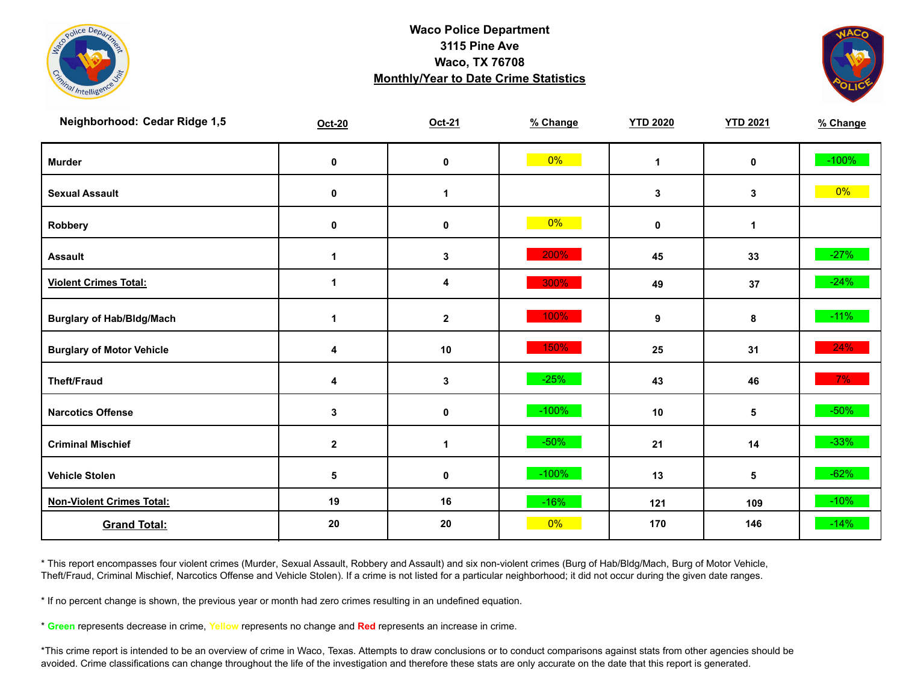



| Neighborhood: Cedar Ridge 1,5    | <b>Oct-20</b>        | Oct-21               | % Change | <b>YTD 2020</b> | <b>YTD 2021</b> | % Change |
|----------------------------------|----------------------|----------------------|----------|-----------------|-----------------|----------|
| <b>Murder</b>                    | $\mathbf 0$          | $\pmb{0}$            | $0\%$    | $\mathbf{1}$    | $\mathbf 0$     | $-100%$  |
| <b>Sexual Assault</b>            | 0                    | $\blacktriangleleft$ |          | $\mathbf 3$     | 3               | $0\%$    |
| Robbery                          | 0                    | 0                    | 0%       | 0               | $\mathbf{1}$    |          |
| <b>Assault</b>                   | $\blacktriangleleft$ | 3                    | 200%     | 45              | 33              | $-27%$   |
| <b>Violent Crimes Total:</b>     | 1                    | 4                    | 300%     | 49              | 37              | $-24%$   |
| <b>Burglary of Hab/Bldg/Mach</b> | 1                    | $\mathbf{2}$         | 100%     | 9               | 8               | $-11%$   |
| <b>Burglary of Motor Vehicle</b> | 4                    | 10                   | 150%     | 25              | 31              | 24%      |
| <b>Theft/Fraud</b>               | 4                    | $\mathbf{3}$         | $-25%$   | 43              | 46              | $7\%$    |
| <b>Narcotics Offense</b>         | $\mathbf 3$          | $\pmb{0}$            | $-100%$  | 10              | 5               | $-50\%$  |
| <b>Criminal Mischief</b>         | $\mathbf{2}$         | $\mathbf{1}$         | $-50%$   | 21              | 14              | $-33%$   |
| <b>Vehicle Stolen</b>            | $\sqrt{5}$           | $\pmb{0}$            | $-100%$  | 13              | 5               | $-62%$   |
| <b>Non-Violent Crimes Total:</b> | 19                   | 16                   | $-16%$   | 121             | 109             | $-10%$   |
| <b>Grand Total:</b>              | 20                   | 20                   | 0%       | 170             | 146             | $-14%$   |

\* This report encompasses four violent crimes (Murder, Sexual Assault, Robbery and Assault) and six non-violent crimes (Burg of Hab/Bldg/Mach, Burg of Motor Vehicle, Theft/Fraud, Criminal Mischief, Narcotics Offense and Vehicle Stolen). If a crime is not listed for a particular neighborhood; it did not occur during the given date ranges.

\* If no percent change is shown, the previous year or month had zero crimes resulting in an undefined equation.

\* **Green** represents decrease in crime, **Yellow** represents no change and **Red** represents an increase in crime.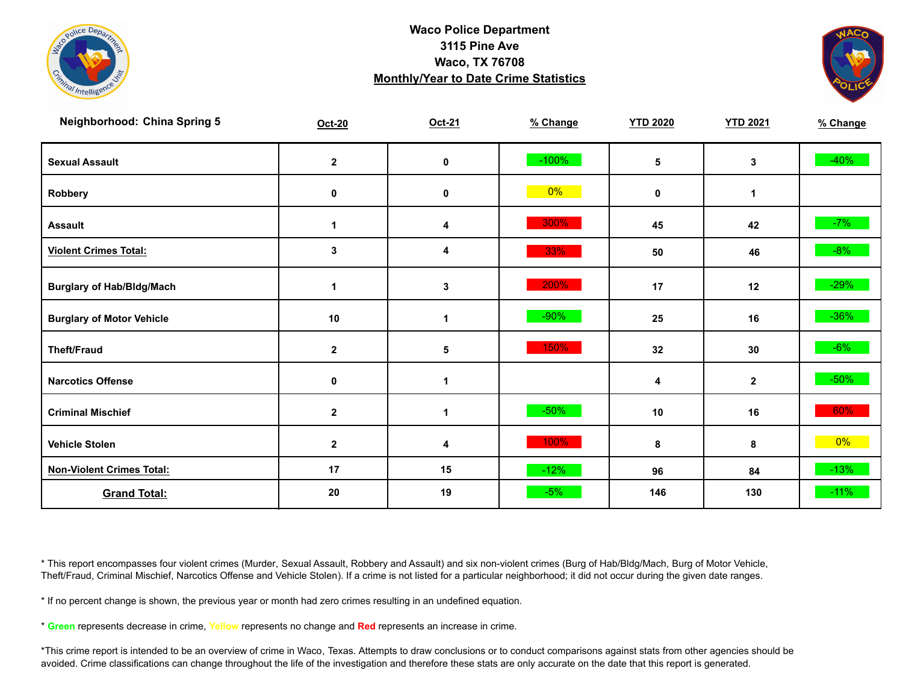



| <b>Neighborhood: China Spring 5</b> | Oct-20               | Oct-21               | % Change | <b>YTD 2020</b> | <b>YTD 2021</b> | % Change |
|-------------------------------------|----------------------|----------------------|----------|-----------------|-----------------|----------|
| <b>Sexual Assault</b>               | $\mathbf 2$          | $\pmb{0}$            | $-100%$  | 5               | 3               | $-40%$   |
| Robbery                             | 0                    | 0                    | 0%       | $\mathbf 0$     | 1               |          |
| <b>Assault</b>                      | $\blacktriangleleft$ | 4                    | 300%     | 45              | 42              | $-7%$    |
| <b>Violent Crimes Total:</b>        | 3                    | 4                    | 33%      | 50              | 46              | $-8%$    |
| <b>Burglary of Hab/Bldg/Mach</b>    | 1                    | 3                    | 200%     | 17              | 12              | $-29%$   |
| <b>Burglary of Motor Vehicle</b>    | 10                   | $\blacktriangleleft$ | $-90%$   | 25              | 16              | $-36\%$  |
| <b>Theft/Fraud</b>                  | $\mathbf{2}$         | 5                    | 150%     | 32              | 30              | $-6\%$   |
| <b>Narcotics Offense</b>            | 0                    | $\mathbf 1$          |          | 4               | $\mathbf{2}$    | $-50\%$  |
| <b>Criminal Mischief</b>            | $\mathbf{2}$         | $\mathbf 1$          | $-50%$   | 10              | 16              | 60%      |
| <b>Vehicle Stolen</b>               | $\mathbf 2$          | 4                    | 100%     | 8               | 8               | $0\%$    |
| <b>Non-Violent Crimes Total:</b>    | 17                   | 15                   | $-12%$   | 96              | 84              | $-13%$   |
| <b>Grand Total:</b>                 | 20                   | 19                   | $-5%$    | 146             | 130             | $-11%$   |

\* This report encompasses four violent crimes (Murder, Sexual Assault, Robbery and Assault) and six non-violent crimes (Burg of Hab/Bldg/Mach, Burg of Motor Vehicle, Theft/Fraud, Criminal Mischief, Narcotics Offense and Vehicle Stolen). If a crime is not listed for a particular neighborhood; it did not occur during the given date ranges.

\* If no percent change is shown, the previous year or month had zero crimes resulting in an undefined equation.

\* **Green** represents decrease in crime, **Yellow** represents no change and **Red** represents an increase in crime.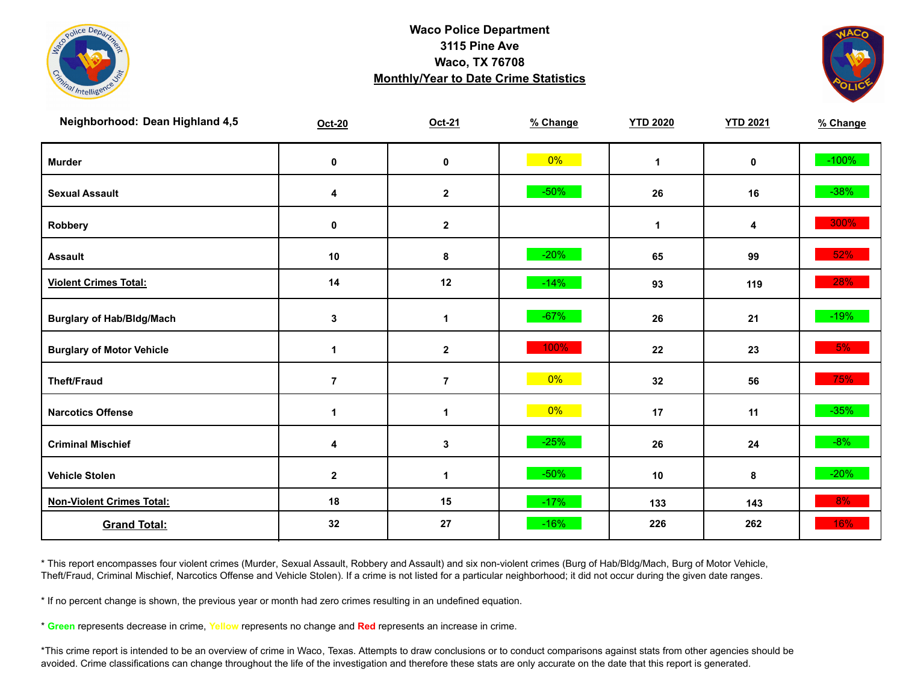



| Neighborhood: Dean Highland 4,5  | <b>Oct-20</b>  | Oct-21               | % Change | <b>YTD 2020</b> | <b>YTD 2021</b> | % Change |
|----------------------------------|----------------|----------------------|----------|-----------------|-----------------|----------|
| <b>Murder</b>                    | $\mathbf 0$    | $\pmb{0}$            | $0\%$    | $\mathbf{1}$    | $\mathbf 0$     | $-100%$  |
| <b>Sexual Assault</b>            | 4              | $\boldsymbol{2}$     | $-50%$   | 26              | 16              | $-38%$   |
| Robbery                          | 0              | $\mathbf{2}$         |          | $\mathbf{1}$    | 4               | 300%     |
| <b>Assault</b>                   | 10             | 8                    | $-20%$   | 65              | 99              | 52%      |
| <b>Violent Crimes Total:</b>     | 14             | 12                   | $-14%$   | 93              | 119             | 28%      |
| <b>Burglary of Hab/Bldg/Mach</b> | $\mathbf{3}$   | $\mathbf{1}$         | $-67%$   | 26              | 21              | $-19%$   |
| <b>Burglary of Motor Vehicle</b> | 1              | $\mathbf 2$          | 100%     | 22              | 23              | 5%       |
| <b>Theft/Fraud</b>               | $\overline{7}$ | $\overline{7}$       | $0\%$    | 32              | 56              | 75%      |
| <b>Narcotics Offense</b>         | $\mathbf{1}$   | $\blacktriangleleft$ | $0\%$    | 17              | 11              | $-35%$   |
| <b>Criminal Mischief</b>         | 4              | $\mathbf{3}$         | $-25%$   | 26              | 24              | $-8%$    |
| <b>Vehicle Stolen</b>            | $\mathbf{2}$   | $\mathbf 1$          | $-50%$   | 10              | 8               | $-20%$   |
| <b>Non-Violent Crimes Total:</b> | 18             | 15                   | $-17%$   | 133             | 143             | 8%       |
| <b>Grand Total:</b>              | 32             | 27                   | $-16%$   | 226             | 262             | 16%      |

\* This report encompasses four violent crimes (Murder, Sexual Assault, Robbery and Assault) and six non-violent crimes (Burg of Hab/Bldg/Mach, Burg of Motor Vehicle, Theft/Fraud, Criminal Mischief, Narcotics Offense and Vehicle Stolen). If a crime is not listed for a particular neighborhood; it did not occur during the given date ranges.

\* If no percent change is shown, the previous year or month had zero crimes resulting in an undefined equation.

\* **Green** represents decrease in crime, **Yellow** represents no change and **Red** represents an increase in crime.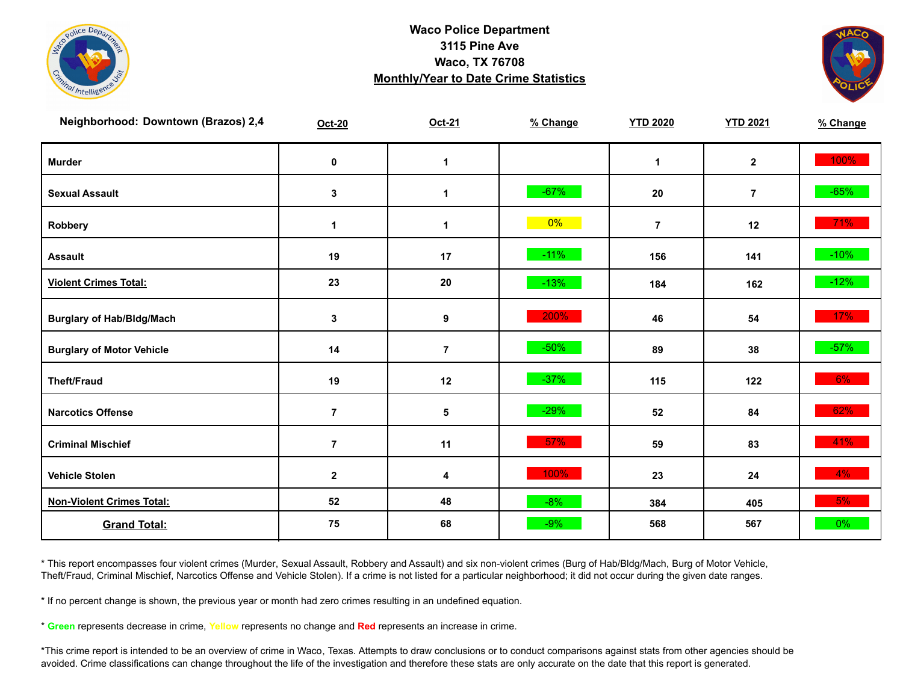



| Neighborhood: Downtown (Brazos) 2,4 | <b>Oct-20</b>    | Oct-21         | % Change | <b>YTD 2020</b> | <b>YTD 2021</b> | % Change |
|-------------------------------------|------------------|----------------|----------|-----------------|-----------------|----------|
| <b>Murder</b>                       | $\pmb{0}$        | $\mathbf{1}$   |          | $\mathbf{1}$    | $\mathbf{2}$    | 100%     |
| <b>Sexual Assault</b>               | $\mathbf 3$      | 1              | $-67%$   | 20              | $\overline{7}$  | $-65%$   |
| Robbery                             | $\mathbf 1$      | 1              | $0\%$    | $\overline{7}$  | 12              | 71%      |
| <b>Assault</b>                      | 19               | 17             | $-11%$   | 156             | 141             | $-10\%$  |
| <b>Violent Crimes Total:</b>        | 23               | 20             | $-13%$   | 184             | 162             | $-12%$   |
| <b>Burglary of Hab/Bldg/Mach</b>    | $\mathbf 3$      | 9              | 200%     | 46              | 54              | 17%      |
| <b>Burglary of Motor Vehicle</b>    | 14               | $\overline{7}$ | $-50%$   | 89              | 38              | $-57%$   |
| <b>Theft/Fraud</b>                  | 19               | 12             | $-37%$   | 115             | 122             | 6%       |
| <b>Narcotics Offense</b>            | $\overline{7}$   | $\sqrt{5}$     | $-29%$   | 52              | 84              | 62%      |
| <b>Criminal Mischief</b>            | $\overline{7}$   | 11             | $57\%$   | 59              | 83              | 41%      |
| <b>Vehicle Stolen</b>               | $\boldsymbol{2}$ | 4              | 100%     | 23              | 24              | $4\%$    |
| <b>Non-Violent Crimes Total:</b>    | 52               | 48             | $-8%$    | 384             | 405             | 5%       |
| <b>Grand Total:</b>                 | 75               | 68             | $-9%$    | 568             | 567             | 0%       |

\* This report encompasses four violent crimes (Murder, Sexual Assault, Robbery and Assault) and six non-violent crimes (Burg of Hab/Bldg/Mach, Burg of Motor Vehicle, Theft/Fraud, Criminal Mischief, Narcotics Offense and Vehicle Stolen). If a crime is not listed for a particular neighborhood; it did not occur during the given date ranges.

\* If no percent change is shown, the previous year or month had zero crimes resulting in an undefined equation.

\* **Green** represents decrease in crime, **Yellow** represents no change and **Red** represents an increase in crime.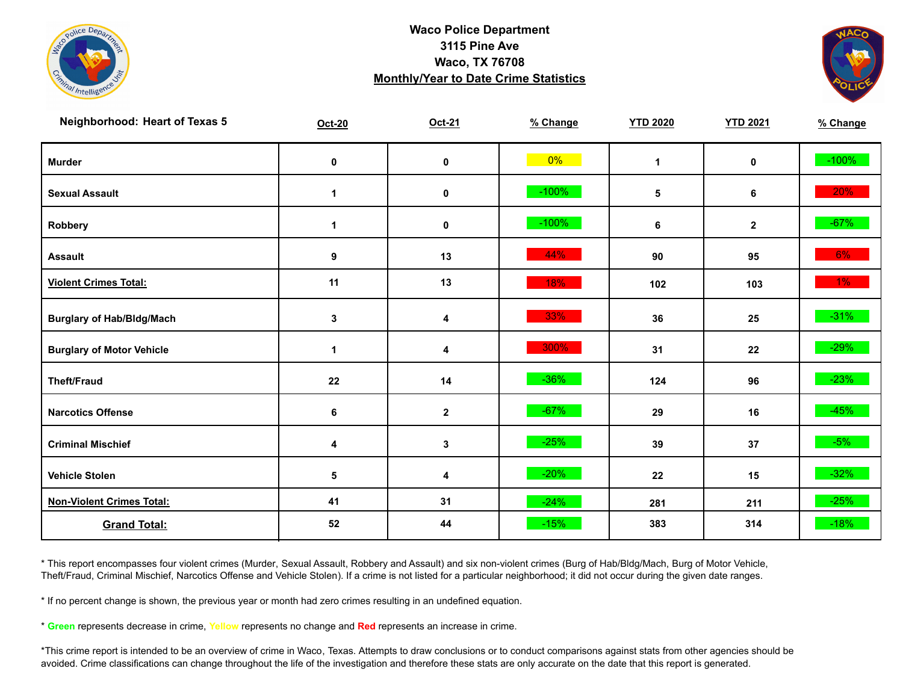



| <b>Neighborhood: Heart of Texas 5</b> | <b>Oct-20</b> | Oct-21           | % Change | <b>YTD 2020</b> | <b>YTD 2021</b> | % Change |
|---------------------------------------|---------------|------------------|----------|-----------------|-----------------|----------|
| <b>Murder</b>                         | $\pmb{0}$     | $\mathbf 0$      | $0\%$    | $\mathbf{1}$    | $\mathbf 0$     | $-100%$  |
| <b>Sexual Assault</b>                 | 1             | $\pmb{0}$        | $-100%$  | 5               | 6               | 20%      |
| Robbery                               | 1             | 0                | $-100%$  | 6               | $\mathbf{2}$    | $-67%$   |
| <b>Assault</b>                        | 9             | 13               | 44%      | 90              | 95              | $6\%$    |
| <b>Violent Crimes Total:</b>          | 11            | 13               | 18%      | 102             | 103             | $1\%$    |
| <b>Burglary of Hab/Bldg/Mach</b>      | $\mathbf{3}$  | 4                | 33%      | 36              | 25              | $-31%$   |
| <b>Burglary of Motor Vehicle</b>      | 1             | 4                | 300%     | 31              | 22              | $-29%$   |
| <b>Theft/Fraud</b>                    | 22            | 14               | $-36%$   | 124             | 96              | $-23%$   |
| <b>Narcotics Offense</b>              | 6             | $\boldsymbol{2}$ | $-67%$   | 29              | 16              | $-45%$   |
| <b>Criminal Mischief</b>              | 4             | 3                | $-25%$   | 39              | 37              | $-5%$    |
| <b>Vehicle Stolen</b>                 | 5             | 4                | $-20%$   | 22              | 15              | $-32%$   |
| <b>Non-Violent Crimes Total:</b>      | 41            | 31               | $-24%$   | 281             | 211             | $-25%$   |
| <b>Grand Total:</b>                   | 52            | 44               | $-15%$   | 383             | 314             | $-18%$   |

\* This report encompasses four violent crimes (Murder, Sexual Assault, Robbery and Assault) and six non-violent crimes (Burg of Hab/Bldg/Mach, Burg of Motor Vehicle, Theft/Fraud, Criminal Mischief, Narcotics Offense and Vehicle Stolen). If a crime is not listed for a particular neighborhood; it did not occur during the given date ranges.

\* If no percent change is shown, the previous year or month had zero crimes resulting in an undefined equation.

\* **Green** represents decrease in crime, **Yellow** represents no change and **Red** represents an increase in crime.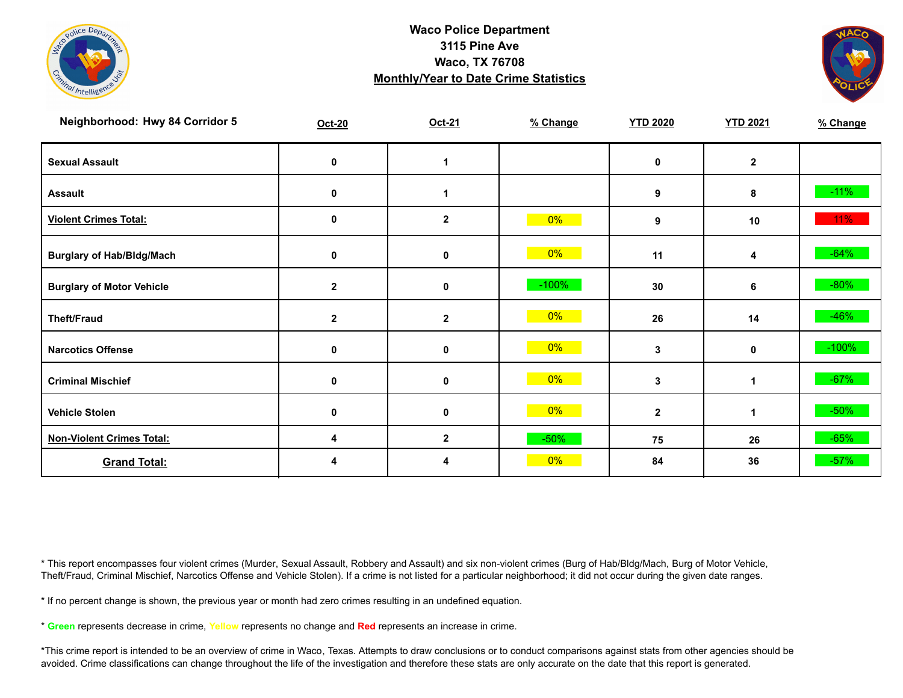



| Neighborhood: Hwy 84 Corridor 5  | Oct-20       | Oct-21           | % Change | <b>YTD 2020</b> | <b>YTD 2021</b> | % Change |
|----------------------------------|--------------|------------------|----------|-----------------|-----------------|----------|
| <b>Sexual Assault</b>            | 0            | 1                |          | 0               | $\mathbf{2}$    |          |
| <b>Assault</b>                   | 0            | 1                |          | 9               | 8               | $-11%$   |
| <b>Violent Crimes Total:</b>     | 0            | $\boldsymbol{2}$ | $0\%$    | 9               | 10              | $11\%$   |
| <b>Burglary of Hab/Bldg/Mach</b> | 0            | 0                | $0\%$    | 11              | 4               | $-64%$   |
| <b>Burglary of Motor Vehicle</b> | $\mathbf{2}$ | 0                | $-100\%$ | 30              | 6               | $-80%$   |
| <b>Theft/Fraud</b>               | $\mathbf{2}$ | $\mathbf{2}$     | $0\%$    | 26              | 14              | $-46%$   |
| <b>Narcotics Offense</b>         | 0            | 0                | $0\%$    | 3               | 0               | $-100%$  |
| <b>Criminal Mischief</b>         | 0            | 0                | $0\%$    | 3               | 1               | $-67%$   |
| <b>Vehicle Stolen</b>            | 0            | $\mathbf 0$      | $0\%$    | $\overline{2}$  | 1               | $-50%$   |
| <b>Non-Violent Crimes Total:</b> | 4            | $\boldsymbol{2}$ | $-50%$   | 75              | 26              | $-65%$   |
| <b>Grand Total:</b>              | 4            | 4                | $0\%$    | 84              | 36              | $-57%$   |

\* This report encompasses four violent crimes (Murder, Sexual Assault, Robbery and Assault) and six non-violent crimes (Burg of Hab/Bldg/Mach, Burg of Motor Vehicle, Theft/Fraud, Criminal Mischief, Narcotics Offense and Vehicle Stolen). If a crime is not listed for a particular neighborhood; it did not occur during the given date ranges.

\* If no percent change is shown, the previous year or month had zero crimes resulting in an undefined equation.

\* **Green** represents decrease in crime, **Yellow** represents no change and **Red** represents an increase in crime.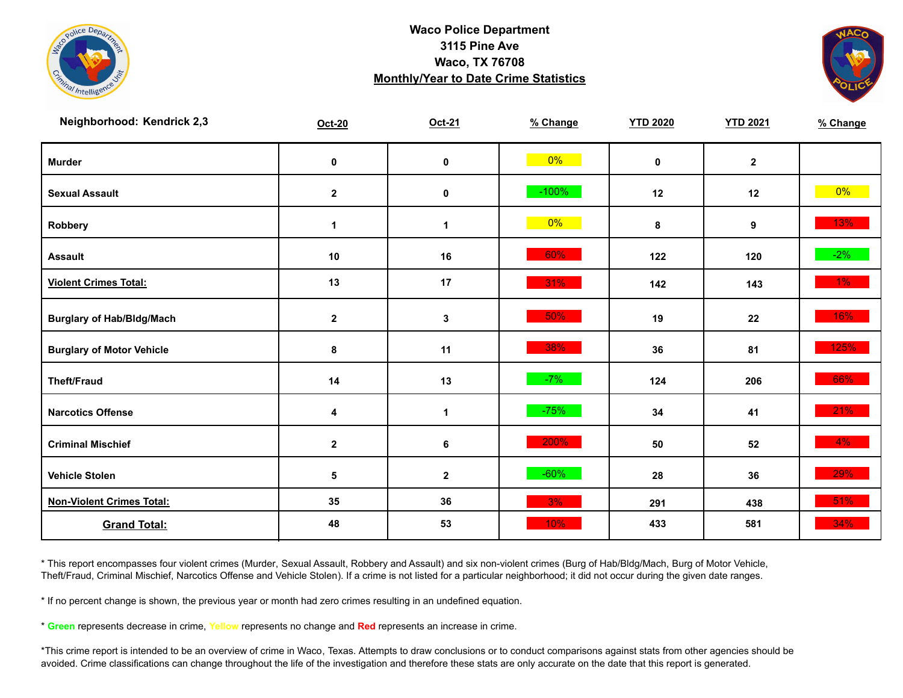



| Neighborhood: Kendrick 2,3       | Oct-20           | Oct-21           | % Change | <b>YTD 2020</b> | <b>YTD 2021</b> | % Change |
|----------------------------------|------------------|------------------|----------|-----------------|-----------------|----------|
| <b>Murder</b>                    | $\pmb{0}$        | $\mathbf 0$      | $0\%$    | $\mathbf 0$     | $\mathbf{2}$    |          |
| <b>Sexual Assault</b>            | $\mathbf 2$      | 0                | $-100%$  | 12              | 12              | $0\%$    |
| Robbery                          | 1                | 1                | $0\%$    | 8               | 9               | 13%      |
| <b>Assault</b>                   | 10               | 16               | 60%      | 122             | 120             | $-2\%$   |
| <b>Violent Crimes Total:</b>     | 13               | 17               | 31%      | 142             | 143             | $1\%$    |
| <b>Burglary of Hab/Bldg/Mach</b> | $\mathbf 2$      | 3                | 50%      | 19              | 22              | $16\%$   |
| <b>Burglary of Motor Vehicle</b> | 8                | 11               | 38%      | 36              | 81              | 125%     |
| <b>Theft/Fraud</b>               | 14               | 13               | $-7%$    | 124             | 206             | 66%      |
| <b>Narcotics Offense</b>         | 4                | $\mathbf 1$      | $-75%$   | 34              | 41              | 21%      |
| <b>Criminal Mischief</b>         | $\boldsymbol{2}$ | $\bf 6$          | 200%     | 50              | 52              | $4\%$    |
| <b>Vehicle Stolen</b>            | $\sqrt{5}$       | $\boldsymbol{2}$ | $-60%$   | 28              | 36              | 29%      |
| <b>Non-Violent Crimes Total:</b> | 35               | 36               | 3%       | 291             | 438             | 51%      |
| <b>Grand Total:</b>              | 48               | 53               | 10%      | 433             | 581             | 34%      |

\* This report encompasses four violent crimes (Murder, Sexual Assault, Robbery and Assault) and six non-violent crimes (Burg of Hab/Bldg/Mach, Burg of Motor Vehicle, Theft/Fraud, Criminal Mischief, Narcotics Offense and Vehicle Stolen). If a crime is not listed for a particular neighborhood; it did not occur during the given date ranges.

\* If no percent change is shown, the previous year or month had zero crimes resulting in an undefined equation.

\* **Green** represents decrease in crime, **Yellow** represents no change and **Red** represents an increase in crime.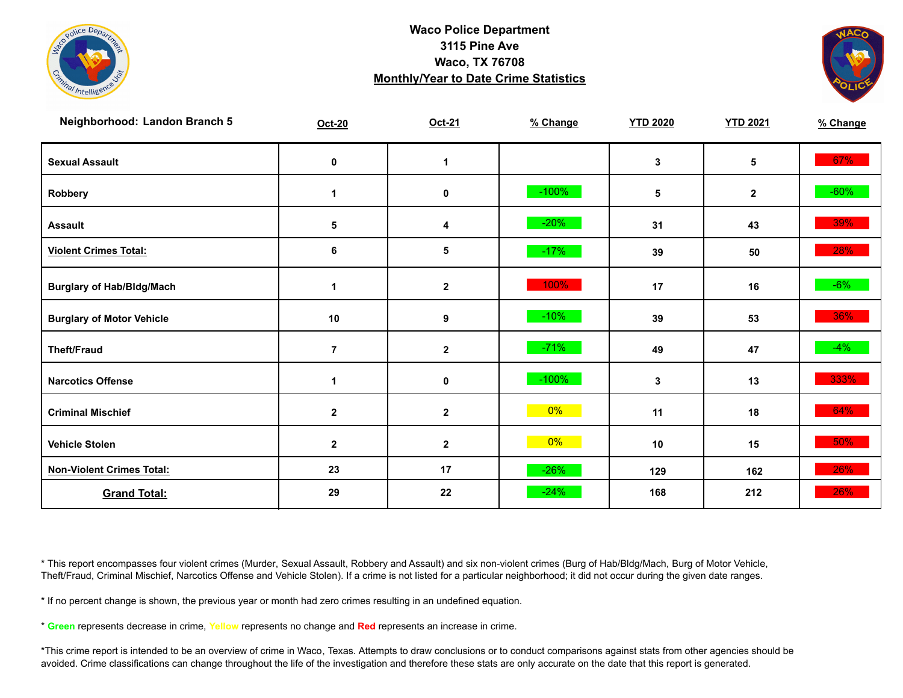



| Neighborhood: Landon Branch 5    | $Oct-20$       | Oct-21      | % Change | <b>YTD 2020</b> | <b>YTD 2021</b> | % Change |
|----------------------------------|----------------|-------------|----------|-----------------|-----------------|----------|
| <b>Sexual Assault</b>            | $\mathbf 0$    | 1           |          | 3               | 5               | 67%      |
| Robbery                          | 1              | $\pmb{0}$   | $-100%$  | 5               | $\mathbf{2}$    | $-60\%$  |
| <b>Assault</b>                   | ${\bf 5}$      | 4           | $-20%$   | 31              | 43              | 39%      |
| <b>Violent Crimes Total:</b>     | 6              | 5           | $-17%$   | 39              | 50              | 28%      |
| <b>Burglary of Hab/Bldg/Mach</b> | 1              | $\mathbf 2$ | 100%     | 17              | 16              | $-6\%$   |
| <b>Burglary of Motor Vehicle</b> | 10             | 9           | $-10%$   | 39              | 53              | 36%      |
| <b>Theft/Fraud</b>               | $\overline{7}$ | $\mathbf 2$ | $-71%$   | 49              | 47              | $-4%$    |
| <b>Narcotics Offense</b>         | $\mathbf{1}$   | $\pmb{0}$   | $-100%$  | 3               | 13              | 333%     |
| <b>Criminal Mischief</b>         | $\mathbf{2}$   | $\mathbf 2$ | $0\%$    | 11              | 18              | 64%      |
| <b>Vehicle Stolen</b>            | $\mathbf 2$    | $\mathbf 2$ | 0%       | 10              | 15              | 50%      |
| <b>Non-Violent Crimes Total:</b> | 23             | 17          | $-26%$   | 129             | 162             | 26%      |
| <b>Grand Total:</b>              | 29             | 22          | $-24%$   | 168             | 212             | 26%      |

\* This report encompasses four violent crimes (Murder, Sexual Assault, Robbery and Assault) and six non-violent crimes (Burg of Hab/Bldg/Mach, Burg of Motor Vehicle, Theft/Fraud, Criminal Mischief, Narcotics Offense and Vehicle Stolen). If a crime is not listed for a particular neighborhood; it did not occur during the given date ranges.

\* If no percent change is shown, the previous year or month had zero crimes resulting in an undefined equation.

\* **Green** represents decrease in crime, **Yellow** represents no change and **Red** represents an increase in crime.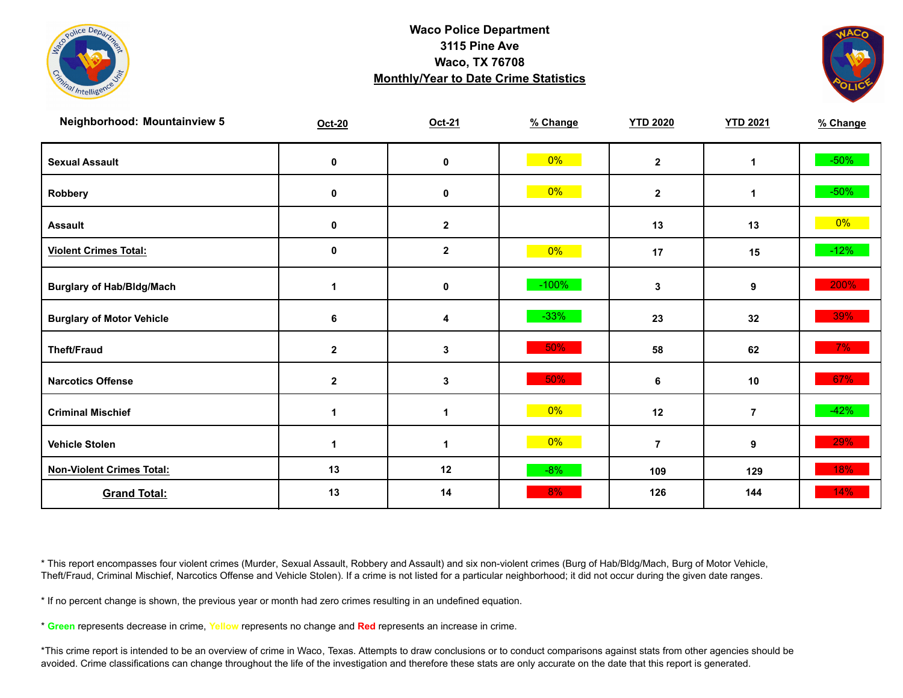

![](_page_14_Picture_2.jpeg)

| <b>Neighborhood: Mountainview 5</b> | $Oct-20$         | Oct-21       | % Change | <b>YTD 2020</b> | <b>YTD 2021</b> | % Change |
|-------------------------------------|------------------|--------------|----------|-----------------|-----------------|----------|
| <b>Sexual Assault</b>               | 0                | $\pmb{0}$    | $0\%$    | $\mathbf{2}$    | 1               | $-50\%$  |
| Robbery                             | 0                | 0            | $0\%$    | $\mathbf{2}$    | 1               | $-50\%$  |
| <b>Assault</b>                      | 0                | $\mathbf{2}$ |          | 13              | 13              | $0\%$    |
| <b>Violent Crimes Total:</b>        | 0                | $\mathbf{2}$ | $0\%$    | 17              | 15              | $-12%$   |
| <b>Burglary of Hab/Bldg/Mach</b>    | 1                | $\pmb{0}$    | $-100\%$ | 3               | 9               | 200%     |
| <b>Burglary of Motor Vehicle</b>    | 6                | 4            | $-33%$   | 23              | 32              | 39%      |
| <b>Theft/Fraud</b>                  | $\boldsymbol{2}$ | 3            | 50%      | 58              | 62              | $7\%$    |
| <b>Narcotics Offense</b>            | $\mathbf{2}$     | $\mathbf{3}$ | 50%      | 6               | 10              | 67%      |
| <b>Criminal Mischief</b>            | 1                | $\mathbf 1$  | $0\%$    | 12              | $\overline{7}$  | $-42%$   |
| <b>Vehicle Stolen</b>               | $\mathbf{1}$     | $\mathbf{1}$ | $0\%$    | $\overline{7}$  | 9               | 29%      |
| <b>Non-Violent Crimes Total:</b>    | 13               | 12           | $-8%$    | 109             | 129             | 18%      |
| <b>Grand Total:</b>                 | 13               | 14           | 8%       | 126             | 144             | $14\%$   |

\* This report encompasses four violent crimes (Murder, Sexual Assault, Robbery and Assault) and six non-violent crimes (Burg of Hab/Bldg/Mach, Burg of Motor Vehicle, Theft/Fraud, Criminal Mischief, Narcotics Offense and Vehicle Stolen). If a crime is not listed for a particular neighborhood; it did not occur during the given date ranges.

\* If no percent change is shown, the previous year or month had zero crimes resulting in an undefined equation.

\* **Green** represents decrease in crime, **Yellow** represents no change and **Red** represents an increase in crime.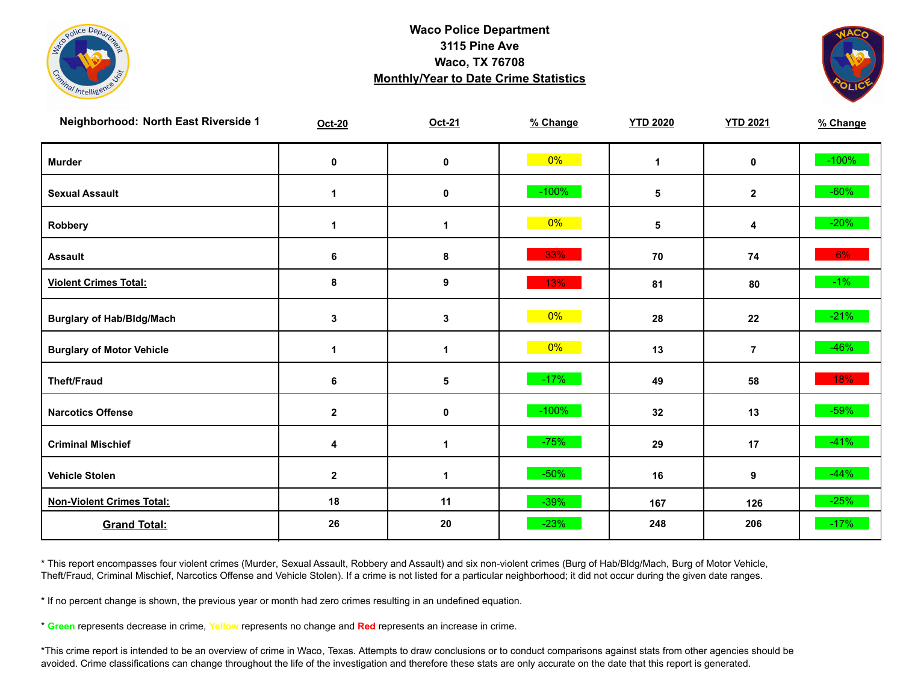![](_page_15_Picture_0.jpeg)

![](_page_15_Picture_2.jpeg)

| Neighborhood: North East Riverside 1 | <b>Oct-20</b> | Oct-21               | % Change | <b>YTD 2020</b> | <b>YTD 2021</b> | % Change |
|--------------------------------------|---------------|----------------------|----------|-----------------|-----------------|----------|
| <b>Murder</b>                        | $\pmb{0}$     | $\mathbf 0$          | $0\%$    | $\mathbf{1}$    | $\mathbf 0$     | $-100%$  |
| <b>Sexual Assault</b>                | 1             | 0                    | $-100%$  | 5               | $\mathbf{2}$    | $-60\%$  |
| Robbery                              | 1             | $\blacktriangleleft$ | $0\%$    | 5               | 4               | $-20%$   |
| <b>Assault</b>                       | 6             | $\pmb{8}$            | 33%      | 70              | 74              | $6\%$    |
| <b>Violent Crimes Total:</b>         | 8             | 9                    | 13%      | 81              | 80              | $-1\%$   |
| <b>Burglary of Hab/Bldg/Mach</b>     | $\mathbf 3$   | $\mathbf{3}$         | $0\%$    | 28              | 22              | $-21%$   |
| <b>Burglary of Motor Vehicle</b>     | 1             | 1                    | $0\%$    | 13              | $\overline{7}$  | $-46%$   |
| <b>Theft/Fraud</b>                   | 6             | 5                    | $-17%$   | 49              | 58              | 18%      |
| <b>Narcotics Offense</b>             | $\mathbf{2}$  | $\mathbf 0$          | $-100%$  | 32              | 13              | $-59%$   |
| <b>Criminal Mischief</b>             | 4             | $\blacktriangleleft$ | $-75%$   | 29              | 17              | $-41%$   |
| <b>Vehicle Stolen</b>                | $\mathbf 2$   | $\mathbf 1$          | $-50%$   | 16              | 9               | $-44%$   |
| <b>Non-Violent Crimes Total:</b>     | 18            | 11                   | $-39%$   | 167             | 126             | $-25%$   |
| <b>Grand Total:</b>                  | 26            | 20                   | $-23%$   | 248             | 206             | $-17%$   |

\* This report encompasses four violent crimes (Murder, Sexual Assault, Robbery and Assault) and six non-violent crimes (Burg of Hab/Bldg/Mach, Burg of Motor Vehicle, Theft/Fraud, Criminal Mischief, Narcotics Offense and Vehicle Stolen). If a crime is not listed for a particular neighborhood; it did not occur during the given date ranges.

\* If no percent change is shown, the previous year or month had zero crimes resulting in an undefined equation.

\* **Green** represents decrease in crime, **Yellow** represents no change and **Red** represents an increase in crime.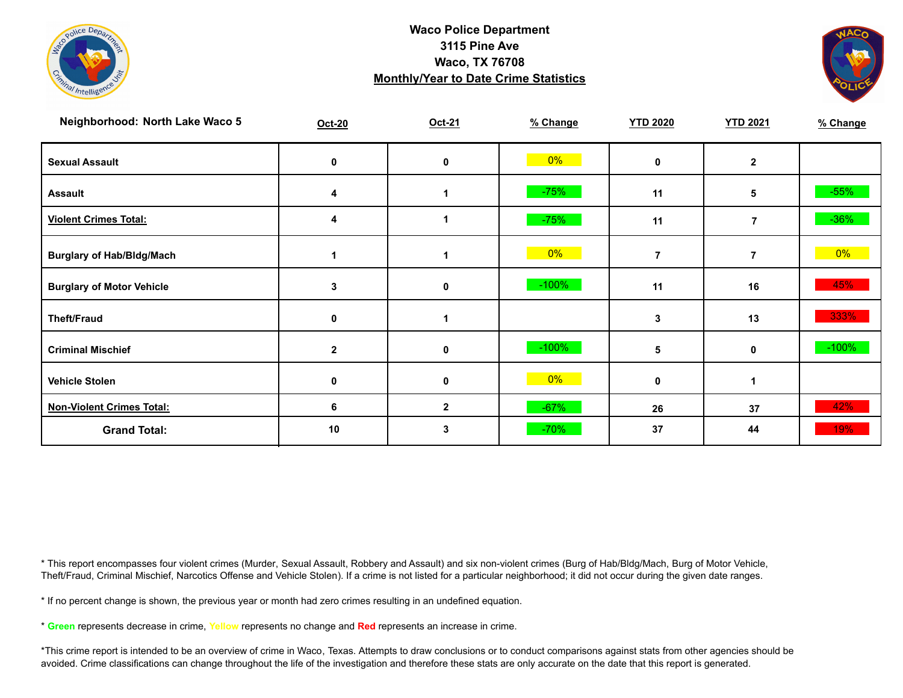![](_page_16_Picture_0.jpeg)

![](_page_16_Picture_2.jpeg)

| Neighborhood: North Lake Waco 5  | Oct-20       | Oct-21       | % Change | <b>YTD 2020</b> | <b>YTD 2021</b> | % Change |
|----------------------------------|--------------|--------------|----------|-----------------|-----------------|----------|
| <b>Sexual Assault</b>            | 0            | $\mathbf 0$  | $0\%$    | 0               | $\mathbf{2}$    |          |
| <b>Assault</b>                   | 4            |              | $-75%$   | 11              | 5               | $-55%$   |
| <b>Violent Crimes Total:</b>     | 4            |              | $-75%$   | 11              | $\overline{7}$  | $-36%$   |
| <b>Burglary of Hab/Bldg/Mach</b> |              |              | $0\%$    | $\overline{7}$  | $\overline{7}$  | $0\%$    |
| <b>Burglary of Motor Vehicle</b> | 3            | 0            | $-100%$  | 11              | 16              | 45%      |
| <b>Theft/Fraud</b>               | 0            |              |          | 3               | 13              | 333%     |
| <b>Criminal Mischief</b>         | $\mathbf{2}$ | 0            | $-100%$  | 5               | $\mathbf 0$     | $-100%$  |
| <b>Vehicle Stolen</b>            | 0            | 0            | $0\%$    | 0               |                 |          |
| <b>Non-Violent Crimes Total:</b> | 6            | $\mathbf{2}$ | $-67%$   | 26              | 37              | 42%      |
| <b>Grand Total:</b>              | 10           | 3            | $-70%$   | 37              | 44              | 19%      |

\* This report encompasses four violent crimes (Murder, Sexual Assault, Robbery and Assault) and six non-violent crimes (Burg of Hab/Bldg/Mach, Burg of Motor Vehicle, Theft/Fraud, Criminal Mischief, Narcotics Offense and Vehicle Stolen). If a crime is not listed for a particular neighborhood; it did not occur during the given date ranges.

\* If no percent change is shown, the previous year or month had zero crimes resulting in an undefined equation.

\* **Green** represents decrease in crime, **Yellow** represents no change and **Red** represents an increase in crime.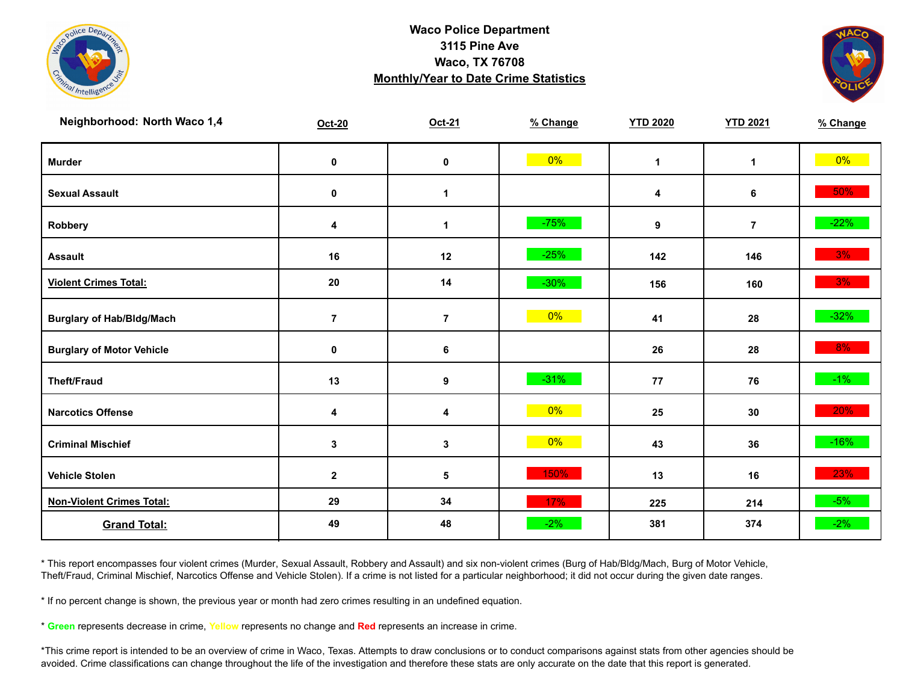![](_page_17_Picture_0.jpeg)

![](_page_17_Picture_2.jpeg)

| Neighborhood: North Waco 1,4     | Oct-20         | Oct-21       | % Change | <b>YTD 2020</b> | <b>YTD 2021</b> | % Change |
|----------------------------------|----------------|--------------|----------|-----------------|-----------------|----------|
| <b>Murder</b>                    | $\pmb{0}$      | $\mathbf 0$  | $0\%$    | $\mathbf{1}$    | $\mathbf{1}$    | $0\%$    |
| <b>Sexual Assault</b>            | $\pmb{0}$      | 1            |          | 4               | 6               | 50%      |
| Robbery                          | 4              | 1            | $-75%$   | 9               | $\overline{7}$  | $-22%$   |
| <b>Assault</b>                   | $16$           | 12           | $-25%$   | 142             | 146             | 3%       |
| <b>Violent Crimes Total:</b>     | 20             | 14           | $-30%$   | 156             | 160             | 3%       |
| <b>Burglary of Hab/Bldg/Mach</b> | $\overline{7}$ | $\bf 7$      | $0\%$    | 41              | 28              | $-32%$   |
| <b>Burglary of Motor Vehicle</b> | 0              | 6            |          | 26              | 28              | $8\%$    |
| <b>Theft/Fraud</b>               | 13             | 9            | $-31%$   | 77              | 76              | $-1\%$   |
| <b>Narcotics Offense</b>         | 4              | 4            | 0%       | 25              | 30              | 20%      |
| <b>Criminal Mischief</b>         | 3              | $\mathbf{3}$ | $0\%$    | 43              | 36              | $-16%$   |
| <b>Vehicle Stolen</b>            | $\mathbf{2}$   | ${\bf 5}$    | 150%     | 13              | 16              | 23%      |
| <b>Non-Violent Crimes Total:</b> | 29             | 34           | 17%      | 225             | 214             | $-5%$    |
| <b>Grand Total:</b>              | 49             | 48           | $-2%$    | 381             | 374             | $-2%$    |

\* This report encompasses four violent crimes (Murder, Sexual Assault, Robbery and Assault) and six non-violent crimes (Burg of Hab/Bldg/Mach, Burg of Motor Vehicle, Theft/Fraud, Criminal Mischief, Narcotics Offense and Vehicle Stolen). If a crime is not listed for a particular neighborhood; it did not occur during the given date ranges.

\* If no percent change is shown, the previous year or month had zero crimes resulting in an undefined equation.

\* **Green** represents decrease in crime, **Yellow** represents no change and **Red** represents an increase in crime.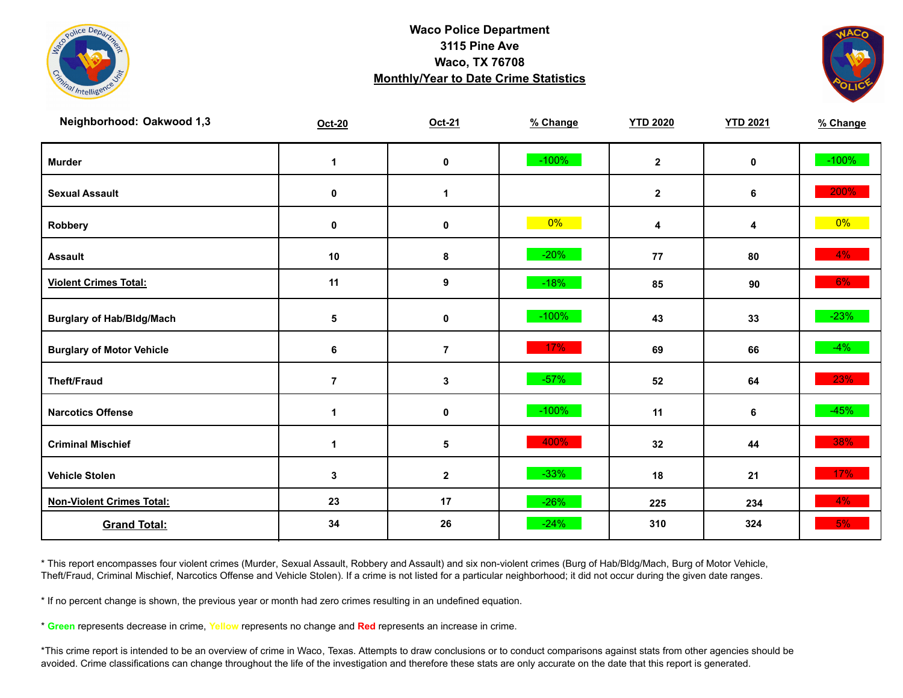![](_page_18_Picture_0.jpeg)

![](_page_18_Picture_2.jpeg)

| Neighborhood: Oakwood 1,3        | Oct-20         | Oct-21         | % Change | <b>YTD 2020</b>  | <b>YTD 2021</b> | % Change |
|----------------------------------|----------------|----------------|----------|------------------|-----------------|----------|
| <b>Murder</b>                    | $\mathbf 1$    | $\mathbf 0$    | $-100%$  | $\mathbf{2}$     | $\mathbf 0$     | $-100%$  |
| <b>Sexual Assault</b>            | 0              | 1              |          | $\boldsymbol{2}$ | 6               | 200%     |
| Robbery                          | 0              | 0              | $0\%$    | 4                | 4               | 0%       |
| <b>Assault</b>                   | $10$           | 8              | $-20%$   | 77               | 80              | $4\%$    |
| <b>Violent Crimes Total:</b>     | 11             | 9              | $-18%$   | 85               | 90              | 6%       |
| <b>Burglary of Hab/Bldg/Mach</b> | 5              | 0              | $-100%$  | 43               | 33              | $-23%$   |
| <b>Burglary of Motor Vehicle</b> | 6              | $\overline{7}$ | 17%      | 69               | 66              | $-4%$    |
| <b>Theft/Fraud</b>               | $\overline{7}$ | $\mathbf 3$    | $-57%$   | 52               | 64              | 23%      |
| <b>Narcotics Offense</b>         | $\mathbf 1$    | 0              | $-100%$  | 11               | 6               | $-45%$   |
| <b>Criminal Mischief</b>         | $\mathbf 1$    | $\sqrt{5}$     | 400%     | 32               | 44              | 38%      |
| <b>Vehicle Stolen</b>            | 3              | $\mathbf{2}$   | $-33%$   | 18               | 21              | 17%      |
| <b>Non-Violent Crimes Total:</b> | 23             | 17             | $-26%$   | 225              | 234             | $4\%$    |
| <b>Grand Total:</b>              | 34             | 26             | $-24%$   | 310              | 324             | 5%       |

\* This report encompasses four violent crimes (Murder, Sexual Assault, Robbery and Assault) and six non-violent crimes (Burg of Hab/Bldg/Mach, Burg of Motor Vehicle, Theft/Fraud, Criminal Mischief, Narcotics Offense and Vehicle Stolen). If a crime is not listed for a particular neighborhood; it did not occur during the given date ranges.

\* If no percent change is shown, the previous year or month had zero crimes resulting in an undefined equation.

\* **Green** represents decrease in crime, **Yellow** represents no change and **Red** represents an increase in crime.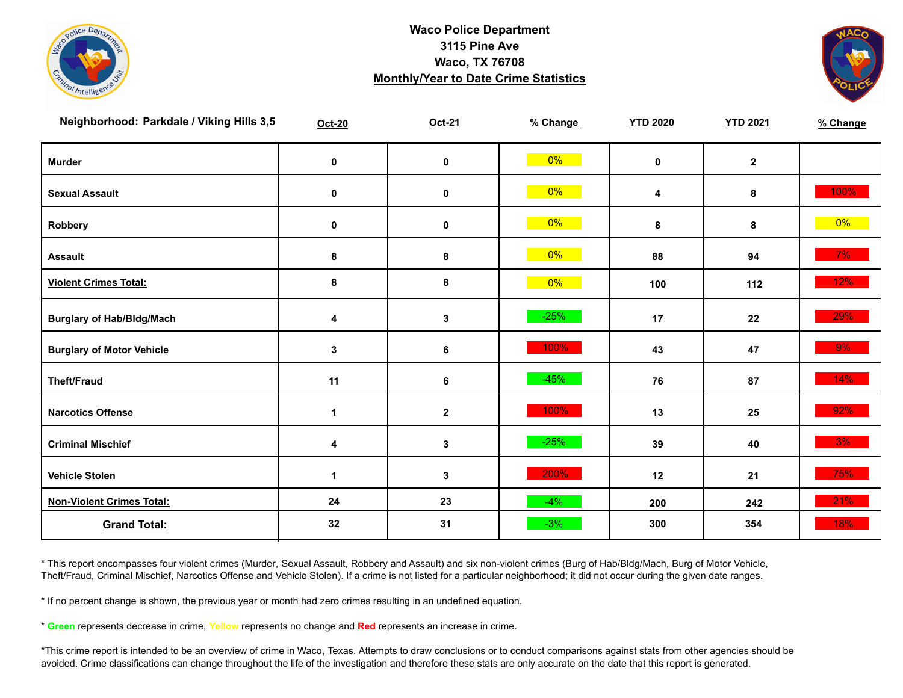![](_page_19_Picture_0.jpeg)

![](_page_19_Picture_2.jpeg)

| Neighborhood: Parkdale / Viking Hills 3,5 | <b>Oct-20</b> | Oct-21           | % Change | <b>YTD 2020</b> | <b>YTD 2021</b> | % Change |
|-------------------------------------------|---------------|------------------|----------|-----------------|-----------------|----------|
| <b>Murder</b>                             | $\pmb{0}$     | $\pmb{0}$        | $0\%$    | $\mathbf 0$     | $\mathbf{2}$    |          |
| <b>Sexual Assault</b>                     | 0             | $\pmb{0}$        | $0\%$    | 4               | 8               | $100\%$  |
| Robbery                                   | 0             | 0                | $0\%$    | 8               | 8               | $0\%$    |
| <b>Assault</b>                            | 8             | $\bf8$           | $0\%$    | 88              | 94              | $7\%$    |
| <b>Violent Crimes Total:</b>              | $\pmb{8}$     | 8                | $0\%$    | 100             | 112             | 12%      |
| <b>Burglary of Hab/Bldg/Mach</b>          | 4             | $\mathbf{3}$     | $-25%$   | 17              | 22              | 29%      |
| <b>Burglary of Motor Vehicle</b>          | 3             | 6                | 100%     | 43              | 47              | 9%       |
| <b>Theft/Fraud</b>                        | 11            | 6                | $-45%$   | 76              | 87              | 14%      |
| <b>Narcotics Offense</b>                  | 1             | $\boldsymbol{2}$ | 100%     | 13              | 25              | 92%      |
| <b>Criminal Mischief</b>                  | 4             | $\mathbf{3}$     | $-25%$   | 39              | 40              | 3%       |
| <b>Vehicle Stolen</b>                     | $\mathbf{1}$  | 3                | 200%     | 12              | 21              | 75%      |
| <b>Non-Violent Crimes Total:</b>          | 24            | 23               | $-4%$    | 200             | 242             | 21%      |
| <b>Grand Total:</b>                       | 32            | 31               | $-3%$    | 300             | 354             | 18%      |

\* This report encompasses four violent crimes (Murder, Sexual Assault, Robbery and Assault) and six non-violent crimes (Burg of Hab/Bldg/Mach, Burg of Motor Vehicle, Theft/Fraud, Criminal Mischief, Narcotics Offense and Vehicle Stolen). If a crime is not listed for a particular neighborhood; it did not occur during the given date ranges.

\* If no percent change is shown, the previous year or month had zero crimes resulting in an undefined equation.

\* **Green** represents decrease in crime, **Yellow** represents no change and **Red** represents an increase in crime.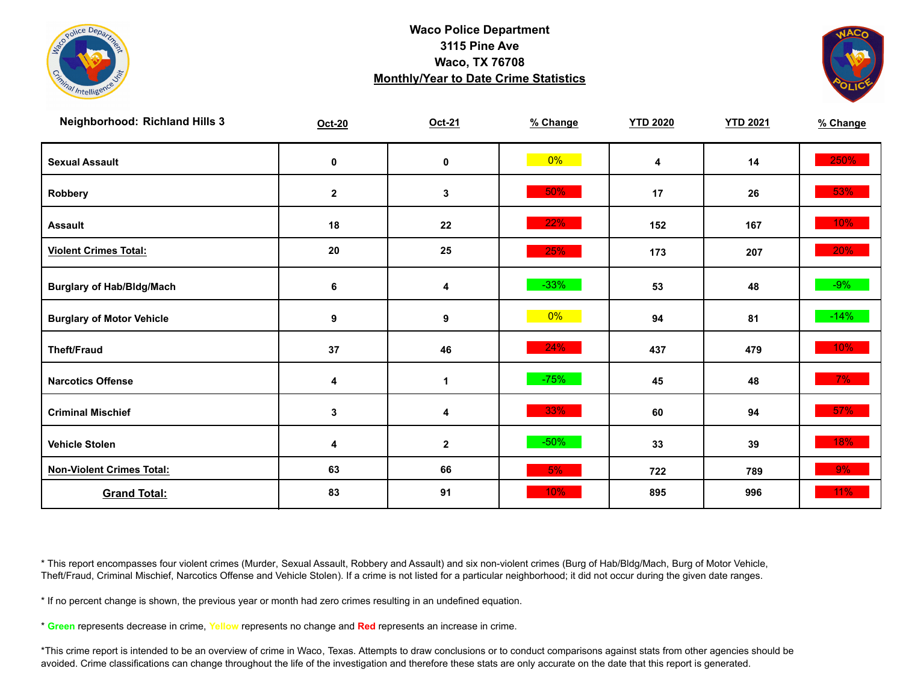![](_page_20_Picture_0.jpeg)

![](_page_20_Picture_2.jpeg)

| <b>Neighborhood: Richland Hills 3</b> | Oct-20      | Oct-21       | % Change | <b>YTD 2020</b> | <b>YTD 2021</b> | % Change |
|---------------------------------------|-------------|--------------|----------|-----------------|-----------------|----------|
| <b>Sexual Assault</b>                 | 0           | $\pmb{0}$    | $0\%$    | 4               | 14              | 250%     |
| Robbery                               | $\mathbf 2$ | $\mathbf{3}$ | 50%      | 17              | 26              | 53%      |
| <b>Assault</b>                        | 18          | 22           | 22%      | 152             | 167             | 10%      |
| <b>Violent Crimes Total:</b>          | 20          | 25           | 25%      | 173             | 207             | 20%      |
| <b>Burglary of Hab/Bldg/Mach</b>      | 6           | 4            | $-33%$   | 53              | 48              | $-9%$    |
| <b>Burglary of Motor Vehicle</b>      | 9           | 9            | $0\%$    | 94              | 81              | $-14%$   |
| <b>Theft/Fraud</b>                    | 37          | 46           | 24%      | 437             | 479             | $10\%$   |
| <b>Narcotics Offense</b>              | 4           | $\mathbf 1$  | $-75%$   | 45              | 48              | $7\%$    |
| <b>Criminal Mischief</b>              | 3           | 4            | 33%      | 60              | 94              | $57\%$   |
| <b>Vehicle Stolen</b>                 | 4           | $\mathbf{2}$ | $-50%$   | 33              | 39              | 18%      |
| <b>Non-Violent Crimes Total:</b>      | 63          | 66           | 5%       | 722             | 789             | $9\%$    |
| <b>Grand Total:</b>                   | 83          | 91           | 10%      | 895             | 996             | 11%      |

\* This report encompasses four violent crimes (Murder, Sexual Assault, Robbery and Assault) and six non-violent crimes (Burg of Hab/Bldg/Mach, Burg of Motor Vehicle, Theft/Fraud, Criminal Mischief, Narcotics Offense and Vehicle Stolen). If a crime is not listed for a particular neighborhood; it did not occur during the given date ranges.

\* If no percent change is shown, the previous year or month had zero crimes resulting in an undefined equation.

\* **Green** represents decrease in crime, **Yellow** represents no change and **Red** represents an increase in crime.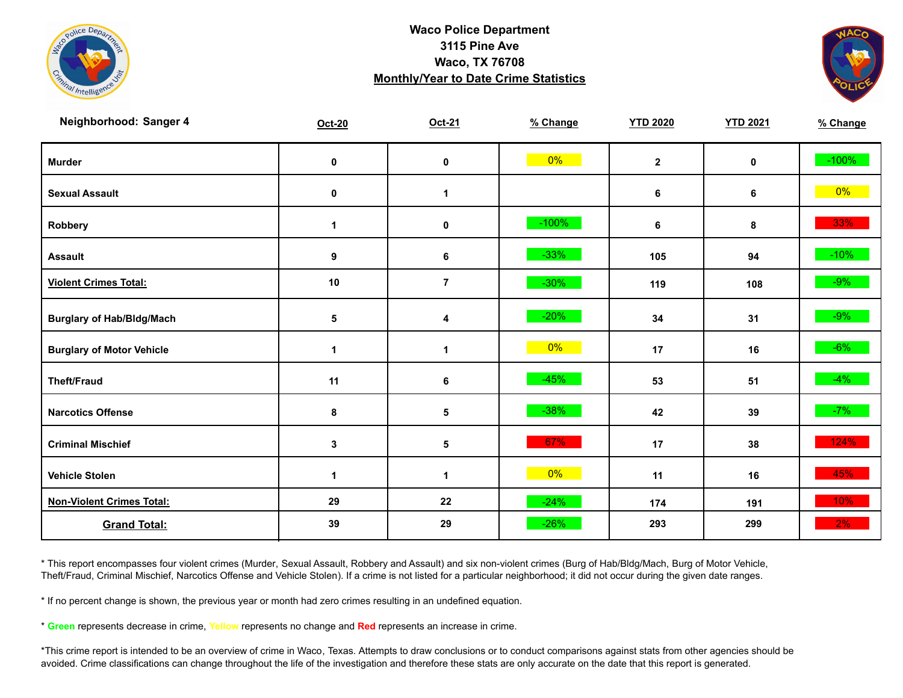![](_page_21_Picture_0.jpeg)

![](_page_21_Picture_2.jpeg)

| Neighborhood: Sanger 4           | Oct-20      | Oct-21         | % Change | <b>YTD 2020</b> | <b>YTD 2021</b> | % Change |
|----------------------------------|-------------|----------------|----------|-----------------|-----------------|----------|
| <b>Murder</b>                    | $\pmb{0}$   | $\mathbf 0$    | $0\%$    | $\mathbf{2}$    | $\mathbf 0$     | $-100%$  |
| <b>Sexual Assault</b>            | $\pmb{0}$   | $\mathbf{1}$   |          | 6               | 6               | $0\%$    |
| Robbery                          | $\mathbf 1$ | 0              | $-100%$  | 6               | 8               | 33%      |
| <b>Assault</b>                   | 9           | 6              | $-33%$   | 105             | 94              | $-10\%$  |
| <b>Violent Crimes Total:</b>     | 10          | $\overline{7}$ | $-30%$   | 119             | 108             | $-9\%$   |
| <b>Burglary of Hab/Bldg/Mach</b> | 5           | 4              | $-20%$   | 34              | 31              | $-9\%$   |
| <b>Burglary of Motor Vehicle</b> | 1           | 1              | 0%       | 17              | 16              | $-6%$    |
| <b>Theft/Fraud</b>               | 11          | 6              | $-45%$   | 53              | 51              | $-4%$    |
| <b>Narcotics Offense</b>         | 8           | $\sqrt{5}$     | $-38%$   | 42              | 39              | $-7%$    |
| <b>Criminal Mischief</b>         | 3           | $\sqrt{5}$     | 67%      | 17              | 38              | 124%     |
| <b>Vehicle Stolen</b>            | 1           | 1              | $0\%$    | 11              | 16              | 45%      |
| <b>Non-Violent Crimes Total:</b> | 29          | 22             | $-24%$   | 174             | 191             | 10%      |
| <b>Grand Total:</b>              | 39          | 29             | $-26%$   | 293             | 299             | 2%       |

\* This report encompasses four violent crimes (Murder, Sexual Assault, Robbery and Assault) and six non-violent crimes (Burg of Hab/Bldg/Mach, Burg of Motor Vehicle, Theft/Fraud, Criminal Mischief, Narcotics Offense and Vehicle Stolen). If a crime is not listed for a particular neighborhood; it did not occur during the given date ranges.

\* If no percent change is shown, the previous year or month had zero crimes resulting in an undefined equation.

\* **Green** represents decrease in crime, **Yellow** represents no change and **Red** represents an increase in crime.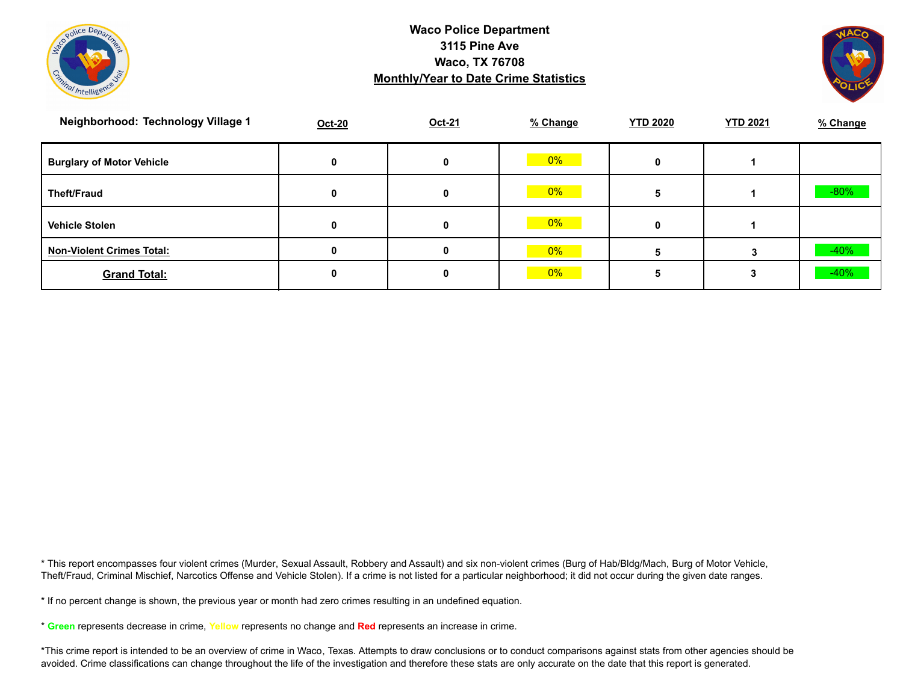![](_page_22_Picture_0.jpeg)

![](_page_22_Picture_2.jpeg)

| Neighborhood: Technology Village 1 | Oct-20 | Oct-21 | % Change | <b>YTD 2020</b> | <b>YTD 2021</b> | % Change |
|------------------------------------|--------|--------|----------|-----------------|-----------------|----------|
| <b>Burglary of Motor Vehicle</b>   | 0      |        | 0%       |                 |                 |          |
| <b>Theft/Fraud</b>                 | 0      | 0      | 0%       |                 |                 | $-80%$   |
| <b>Vehicle Stolen</b>              | 0      | 0      | 0%       |                 |                 |          |
| <b>Non-Violent Crimes Total:</b>   |        |        | 0%       |                 |                 | $-40%$   |
| <b>Grand Total:</b>                |        |        | 0%       |                 |                 | $-40%$   |

\* This report encompasses four violent crimes (Murder, Sexual Assault, Robbery and Assault) and six non-violent crimes (Burg of Hab/Bldg/Mach, Burg of Motor Vehicle, Theft/Fraud, Criminal Mischief, Narcotics Offense and Vehicle Stolen). If a crime is not listed for a particular neighborhood; it did not occur during the given date ranges.

\* If no percent change is shown, the previous year or month had zero crimes resulting in an undefined equation.

\* **Green** represents decrease in crime, **Yellow** represents no change and **Red** represents an increase in crime.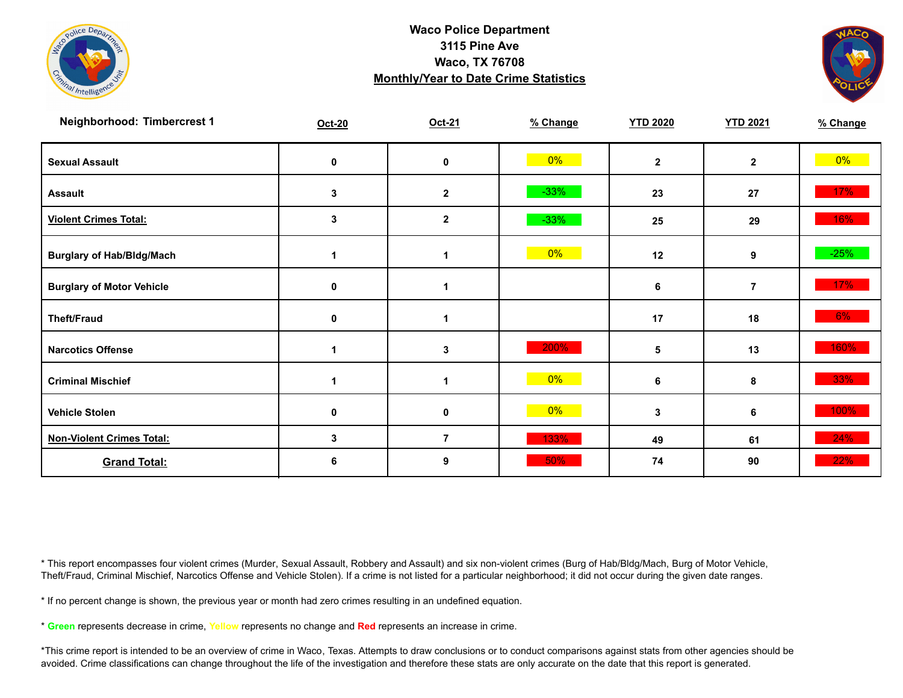![](_page_23_Picture_0.jpeg)

![](_page_23_Picture_2.jpeg)

| Neighborhood: Timbercrest 1      | Oct-20      | Oct-21           | % Change | <b>YTD 2020</b> | <b>YTD 2021</b> | % Change |
|----------------------------------|-------------|------------------|----------|-----------------|-----------------|----------|
| <b>Sexual Assault</b>            | 0           | 0                | $0\%$    | $\mathbf{2}$    | $\mathbf{2}$    | $0\%$    |
| <b>Assault</b>                   | 3           | $\mathbf 2$      | $-33%$   | 23              | 27              | 17%      |
| <b>Violent Crimes Total:</b>     | 3           | $\boldsymbol{2}$ | $-33%$   | 25              | 29              | 16%      |
| <b>Burglary of Hab/Bldg/Mach</b> |             |                  | 0%       | 12              | 9               | $-25%$   |
| <b>Burglary of Motor Vehicle</b> | 0           | 1                |          | 6               | $\overline{7}$  | $17\%$   |
| <b>Theft/Fraud</b>               | $\mathbf 0$ |                  |          | 17              | 18              | 6%       |
| <b>Narcotics Offense</b>         |             | 3                | 200%     | 5               | 13              | 160%     |
| <b>Criminal Mischief</b>         | 1           |                  | 0%       | 6               | 8               | 33%      |
| <b>Vehicle Stolen</b>            | 0           | 0                | $0\%$    | 3               | 6               | 100%     |
| <b>Non-Violent Crimes Total:</b> | 3           | $\overline{7}$   | 133%     | 49              | 61              | 24%      |
| <b>Grand Total:</b>              | 6           | 9                | 50%      | 74              | 90              | 22%      |

\* This report encompasses four violent crimes (Murder, Sexual Assault, Robbery and Assault) and six non-violent crimes (Burg of Hab/Bldg/Mach, Burg of Motor Vehicle, Theft/Fraud, Criminal Mischief, Narcotics Offense and Vehicle Stolen). If a crime is not listed for a particular neighborhood; it did not occur during the given date ranges.

\* If no percent change is shown, the previous year or month had zero crimes resulting in an undefined equation.

\* **Green** represents decrease in crime, **Yellow** represents no change and **Red** represents an increase in crime.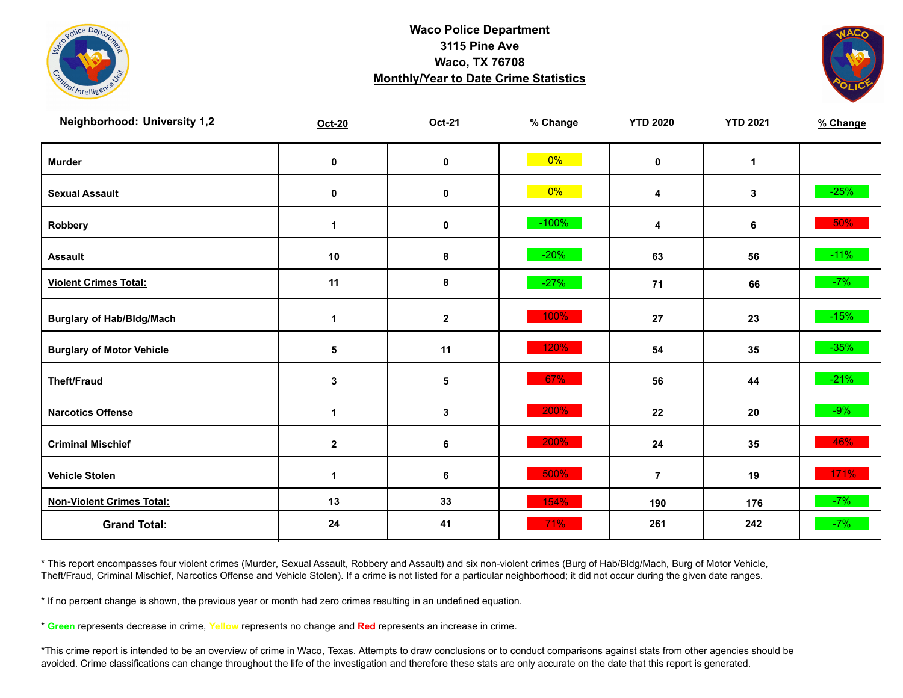![](_page_24_Picture_0.jpeg)

![](_page_24_Picture_2.jpeg)

| <b>Neighborhood: University 1,2</b> | Oct-20               | Oct-21       | % Change | <b>YTD 2020</b> | <b>YTD 2021</b> | % Change |
|-------------------------------------|----------------------|--------------|----------|-----------------|-----------------|----------|
| <b>Murder</b>                       | $\mathbf 0$          | $\pmb{0}$    | $0\%$    | $\mathbf 0$     | $\mathbf{1}$    |          |
| <b>Sexual Assault</b>               | 0                    | 0            | $0\%$    | 4               | 3               | $-25%$   |
| Robbery                             | 1                    | 0            | $-100%$  | 4               | 6               | 50%      |
| <b>Assault</b>                      | 10                   | 8            | $-20%$   | 63              | 56              | $-11%$   |
| <b>Violent Crimes Total:</b>        | 11                   | 8            | $-27%$   | $71$            | 66              | $-7%$    |
| <b>Burglary of Hab/Bldg/Mach</b>    | 1                    | $\mathbf{2}$ | 100%     | 27              | 23              | $-15%$   |
| <b>Burglary of Motor Vehicle</b>    | $\sqrt{5}$           | 11           | 120%     | 54              | 35              | $-35%$   |
| <b>Theft/Fraud</b>                  | $\mathbf 3$          | $\sqrt{5}$   | 67%      | 56              | 44              | $-21%$   |
| <b>Narcotics Offense</b>            | $\blacktriangleleft$ | 3            | 200%     | 22              | 20              | $-9\%$   |
| <b>Criminal Mischief</b>            | $\mathbf{2}$         | 6            | 200%     | 24              | 35              | 46%      |
| <b>Vehicle Stolen</b>               | 1                    | 6            | 500%     | $\overline{7}$  | 19              | 171%     |
| <b>Non-Violent Crimes Total:</b>    | 13                   | 33           | 154%     | 190             | 176             | $-7%$    |
| <b>Grand Total:</b>                 | 24                   | 41           | 71%      | 261             | 242             | $-7%$    |

\* This report encompasses four violent crimes (Murder, Sexual Assault, Robbery and Assault) and six non-violent crimes (Burg of Hab/Bldg/Mach, Burg of Motor Vehicle, Theft/Fraud, Criminal Mischief, Narcotics Offense and Vehicle Stolen). If a crime is not listed for a particular neighborhood; it did not occur during the given date ranges.

\* If no percent change is shown, the previous year or month had zero crimes resulting in an undefined equation.

\* **Green** represents decrease in crime, **Yellow** represents no change and **Red** represents an increase in crime.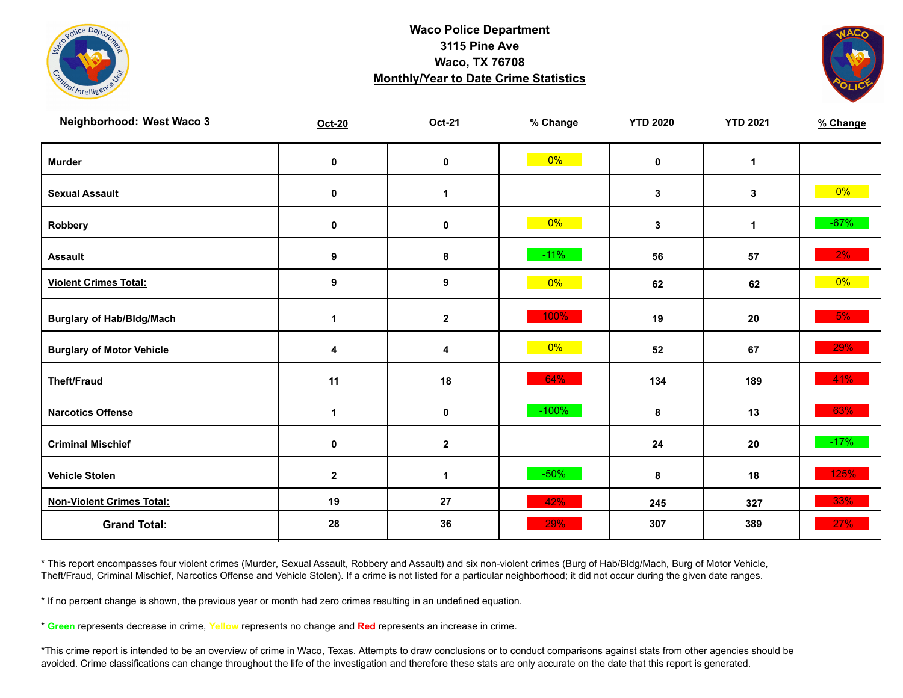![](_page_25_Picture_0.jpeg)

![](_page_25_Picture_2.jpeg)

| Neighborhood: West Waco 3        | <b>Oct-20</b>    | Oct-21       | % Change | <b>YTD 2020</b> | <b>YTD 2021</b> | % Change |
|----------------------------------|------------------|--------------|----------|-----------------|-----------------|----------|
| <b>Murder</b>                    | $\pmb{0}$        | $\pmb{0}$    | $0\%$    | $\mathbf 0$     | $\mathbf{1}$    |          |
| <b>Sexual Assault</b>            | 0                | $\mathbf 1$  |          | $\mathbf{3}$    | 3               | $0\%$    |
| Robbery                          | $\pmb{0}$        | $\pmb{0}$    | $0\%$    | $\mathbf{3}$    | $\mathbf 1$     | $-67%$   |
| <b>Assault</b>                   | 9                | 8            | $-11%$   | 56              | 57              | $2\%$    |
| <b>Violent Crimes Total:</b>     | $\boldsymbol{9}$ | 9            | $0\%$    | 62              | 62              | $0\%$    |
| <b>Burglary of Hab/Bldg/Mach</b> | $\mathbf 1$      | $\mathbf{2}$ | 100%     | 19              | 20              | 5%       |
| <b>Burglary of Motor Vehicle</b> | 4                | 4            | $0\%$    | 52              | 67              | 29%      |
| <b>Theft/Fraud</b>               | 11               | 18           | 64%      | 134             | 189             | 41%      |
| <b>Narcotics Offense</b>         | 1                | $\pmb{0}$    | $-100%$  | 8               | 13              | 63%      |
| <b>Criminal Mischief</b>         | $\pmb{0}$        | $\mathbf 2$  |          | ${\bf 24}$      | 20              | $-17%$   |
| <b>Vehicle Stolen</b>            | $\mathbf 2$      | 1            | $-50\%$  | 8               | 18              | 125%     |
| <b>Non-Violent Crimes Total:</b> | 19               | 27           | 42%      | 245             | 327             | 33%      |
| <b>Grand Total:</b>              | 28               | 36           | 29%      | 307             | 389             | 27%      |

\* This report encompasses four violent crimes (Murder, Sexual Assault, Robbery and Assault) and six non-violent crimes (Burg of Hab/Bldg/Mach, Burg of Motor Vehicle, Theft/Fraud, Criminal Mischief, Narcotics Offense and Vehicle Stolen). If a crime is not listed for a particular neighborhood; it did not occur during the given date ranges.

\* If no percent change is shown, the previous year or month had zero crimes resulting in an undefined equation.

\* **Green** represents decrease in crime, **Yellow** represents no change and **Red** represents an increase in crime.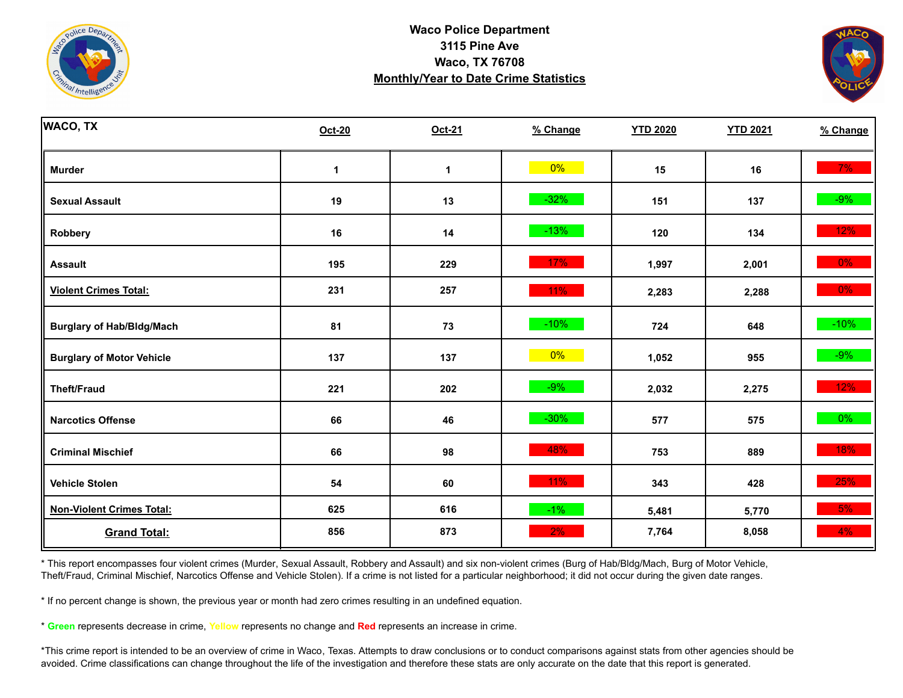![](_page_26_Picture_0.jpeg)

![](_page_26_Picture_2.jpeg)

| <b>WACO, TX</b>                  | <b>Oct-20</b> | Oct-21 | % Change | <b>YTD 2020</b> | <b>YTD 2021</b> | % Change |
|----------------------------------|---------------|--------|----------|-----------------|-----------------|----------|
| <b>Murder</b>                    | 1             | 1      | $0\%$    | 15              | 16              | 7%       |
| <b>Sexual Assault</b>            | 19            | 13     | $-32%$   | 151             | 137             | $-9%$    |
| <b>Robbery</b>                   | 16            | 14     | $-13%$   | 120             | 134             | 12%      |
| <b>Assault</b>                   | 195           | 229    | 17%      | 1,997           | 2,001           | $0\%$    |
| <b>Violent Crimes Total:</b>     | 231           | 257    | $11\%$   | 2,283           | 2,288           | $0\%$    |
| <b>Burglary of Hab/Bldg/Mach</b> | 81            | 73     | $-10%$   | 724             | 648             | $-10%$   |
| <b>Burglary of Motor Vehicle</b> | 137           | 137    | $0\%$    | 1,052           | 955             | $-9%$    |
| <b>Theft/Fraud</b>               | 221           | 202    | $-9%$    | 2,032           | 2,275           | 12%      |
| <b>Narcotics Offense</b>         | 66            | 46     | $-30%$   | 577             | 575             | $0\%$    |
| <b>Criminal Mischief</b>         | 66            | 98     | 48%      | 753             | 889             | 18%      |
| <b>Vehicle Stolen</b>            | 54            | 60     | $11\%$   | 343             | 428             | 25%      |
| <b>Non-Violent Crimes Total:</b> | 625           | 616    | $-1\%$   | 5,481           | 5,770           | 5%       |
| <b>Grand Total:</b>              | 856           | 873    | 2%       | 7,764           | 8,058           | 4%       |

\* This report encompasses four violent crimes (Murder, Sexual Assault, Robbery and Assault) and six non-violent crimes (Burg of Hab/Bldg/Mach, Burg of Motor Vehicle, Theft/Fraud, Criminal Mischief, Narcotics Offense and Vehicle Stolen). If a crime is not listed for a particular neighborhood; it did not occur during the given date ranges.

\* If no percent change is shown, the previous year or month had zero crimes resulting in an undefined equation.

\* **Green** represents decrease in crime, **Yellow** represents no change and **Red** represents an increase in crime.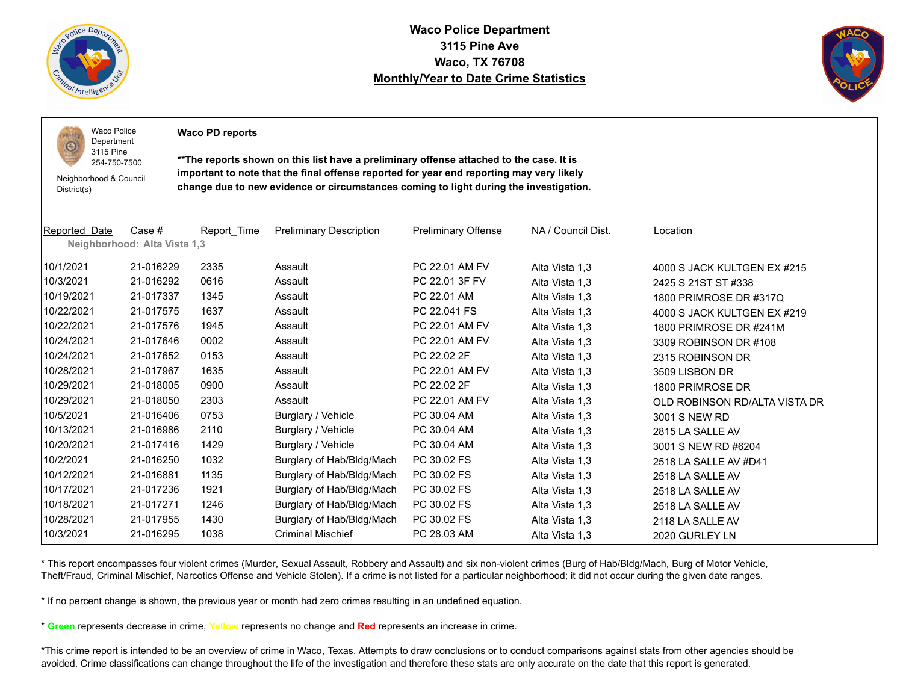![](_page_27_Picture_0.jpeg)

 $PQLI$ O

**Waco Police Department 3115 Pine Ave Waco, TX 76708 Monthly/Year to Date Crime Statistics**

![](_page_27_Picture_2.jpeg)

Waco Police Department **Waco PD reports**

3115 Pine 254-750-7500

Neighborhood & Council District(s)

**\*\*The reports shown on this list have a preliminary offense attached to the case. It is important to note that the final offense reported for year end reporting may very likely change due to new evidence or circumstances coming to light during the investigation.**

| Reported Date | Case #                       | Report Time | <b>Preliminary Description</b> | <b>Preliminary Offense</b> | NA / Council Dist. | Location                      |
|---------------|------------------------------|-------------|--------------------------------|----------------------------|--------------------|-------------------------------|
|               | Neighborhood: Alta Vista 1,3 |             |                                |                            |                    |                               |
| 10/1/2021     | 21-016229                    | 2335        | Assault                        | PC 22.01 AM FV             | Alta Vista 1,3     | 4000 S JACK KULTGEN EX #215   |
| 10/3/2021     | 21-016292                    | 0616        | Assault                        | PC 22.01 3F FV             | Alta Vista 1,3     | 2425 S 21ST ST #338           |
| 10/19/2021    | 21-017337                    | 1345        | Assault                        | PC 22.01 AM                | Alta Vista 1,3     | 1800 PRIMROSE DR #317Q        |
| 10/22/2021    | 21-017575                    | 1637        | Assault                        | PC 22.041 FS               | Alta Vista 1,3     | 4000 S JACK KULTGEN EX #219   |
| 10/22/2021    | 21-017576                    | 1945        | Assault                        | PC 22.01 AM FV             | Alta Vista 1,3     | 1800 PRIMROSE DR #241M        |
| 10/24/2021    | 21-017646                    | 0002        | Assault                        | PC 22.01 AM FV             | Alta Vista 1,3     | 3309 ROBINSON DR #108         |
| 10/24/2021    | 21-017652                    | 0153        | Assault                        | PC 22.02 2F                | Alta Vista 1,3     | 2315 ROBINSON DR              |
| 10/28/2021    | 21-017967                    | 1635        | Assault                        | PC 22.01 AM FV             | Alta Vista 1,3     | 3509 LISBON DR                |
| 10/29/2021    | 21-018005                    | 0900        | Assault                        | PC 22.02 2F                | Alta Vista 1,3     | 1800 PRIMROSE DR              |
| 10/29/2021    | 21-018050                    | 2303        | Assault                        | PC 22.01 AM FV             | Alta Vista 1,3     | OLD ROBINSON RD/ALTA VISTA DR |
| 10/5/2021     | 21-016406                    | 0753        | Burglary / Vehicle             | PC 30.04 AM                | Alta Vista 1,3     | 3001 S NEW RD                 |
| 10/13/2021    | 21-016986                    | 2110        | Burglary / Vehicle             | PC 30.04 AM                | Alta Vista 1,3     | 2815 LA SALLE AV              |
| 10/20/2021    | 21-017416                    | 1429        | Burglary / Vehicle             | PC 30.04 AM                | Alta Vista 1,3     | 3001 S NEW RD #6204           |
| 10/2/2021     | 21-016250                    | 1032        | Burglary of Hab/Bldg/Mach      | PC 30.02 FS                | Alta Vista 1,3     | 2518 LA SALLE AV #D41         |
| 10/12/2021    | 21-016881                    | 1135        | Burglary of Hab/Bldg/Mach      | PC 30.02 FS                | Alta Vista 1,3     | 2518 LA SALLE AV              |
| 10/17/2021    | 21-017236                    | 1921        | Burglary of Hab/Bldg/Mach      | PC 30.02 FS                | Alta Vista 1,3     | 2518 LA SALLE AV              |
| 10/18/2021    | 21-017271                    | 1246        | Burglary of Hab/Bldg/Mach      | PC 30.02 FS                | Alta Vista 1,3     | 2518 LA SALLE AV              |
| 10/28/2021    | 21-017955                    | 1430        | Burglary of Hab/Bldg/Mach      | PC 30.02 FS                | Alta Vista 1,3     | 2118 LA SALLE AV              |
| 10/3/2021     | 21-016295                    | 1038        | <b>Criminal Mischief</b>       | PC 28.03 AM                | Alta Vista 1,3     | 2020 GURLEY LN                |

\* This report encompasses four violent crimes (Murder, Sexual Assault, Robbery and Assault) and six non-violent crimes (Burg of Hab/Bldg/Mach, Burg of Motor Vehicle, Theft/Fraud, Criminal Mischief, Narcotics Offense and Vehicle Stolen). If a crime is not listed for a particular neighborhood; it did not occur during the given date ranges.

\* If no percent change is shown, the previous year or month had zero crimes resulting in an undefined equation.

\* **Green** represents decrease in crime, **Yellow** represents no change and **Red** represents an increase in crime.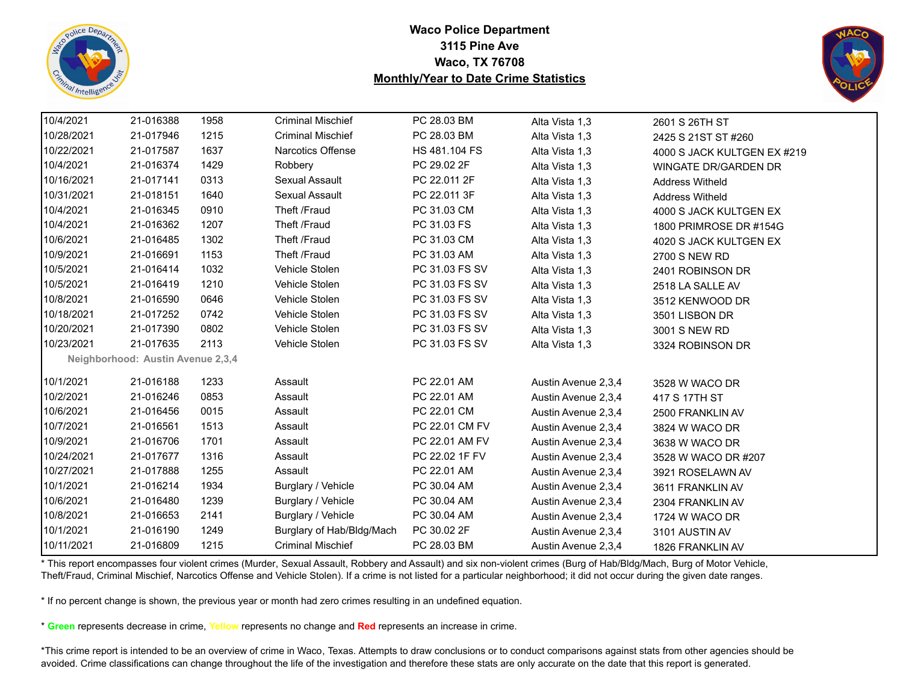![](_page_28_Picture_0.jpeg)

![](_page_28_Picture_2.jpeg)

| 10/4/2021  | 21-016388                         | 1958 | <b>Criminal Mischief</b>  | PC 28.03 BM    | Alta Vista 1,3      | 2601 S 26TH ST              |
|------------|-----------------------------------|------|---------------------------|----------------|---------------------|-----------------------------|
| 10/28/2021 | 21-017946                         | 1215 | <b>Criminal Mischief</b>  | PC 28.03 BM    | Alta Vista 1,3      | 2425 S 21ST ST #260         |
| 10/22/2021 | 21-017587                         | 1637 | <b>Narcotics Offense</b>  | HS 481.104 FS  | Alta Vista 1,3      | 4000 S JACK KULTGEN EX #219 |
| 10/4/2021  | 21-016374                         | 1429 | Robbery                   | PC 29.02 2F    | Alta Vista 1,3      | <b>WINGATE DR/GARDEN DR</b> |
| 10/16/2021 | 21-017141                         | 0313 | Sexual Assault            | PC 22.011 2F   | Alta Vista 1,3      | <b>Address Witheld</b>      |
| 10/31/2021 | 21-018151                         | 1640 | Sexual Assault            | PC 22.011 3F   | Alta Vista 1,3      | <b>Address Witheld</b>      |
| 10/4/2021  | 21-016345                         | 0910 | Theft /Fraud              | PC 31.03 CM    | Alta Vista 1,3      | 4000 S JACK KULTGEN EX      |
| 10/4/2021  | 21-016362                         | 1207 | Theft /Fraud              | PC 31.03 FS    | Alta Vista 1,3      | 1800 PRIMROSE DR #154G      |
| 10/6/2021  | 21-016485                         | 1302 | Theft /Fraud              | PC 31.03 CM    | Alta Vista 1,3      | 4020 S JACK KULTGEN EX      |
| 10/9/2021  | 21-016691                         | 1153 | Theft /Fraud              | PC 31.03 AM    | Alta Vista 1,3      | 2700 S NEW RD               |
| 10/5/2021  | 21-016414                         | 1032 | Vehicle Stolen            | PC 31.03 FS SV | Alta Vista 1,3      | 2401 ROBINSON DR            |
| 10/5/2021  | 21-016419                         | 1210 | Vehicle Stolen            | PC 31.03 FS SV | Alta Vista 1,3      | 2518 LA SALLE AV            |
| 10/8/2021  | 21-016590                         | 0646 | Vehicle Stolen            | PC 31.03 FS SV | Alta Vista 1,3      | 3512 KENWOOD DR             |
| 10/18/2021 | 21-017252                         | 0742 | Vehicle Stolen            | PC 31.03 FS SV | Alta Vista 1,3      | 3501 LISBON DR              |
| 10/20/2021 | 21-017390                         | 0802 | Vehicle Stolen            | PC 31.03 FS SV | Alta Vista 1,3      | 3001 S NEW RD               |
| 10/23/2021 | 21-017635                         | 2113 | Vehicle Stolen            | PC 31.03 FS SV | Alta Vista 1,3      | 3324 ROBINSON DR            |
|            | Neighborhood: Austin Avenue 2,3,4 |      |                           |                |                     |                             |
| 10/1/2021  | 21-016188                         | 1233 | Assault                   | PC 22.01 AM    | Austin Avenue 2,3,4 | 3528 W WACO DR              |
| 10/2/2021  | 21-016246                         | 0853 | Assault                   | PC 22.01 AM    | Austin Avenue 2,3,4 | 417 S 17TH ST               |
| 10/6/2021  | 21-016456                         | 0015 | Assault                   | PC 22.01 CM    | Austin Avenue 2,3,4 | 2500 FRANKLIN AV            |
| 10/7/2021  | 21-016561                         | 1513 | Assault                   | PC 22.01 CM FV | Austin Avenue 2,3,4 | 3824 W WACO DR              |
| 10/9/2021  | 21-016706                         | 1701 | Assault                   | PC 22.01 AM FV | Austin Avenue 2,3,4 | 3638 W WACO DR              |
| 10/24/2021 | 21-017677                         | 1316 | Assault                   | PC 22.02 1F FV | Austin Avenue 2,3,4 | 3528 W WACO DR #207         |
| 10/27/2021 | 21-017888                         | 1255 | Assault                   | PC 22.01 AM    | Austin Avenue 2,3,4 | 3921 ROSELAWN AV            |
| 10/1/2021  | 21-016214                         | 1934 | Burglary / Vehicle        | PC 30.04 AM    | Austin Avenue 2,3,4 | 3611 FRANKLIN AV            |
| 10/6/2021  | 21-016480                         | 1239 | Burglary / Vehicle        | PC 30.04 AM    | Austin Avenue 2,3,4 | 2304 FRANKLIN AV            |
| 10/8/2021  | 21-016653                         | 2141 | Burglary / Vehicle        | PC 30.04 AM    | Austin Avenue 2,3,4 | 1724 W WACO DR              |
| 10/1/2021  | 21-016190                         | 1249 | Burglary of Hab/Bldg/Mach | PC 30.02 2F    | Austin Avenue 2,3,4 | 3101 AUSTIN AV              |
| 10/11/2021 | 21-016809                         | 1215 | <b>Criminal Mischief</b>  | PC 28.03 BM    | Austin Avenue 2,3,4 | 1826 FRANKLIN AV            |

\* This report encompasses four violent crimes (Murder, Sexual Assault, Robbery and Assault) and six non-violent crimes (Burg of Hab/Bldg/Mach, Burg of Motor Vehicle, Theft/Fraud, Criminal Mischief, Narcotics Offense and Vehicle Stolen). If a crime is not listed for a particular neighborhood; it did not occur during the given date ranges.

\* If no percent change is shown, the previous year or month had zero crimes resulting in an undefined equation.

\* **Green** represents decrease in crime, **Yellow** represents no change and **Red** represents an increase in crime.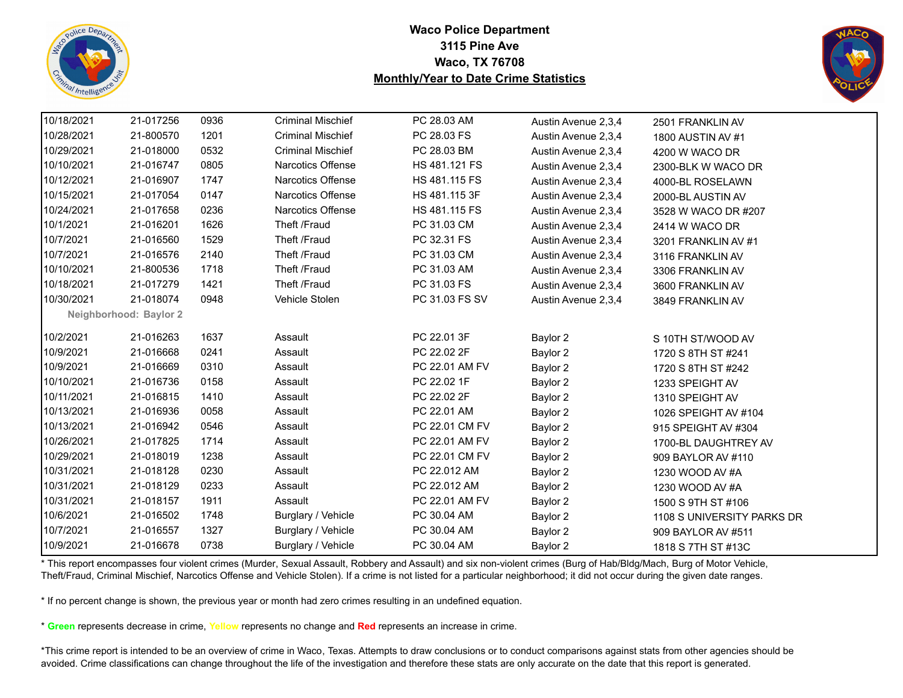![](_page_29_Picture_0.jpeg)

![](_page_29_Picture_2.jpeg)

| 10/18/2021 | 21-017256              | 0936 | <b>Criminal Mischief</b> | PC 28.03 AM    | Austin Avenue 2,3,4 | 2501 FRANKLIN AV           |
|------------|------------------------|------|--------------------------|----------------|---------------------|----------------------------|
| 10/28/2021 | 21-800570              | 1201 | <b>Criminal Mischief</b> | PC 28.03 FS    | Austin Avenue 2,3,4 | 1800 AUSTIN AV #1          |
| 10/29/2021 | 21-018000              | 0532 | <b>Criminal Mischief</b> | PC 28.03 BM    | Austin Avenue 2,3,4 | 4200 W WACO DR             |
| 10/10/2021 | 21-016747              | 0805 | <b>Narcotics Offense</b> | HS 481.121 FS  | Austin Avenue 2,3,4 | 2300-BLK W WACO DR         |
| 10/12/2021 | 21-016907              | 1747 | Narcotics Offense        | HS 481.115 FS  | Austin Avenue 2,3,4 | 4000-BL ROSELAWN           |
| 10/15/2021 | 21-017054              | 0147 | Narcotics Offense        | HS 481.115 3F  | Austin Avenue 2,3,4 | 2000-BL AUSTIN AV          |
| 10/24/2021 | 21-017658              | 0236 | <b>Narcotics Offense</b> | HS 481.115 FS  | Austin Avenue 2,3,4 | 3528 W WACO DR #207        |
| 10/1/2021  | 21-016201              | 1626 | Theft /Fraud             | PC 31.03 CM    | Austin Avenue 2,3,4 | 2414 W WACO DR             |
| 10/7/2021  | 21-016560              | 1529 | Theft /Fraud             | PC 32.31 FS    | Austin Avenue 2,3,4 | 3201 FRANKLIN AV #1        |
| 10/7/2021  | 21-016576              | 2140 | Theft /Fraud             | PC 31.03 CM    | Austin Avenue 2,3,4 | 3116 FRANKLIN AV           |
| 10/10/2021 | 21-800536              | 1718 | Theft /Fraud             | PC 31.03 AM    | Austin Avenue 2,3,4 | 3306 FRANKLIN AV           |
| 10/18/2021 | 21-017279              | 1421 | Theft /Fraud             | PC 31.03 FS    | Austin Avenue 2,3,4 | 3600 FRANKLIN AV           |
| 10/30/2021 | 21-018074              | 0948 | Vehicle Stolen           | PC 31.03 FS SV | Austin Avenue 2,3,4 | 3849 FRANKLIN AV           |
|            | Neighborhood: Baylor 2 |      |                          |                |                     |                            |
| 10/2/2021  | 21-016263              | 1637 | Assault                  | PC 22.01 3F    | Baylor 2            | S 10TH ST/WOOD AV          |
| 10/9/2021  | 21-016668              | 0241 | Assault                  | PC 22.02 2F    | Baylor 2            | 1720 S 8TH ST #241         |
| 10/9/2021  | 21-016669              | 0310 | Assault                  | PC 22.01 AM FV | Baylor 2            | 1720 S 8TH ST #242         |
| 10/10/2021 | 21-016736              | 0158 | Assault                  | PC 22.02 1F    | Baylor 2            | 1233 SPEIGHT AV            |
| 10/11/2021 | 21-016815              | 1410 | Assault                  | PC 22.02 2F    | Baylor 2            | 1310 SPEIGHT AV            |
| 10/13/2021 | 21-016936              | 0058 | Assault                  | PC 22.01 AM    | Baylor 2            | 1026 SPEIGHT AV #104       |
| 10/13/2021 | 21-016942              | 0546 | Assault                  | PC 22.01 CM FV | Baylor 2            | 915 SPEIGHT AV #304        |
| 10/26/2021 | 21-017825              | 1714 | Assault                  | PC 22.01 AM FV | Baylor 2            | 1700-BL DAUGHTREY AV       |
| 10/29/2021 | 21-018019              | 1238 | Assault                  | PC 22.01 CM FV | Baylor 2            | 909 BAYLOR AV #110         |
| 10/31/2021 | 21-018128              | 0230 | Assault                  | PC 22.012 AM   | Baylor 2            | 1230 WOOD AV #A            |
| 10/31/2021 | 21-018129              | 0233 | Assault                  | PC 22.012 AM   | Baylor 2            | 1230 WOOD AV #A            |
| 10/31/2021 | 21-018157              | 1911 | Assault                  | PC 22.01 AM FV | Baylor 2            | 1500 S 9TH ST #106         |
| 10/6/2021  | 21-016502              | 1748 | Burglary / Vehicle       | PC 30.04 AM    | Baylor 2            | 1108 S UNIVERSITY PARKS DR |
| 10/7/2021  | 21-016557              | 1327 | Burglary / Vehicle       | PC 30.04 AM    | Baylor 2            | 909 BAYLOR AV #511         |
| 10/9/2021  | 21-016678              | 0738 | Burglary / Vehicle       | PC 30.04 AM    | Baylor 2            | 1818 S 7TH ST #13C         |

\* This report encompasses four violent crimes (Murder, Sexual Assault, Robbery and Assault) and six non-violent crimes (Burg of Hab/Bldg/Mach, Burg of Motor Vehicle, Theft/Fraud, Criminal Mischief, Narcotics Offense and Vehicle Stolen). If a crime is not listed for a particular neighborhood; it did not occur during the given date ranges.

\* If no percent change is shown, the previous year or month had zero crimes resulting in an undefined equation.

\* **Green** represents decrease in crime, **Yellow** represents no change and **Red** represents an increase in crime.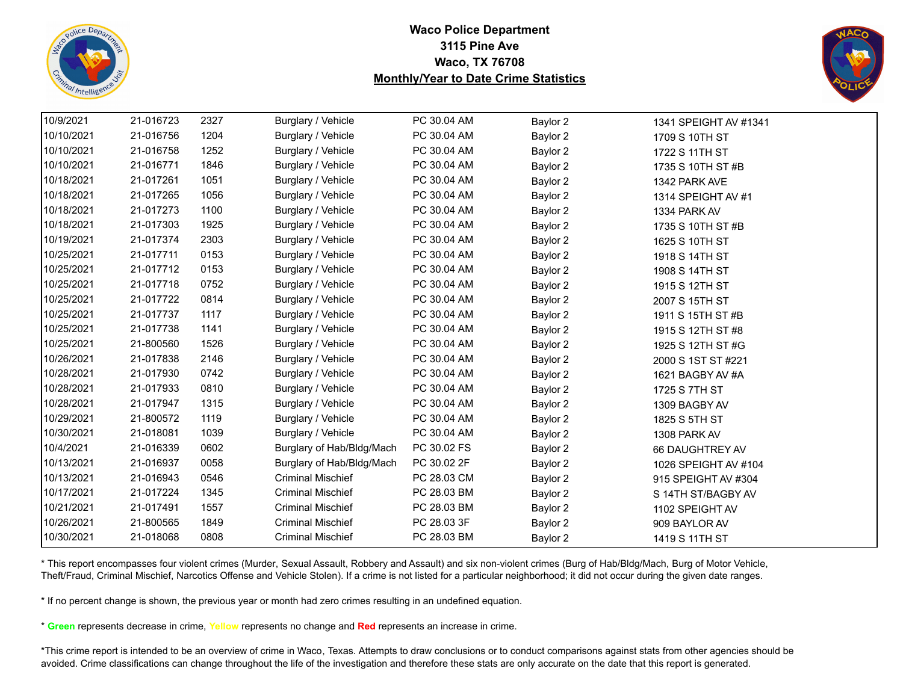![](_page_30_Picture_0.jpeg)

![](_page_30_Picture_2.jpeg)

| 10/9/2021  | 21-016723 | 2327 | Burglary / Vehicle        | PC 30.04 AM | Baylor 2 | 1341 SPEIGHT AV #1341 |  |
|------------|-----------|------|---------------------------|-------------|----------|-----------------------|--|
| 10/10/2021 | 21-016756 | 1204 | Burglary / Vehicle        | PC 30.04 AM | Baylor 2 | 1709 S 10TH ST        |  |
| 10/10/2021 | 21-016758 | 1252 | Burglary / Vehicle        | PC 30.04 AM | Baylor 2 | 1722 S 11TH ST        |  |
| 10/10/2021 | 21-016771 | 1846 | Burglary / Vehicle        | PC 30.04 AM | Baylor 2 | 1735 S 10TH ST #B     |  |
| 10/18/2021 | 21-017261 | 1051 | Burglary / Vehicle        | PC 30.04 AM | Baylor 2 | 1342 PARK AVE         |  |
| 10/18/2021 | 21-017265 | 1056 | Burglary / Vehicle        | PC 30.04 AM | Baylor 2 | 1314 SPEIGHT AV #1    |  |
| 10/18/2021 | 21-017273 | 1100 | Burglary / Vehicle        | PC 30.04 AM | Baylor 2 | 1334 PARK AV          |  |
| 10/18/2021 | 21-017303 | 1925 | Burglary / Vehicle        | PC 30.04 AM | Baylor 2 | 1735 S 10TH ST #B     |  |
| 10/19/2021 | 21-017374 | 2303 | Burglary / Vehicle        | PC 30.04 AM | Baylor 2 | 1625 S 10TH ST        |  |
| 10/25/2021 | 21-017711 | 0153 | Burglary / Vehicle        | PC 30.04 AM | Baylor 2 | 1918 S 14TH ST        |  |
| 10/25/2021 | 21-017712 | 0153 | Burglary / Vehicle        | PC 30.04 AM | Baylor 2 | 1908 S 14TH ST        |  |
| 10/25/2021 | 21-017718 | 0752 | Burglary / Vehicle        | PC 30.04 AM | Baylor 2 | 1915 S 12TH ST        |  |
| 10/25/2021 | 21-017722 | 0814 | Burglary / Vehicle        | PC 30.04 AM | Baylor 2 | 2007 S 15TH ST        |  |
| 10/25/2021 | 21-017737 | 1117 | Burglary / Vehicle        | PC 30.04 AM | Baylor 2 | 1911 S 15TH ST #B     |  |
| 10/25/2021 | 21-017738 | 1141 | Burglary / Vehicle        | PC 30.04 AM | Baylor 2 | 1915 S 12TH ST #8     |  |
| 10/25/2021 | 21-800560 | 1526 | Burglary / Vehicle        | PC 30.04 AM | Baylor 2 | 1925 S 12TH ST #G     |  |
| 10/26/2021 | 21-017838 | 2146 | Burglary / Vehicle        | PC 30.04 AM | Baylor 2 | 2000 S 1ST ST #221    |  |
| 10/28/2021 | 21-017930 | 0742 | Burglary / Vehicle        | PC 30.04 AM | Baylor 2 | 1621 BAGBY AV #A      |  |
| 10/28/2021 | 21-017933 | 0810 | Burglary / Vehicle        | PC 30.04 AM | Baylor 2 | 1725 S 7TH ST         |  |
| 10/28/2021 | 21-017947 | 1315 | Burglary / Vehicle        | PC 30.04 AM | Baylor 2 | 1309 BAGBY AV         |  |
| 10/29/2021 | 21-800572 | 1119 | Burglary / Vehicle        | PC 30.04 AM | Baylor 2 | 1825 S 5TH ST         |  |
| 10/30/2021 | 21-018081 | 1039 | Burglary / Vehicle        | PC 30.04 AM | Baylor 2 | 1308 PARK AV          |  |
| 10/4/2021  | 21-016339 | 0602 | Burglary of Hab/Bldg/Mach | PC 30.02 FS | Baylor 2 | 66 DAUGHTREY AV       |  |
| 10/13/2021 | 21-016937 | 0058 | Burglary of Hab/Bldg/Mach | PC 30.02 2F | Baylor 2 | 1026 SPEIGHT AV #104  |  |
| 10/13/2021 | 21-016943 | 0546 | <b>Criminal Mischief</b>  | PC 28.03 CM | Baylor 2 | 915 SPEIGHT AV #304   |  |
| 10/17/2021 | 21-017224 | 1345 | <b>Criminal Mischief</b>  | PC 28.03 BM | Baylor 2 | S 14TH ST/BAGBY AV    |  |
| 10/21/2021 | 21-017491 | 1557 | <b>Criminal Mischief</b>  | PC 28.03 BM | Baylor 2 | 1102 SPEIGHT AV       |  |
| 10/26/2021 | 21-800565 | 1849 | <b>Criminal Mischief</b>  | PC 28.03 3F | Baylor 2 | 909 BAYLOR AV         |  |
| 10/30/2021 | 21-018068 | 0808 | <b>Criminal Mischief</b>  | PC 28.03 BM | Baylor 2 | 1419 S 11TH ST        |  |

\* This report encompasses four violent crimes (Murder, Sexual Assault, Robbery and Assault) and six non-violent crimes (Burg of Hab/Bldg/Mach, Burg of Motor Vehicle, Theft/Fraud, Criminal Mischief, Narcotics Offense and Vehicle Stolen). If a crime is not listed for a particular neighborhood; it did not occur during the given date ranges.

\* If no percent change is shown, the previous year or month had zero crimes resulting in an undefined equation.

\* **Green** represents decrease in crime, **Yellow** represents no change and **Red** represents an increase in crime.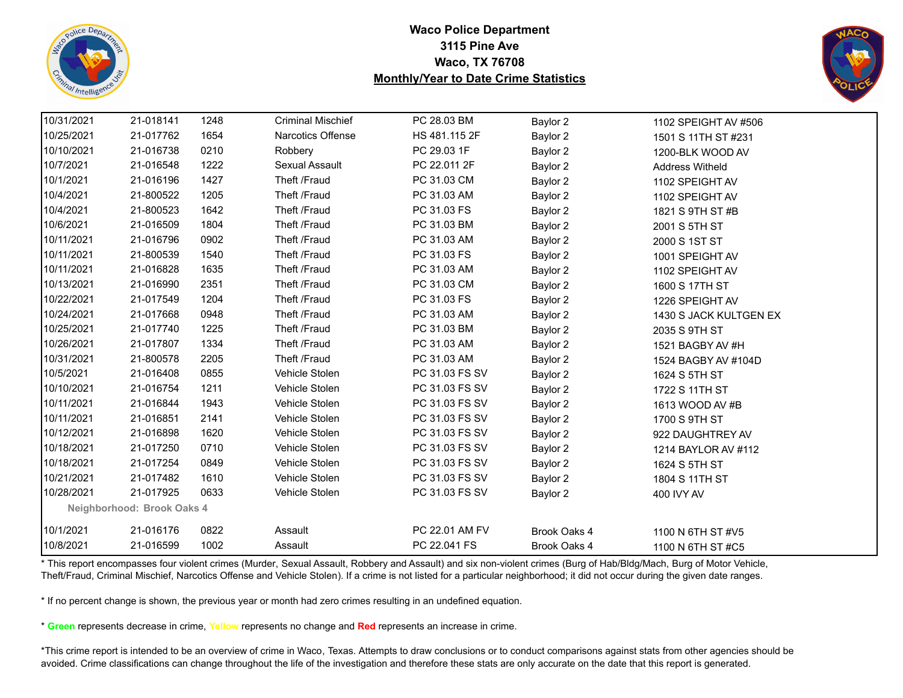![](_page_31_Picture_0.jpeg)

![](_page_31_Picture_2.jpeg)

| 10/31/2021 | 21-018141                  | 1248 | <b>Criminal Mischief</b> | PC 28.03 BM    | Baylor 2     | 1102 SPEIGHT AV #506   |  |
|------------|----------------------------|------|--------------------------|----------------|--------------|------------------------|--|
| 10/25/2021 | 21-017762                  | 1654 | Narcotics Offense        | HS 481.115 2F  | Baylor 2     | 1501 S 11TH ST #231    |  |
| 10/10/2021 | 21-016738                  | 0210 | Robbery                  | PC 29.03 1F    | Baylor 2     | 1200-BLK WOOD AV       |  |
| 10/7/2021  | 21-016548                  | 1222 | Sexual Assault           | PC 22.011 2F   | Baylor 2     | <b>Address Witheld</b> |  |
| 10/1/2021  | 21-016196                  | 1427 | Theft /Fraud             | PC 31.03 CM    | Baylor 2     | 1102 SPEIGHT AV        |  |
| 10/4/2021  | 21-800522                  | 1205 | Theft /Fraud             | PC 31.03 AM    | Baylor 2     | 1102 SPEIGHT AV        |  |
| 10/4/2021  | 21-800523                  | 1642 | Theft /Fraud             | PC 31.03 FS    | Baylor 2     | 1821 S 9TH ST #B       |  |
| 10/6/2021  | 21-016509                  | 1804 | Theft /Fraud             | PC 31.03 BM    | Baylor 2     | 2001 S 5TH ST          |  |
| 10/11/2021 | 21-016796                  | 0902 | Theft /Fraud             | PC 31.03 AM    | Baylor 2     | 2000 S 1ST ST          |  |
| 10/11/2021 | 21-800539                  | 1540 | Theft /Fraud             | PC 31.03 FS    | Baylor 2     | 1001 SPEIGHT AV        |  |
| 10/11/2021 | 21-016828                  | 1635 | Theft /Fraud             | PC 31.03 AM    | Baylor 2     | 1102 SPEIGHT AV        |  |
| 10/13/2021 | 21-016990                  | 2351 | Theft /Fraud             | PC 31.03 CM    | Baylor 2     | 1600 S 17TH ST         |  |
| 10/22/2021 | 21-017549                  | 1204 | Theft /Fraud             | PC 31.03 FS    | Baylor 2     | 1226 SPEIGHT AV        |  |
| 10/24/2021 | 21-017668                  | 0948 | Theft /Fraud             | PC 31.03 AM    | Baylor 2     | 1430 S JACK KULTGEN EX |  |
| 10/25/2021 | 21-017740                  | 1225 | Theft /Fraud             | PC 31.03 BM    | Baylor 2     | 2035 S 9TH ST          |  |
| 10/26/2021 | 21-017807                  | 1334 | Theft /Fraud             | PC 31.03 AM    | Baylor 2     | 1521 BAGBY AV #H       |  |
| 10/31/2021 | 21-800578                  | 2205 | Theft /Fraud             | PC 31.03 AM    | Baylor 2     | 1524 BAGBY AV #104D    |  |
| 10/5/2021  | 21-016408                  | 0855 | Vehicle Stolen           | PC 31.03 FS SV | Baylor 2     | 1624 S 5TH ST          |  |
| 10/10/2021 | 21-016754                  | 1211 | Vehicle Stolen           | PC 31.03 FS SV | Baylor 2     | 1722 S 11TH ST         |  |
| 10/11/2021 | 21-016844                  | 1943 | Vehicle Stolen           | PC 31.03 FS SV | Baylor 2     | 1613 WOOD AV #B        |  |
| 10/11/2021 | 21-016851                  | 2141 | Vehicle Stolen           | PC 31.03 FS SV | Baylor 2     | 1700 S 9TH ST          |  |
| 10/12/2021 | 21-016898                  | 1620 | Vehicle Stolen           | PC 31.03 FS SV | Baylor 2     | 922 DAUGHTREY AV       |  |
| 10/18/2021 | 21-017250                  | 0710 | Vehicle Stolen           | PC 31.03 FS SV | Baylor 2     | 1214 BAYLOR AV #112    |  |
| 10/18/2021 | 21-017254                  | 0849 | Vehicle Stolen           | PC 31.03 FS SV | Baylor 2     | 1624 S 5TH ST          |  |
| 10/21/2021 | 21-017482                  | 1610 | Vehicle Stolen           | PC 31.03 FS SV | Baylor 2     | 1804 S 11TH ST         |  |
| 10/28/2021 | 21-017925                  | 0633 | Vehicle Stolen           | PC 31.03 FS SV | Baylor 2     | 400 IVY AV             |  |
|            | Neighborhood: Brook Oaks 4 |      |                          |                |              |                        |  |
| 10/1/2021  | 21-016176                  | 0822 | Assault                  | PC 22.01 AM FV | Brook Oaks 4 | 1100 N 6TH ST #V5      |  |
| 10/8/2021  | 21-016599                  | 1002 | Assault                  | PC 22.041 FS   | Brook Oaks 4 | 1100 N 6TH ST #C5      |  |

\* This report encompasses four violent crimes (Murder, Sexual Assault, Robbery and Assault) and six non-violent crimes (Burg of Hab/Bldg/Mach, Burg of Motor Vehicle, Theft/Fraud, Criminal Mischief, Narcotics Offense and Vehicle Stolen). If a crime is not listed for a particular neighborhood; it did not occur during the given date ranges.

\* If no percent change is shown, the previous year or month had zero crimes resulting in an undefined equation.

\* **Green** represents decrease in crime, **Yellow** represents no change and **Red** represents an increase in crime.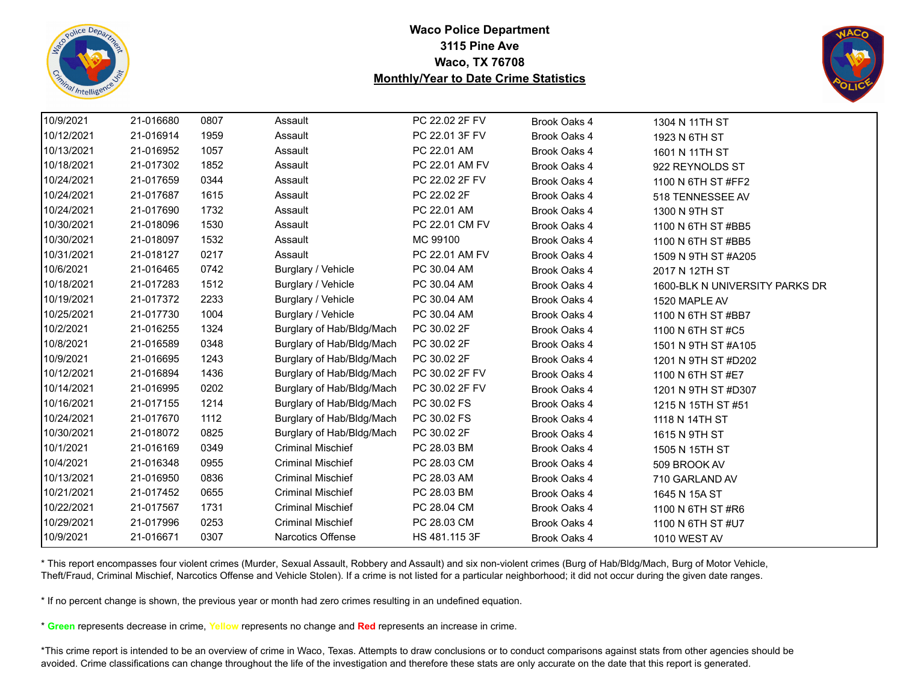![](_page_32_Picture_0.jpeg)

![](_page_32_Picture_2.jpeg)

| 10/9/2021<br>21-016680<br>0807<br>PC 22.02 2F FV<br>Assault<br>Brook Oaks 4<br>1304 N 11TH ST<br>10/12/2021<br>21-016914<br>1959<br>Assault<br>PC 22.01 3F FV<br>Brook Oaks 4<br>1923 N 6TH ST<br>10/13/2021<br>21-016952<br>1057<br>Assault<br>PC 22.01 AM<br>Brook Oaks 4<br>1601 N 11TH ST<br>10/18/2021<br>21-017302<br>1852<br>Assault<br>PC 22.01 AM FV<br>Brook Oaks 4<br>922 REYNOLDS ST<br>0344<br>Assault<br>10/24/2021<br>21-017659<br>PC 22.02 2F FV<br>Brook Oaks 4<br>1100 N 6TH ST #FF2<br>10/24/2021<br>21-017687<br>1615<br>PC 22.02 2F<br>Assault<br>Brook Oaks 4<br>518 TENNESSEE AV<br>10/24/2021<br>21-017690<br>1732<br>Assault<br>PC 22.01 AM<br>Brook Oaks 4<br>1300 N 9TH ST<br>1530<br>10/30/2021<br>21-018096<br>Assault<br>PC 22.01 CM FV<br>Brook Oaks 4<br>1100 N 6TH ST #BB5<br>10/30/2021<br>1532<br>21-018097<br>Assault<br>MC 99100<br>Brook Oaks 4<br>1100 N 6TH ST #BB5<br>21-018127<br>0217<br>10/31/2021<br>Assault<br>PC 22.01 AM FV<br>Brook Oaks 4<br>1509 N 9TH ST #A205<br>10/6/2021<br>21-016465<br>0742<br>Burglary / Vehicle<br>PC 30.04 AM<br>Brook Oaks 4<br>2017 N 12TH ST<br>10/18/2021<br>1512<br>21-017283<br>Burglary / Vehicle<br>PC 30.04 AM<br>Brook Oaks 4<br>10/19/2021<br>21-017372<br>2233<br>Burglary / Vehicle<br>PC 30.04 AM<br>Brook Oaks 4<br>1520 MAPLE AV<br>1004<br>Burglary / Vehicle<br>PC 30.04 AM<br>10/25/2021<br>21-017730<br>Brook Oaks 4<br>1100 N 6TH ST #BB7<br>Burglary of Hab/Bldg/Mach<br>PC 30.02 2F<br>10/2/2021<br>21-016255<br>1324<br>Brook Oaks 4<br>1100 N 6TH ST #C5<br>10/8/2021<br>21-016589<br>0348<br>Burglary of Hab/Bldg/Mach<br>PC 30.02 2F<br>Brook Oaks 4<br>1501 N 9TH ST #A105<br>10/9/2021<br>Burglary of Hab/Bldg/Mach<br>PC 30.02 2F<br>21-016695<br>1243<br>Brook Oaks 4<br>1201 N 9TH ST #D202<br>1436<br>Burglary of Hab/Bldg/Mach<br>10/12/2021<br>21-016894<br>PC 30.02 2F FV<br>Brook Oaks 4<br>1100 N 6TH ST #E7<br>10/14/2021<br>0202<br>Burglary of Hab/Bldg/Mach<br>21-016995<br>PC 30.02 2F FV<br>Brook Oaks 4<br>1201 N 9TH ST #D307<br>10/16/2021<br>21-017155<br>1214<br>Burglary of Hab/Bldg/Mach<br>PC 30.02 FS<br>Brook Oaks 4<br>1215 N 15TH ST #51<br>10/24/2021<br>Burglary of Hab/Bldg/Mach<br>PC 30.02 FS<br>21-017670<br>1112<br>Brook Oaks 4<br>1118 N 14TH ST<br>Burglary of Hab/Bldg/Mach<br>PC 30.02 2F<br>10/30/2021<br>21-018072<br>0825<br>Brook Oaks 4<br>1615 N 9TH ST<br>10/1/2021<br>21-016169<br>0349<br><b>Criminal Mischief</b><br>PC 28.03 BM<br>Brook Oaks 4<br>1505 N 15TH ST<br>10/4/2021<br>21-016348<br>0955<br><b>Criminal Mischief</b><br>PC 28.03 CM<br>Brook Oaks 4<br>509 BROOK AV<br>10/13/2021<br>21-016950<br>0836<br><b>Criminal Mischief</b><br>PC 28.03 AM<br>Brook Oaks 4<br>710 GARLAND AV<br>10/21/2021<br>21-017452<br>0655<br><b>Criminal Mischief</b><br>PC 28.03 BM<br>Brook Oaks 4<br>1645 N 15A ST<br>10/22/2021<br>21-017567<br>1731<br><b>Criminal Mischief</b><br>PC 28.04 CM<br>Brook Oaks 4<br>1100 N 6TH ST #R6<br>10/29/2021<br><b>Criminal Mischief</b><br>PC 28.03 CM<br>21-017996<br>0253<br>Brook Oaks 4<br>1100 N 6TH ST #U7<br><b>Narcotics Offense</b><br>0307 |           |           |  |               |              |                                |
|----------------------------------------------------------------------------------------------------------------------------------------------------------------------------------------------------------------------------------------------------------------------------------------------------------------------------------------------------------------------------------------------------------------------------------------------------------------------------------------------------------------------------------------------------------------------------------------------------------------------------------------------------------------------------------------------------------------------------------------------------------------------------------------------------------------------------------------------------------------------------------------------------------------------------------------------------------------------------------------------------------------------------------------------------------------------------------------------------------------------------------------------------------------------------------------------------------------------------------------------------------------------------------------------------------------------------------------------------------------------------------------------------------------------------------------------------------------------------------------------------------------------------------------------------------------------------------------------------------------------------------------------------------------------------------------------------------------------------------------------------------------------------------------------------------------------------------------------------------------------------------------------------------------------------------------------------------------------------------------------------------------------------------------------------------------------------------------------------------------------------------------------------------------------------------------------------------------------------------------------------------------------------------------------------------------------------------------------------------------------------------------------------------------------------------------------------------------------------------------------------------------------------------------------------------------------------------------------------------------------------------------------------------------------------------------------------------------------------------------------------------------------------------------------------------------------------------------------------------------------------------------------------------------------------------------------------------------------------------------------------------------------------------------------------------------------------------------------------------------------------------------------------|-----------|-----------|--|---------------|--------------|--------------------------------|
|                                                                                                                                                                                                                                                                                                                                                                                                                                                                                                                                                                                                                                                                                                                                                                                                                                                                                                                                                                                                                                                                                                                                                                                                                                                                                                                                                                                                                                                                                                                                                                                                                                                                                                                                                                                                                                                                                                                                                                                                                                                                                                                                                                                                                                                                                                                                                                                                                                                                                                                                                                                                                                                                                                                                                                                                                                                                                                                                                                                                                                                                                                                                                    |           |           |  |               |              |                                |
|                                                                                                                                                                                                                                                                                                                                                                                                                                                                                                                                                                                                                                                                                                                                                                                                                                                                                                                                                                                                                                                                                                                                                                                                                                                                                                                                                                                                                                                                                                                                                                                                                                                                                                                                                                                                                                                                                                                                                                                                                                                                                                                                                                                                                                                                                                                                                                                                                                                                                                                                                                                                                                                                                                                                                                                                                                                                                                                                                                                                                                                                                                                                                    |           |           |  |               |              |                                |
|                                                                                                                                                                                                                                                                                                                                                                                                                                                                                                                                                                                                                                                                                                                                                                                                                                                                                                                                                                                                                                                                                                                                                                                                                                                                                                                                                                                                                                                                                                                                                                                                                                                                                                                                                                                                                                                                                                                                                                                                                                                                                                                                                                                                                                                                                                                                                                                                                                                                                                                                                                                                                                                                                                                                                                                                                                                                                                                                                                                                                                                                                                                                                    |           |           |  |               |              |                                |
|                                                                                                                                                                                                                                                                                                                                                                                                                                                                                                                                                                                                                                                                                                                                                                                                                                                                                                                                                                                                                                                                                                                                                                                                                                                                                                                                                                                                                                                                                                                                                                                                                                                                                                                                                                                                                                                                                                                                                                                                                                                                                                                                                                                                                                                                                                                                                                                                                                                                                                                                                                                                                                                                                                                                                                                                                                                                                                                                                                                                                                                                                                                                                    |           |           |  |               |              |                                |
|                                                                                                                                                                                                                                                                                                                                                                                                                                                                                                                                                                                                                                                                                                                                                                                                                                                                                                                                                                                                                                                                                                                                                                                                                                                                                                                                                                                                                                                                                                                                                                                                                                                                                                                                                                                                                                                                                                                                                                                                                                                                                                                                                                                                                                                                                                                                                                                                                                                                                                                                                                                                                                                                                                                                                                                                                                                                                                                                                                                                                                                                                                                                                    |           |           |  |               |              |                                |
|                                                                                                                                                                                                                                                                                                                                                                                                                                                                                                                                                                                                                                                                                                                                                                                                                                                                                                                                                                                                                                                                                                                                                                                                                                                                                                                                                                                                                                                                                                                                                                                                                                                                                                                                                                                                                                                                                                                                                                                                                                                                                                                                                                                                                                                                                                                                                                                                                                                                                                                                                                                                                                                                                                                                                                                                                                                                                                                                                                                                                                                                                                                                                    |           |           |  |               |              |                                |
|                                                                                                                                                                                                                                                                                                                                                                                                                                                                                                                                                                                                                                                                                                                                                                                                                                                                                                                                                                                                                                                                                                                                                                                                                                                                                                                                                                                                                                                                                                                                                                                                                                                                                                                                                                                                                                                                                                                                                                                                                                                                                                                                                                                                                                                                                                                                                                                                                                                                                                                                                                                                                                                                                                                                                                                                                                                                                                                                                                                                                                                                                                                                                    |           |           |  |               |              |                                |
|                                                                                                                                                                                                                                                                                                                                                                                                                                                                                                                                                                                                                                                                                                                                                                                                                                                                                                                                                                                                                                                                                                                                                                                                                                                                                                                                                                                                                                                                                                                                                                                                                                                                                                                                                                                                                                                                                                                                                                                                                                                                                                                                                                                                                                                                                                                                                                                                                                                                                                                                                                                                                                                                                                                                                                                                                                                                                                                                                                                                                                                                                                                                                    |           |           |  |               |              |                                |
|                                                                                                                                                                                                                                                                                                                                                                                                                                                                                                                                                                                                                                                                                                                                                                                                                                                                                                                                                                                                                                                                                                                                                                                                                                                                                                                                                                                                                                                                                                                                                                                                                                                                                                                                                                                                                                                                                                                                                                                                                                                                                                                                                                                                                                                                                                                                                                                                                                                                                                                                                                                                                                                                                                                                                                                                                                                                                                                                                                                                                                                                                                                                                    |           |           |  |               |              |                                |
|                                                                                                                                                                                                                                                                                                                                                                                                                                                                                                                                                                                                                                                                                                                                                                                                                                                                                                                                                                                                                                                                                                                                                                                                                                                                                                                                                                                                                                                                                                                                                                                                                                                                                                                                                                                                                                                                                                                                                                                                                                                                                                                                                                                                                                                                                                                                                                                                                                                                                                                                                                                                                                                                                                                                                                                                                                                                                                                                                                                                                                                                                                                                                    |           |           |  |               |              |                                |
|                                                                                                                                                                                                                                                                                                                                                                                                                                                                                                                                                                                                                                                                                                                                                                                                                                                                                                                                                                                                                                                                                                                                                                                                                                                                                                                                                                                                                                                                                                                                                                                                                                                                                                                                                                                                                                                                                                                                                                                                                                                                                                                                                                                                                                                                                                                                                                                                                                                                                                                                                                                                                                                                                                                                                                                                                                                                                                                                                                                                                                                                                                                                                    |           |           |  |               |              |                                |
|                                                                                                                                                                                                                                                                                                                                                                                                                                                                                                                                                                                                                                                                                                                                                                                                                                                                                                                                                                                                                                                                                                                                                                                                                                                                                                                                                                                                                                                                                                                                                                                                                                                                                                                                                                                                                                                                                                                                                                                                                                                                                                                                                                                                                                                                                                                                                                                                                                                                                                                                                                                                                                                                                                                                                                                                                                                                                                                                                                                                                                                                                                                                                    |           |           |  |               |              | 1600-BLK N UNIVERSITY PARKS DR |
|                                                                                                                                                                                                                                                                                                                                                                                                                                                                                                                                                                                                                                                                                                                                                                                                                                                                                                                                                                                                                                                                                                                                                                                                                                                                                                                                                                                                                                                                                                                                                                                                                                                                                                                                                                                                                                                                                                                                                                                                                                                                                                                                                                                                                                                                                                                                                                                                                                                                                                                                                                                                                                                                                                                                                                                                                                                                                                                                                                                                                                                                                                                                                    |           |           |  |               |              |                                |
|                                                                                                                                                                                                                                                                                                                                                                                                                                                                                                                                                                                                                                                                                                                                                                                                                                                                                                                                                                                                                                                                                                                                                                                                                                                                                                                                                                                                                                                                                                                                                                                                                                                                                                                                                                                                                                                                                                                                                                                                                                                                                                                                                                                                                                                                                                                                                                                                                                                                                                                                                                                                                                                                                                                                                                                                                                                                                                                                                                                                                                                                                                                                                    |           |           |  |               |              |                                |
|                                                                                                                                                                                                                                                                                                                                                                                                                                                                                                                                                                                                                                                                                                                                                                                                                                                                                                                                                                                                                                                                                                                                                                                                                                                                                                                                                                                                                                                                                                                                                                                                                                                                                                                                                                                                                                                                                                                                                                                                                                                                                                                                                                                                                                                                                                                                                                                                                                                                                                                                                                                                                                                                                                                                                                                                                                                                                                                                                                                                                                                                                                                                                    |           |           |  |               |              |                                |
|                                                                                                                                                                                                                                                                                                                                                                                                                                                                                                                                                                                                                                                                                                                                                                                                                                                                                                                                                                                                                                                                                                                                                                                                                                                                                                                                                                                                                                                                                                                                                                                                                                                                                                                                                                                                                                                                                                                                                                                                                                                                                                                                                                                                                                                                                                                                                                                                                                                                                                                                                                                                                                                                                                                                                                                                                                                                                                                                                                                                                                                                                                                                                    |           |           |  |               |              |                                |
|                                                                                                                                                                                                                                                                                                                                                                                                                                                                                                                                                                                                                                                                                                                                                                                                                                                                                                                                                                                                                                                                                                                                                                                                                                                                                                                                                                                                                                                                                                                                                                                                                                                                                                                                                                                                                                                                                                                                                                                                                                                                                                                                                                                                                                                                                                                                                                                                                                                                                                                                                                                                                                                                                                                                                                                                                                                                                                                                                                                                                                                                                                                                                    |           |           |  |               |              |                                |
|                                                                                                                                                                                                                                                                                                                                                                                                                                                                                                                                                                                                                                                                                                                                                                                                                                                                                                                                                                                                                                                                                                                                                                                                                                                                                                                                                                                                                                                                                                                                                                                                                                                                                                                                                                                                                                                                                                                                                                                                                                                                                                                                                                                                                                                                                                                                                                                                                                                                                                                                                                                                                                                                                                                                                                                                                                                                                                                                                                                                                                                                                                                                                    |           |           |  |               |              |                                |
|                                                                                                                                                                                                                                                                                                                                                                                                                                                                                                                                                                                                                                                                                                                                                                                                                                                                                                                                                                                                                                                                                                                                                                                                                                                                                                                                                                                                                                                                                                                                                                                                                                                                                                                                                                                                                                                                                                                                                                                                                                                                                                                                                                                                                                                                                                                                                                                                                                                                                                                                                                                                                                                                                                                                                                                                                                                                                                                                                                                                                                                                                                                                                    |           |           |  |               |              |                                |
|                                                                                                                                                                                                                                                                                                                                                                                                                                                                                                                                                                                                                                                                                                                                                                                                                                                                                                                                                                                                                                                                                                                                                                                                                                                                                                                                                                                                                                                                                                                                                                                                                                                                                                                                                                                                                                                                                                                                                                                                                                                                                                                                                                                                                                                                                                                                                                                                                                                                                                                                                                                                                                                                                                                                                                                                                                                                                                                                                                                                                                                                                                                                                    |           |           |  |               |              |                                |
|                                                                                                                                                                                                                                                                                                                                                                                                                                                                                                                                                                                                                                                                                                                                                                                                                                                                                                                                                                                                                                                                                                                                                                                                                                                                                                                                                                                                                                                                                                                                                                                                                                                                                                                                                                                                                                                                                                                                                                                                                                                                                                                                                                                                                                                                                                                                                                                                                                                                                                                                                                                                                                                                                                                                                                                                                                                                                                                                                                                                                                                                                                                                                    |           |           |  |               |              |                                |
|                                                                                                                                                                                                                                                                                                                                                                                                                                                                                                                                                                                                                                                                                                                                                                                                                                                                                                                                                                                                                                                                                                                                                                                                                                                                                                                                                                                                                                                                                                                                                                                                                                                                                                                                                                                                                                                                                                                                                                                                                                                                                                                                                                                                                                                                                                                                                                                                                                                                                                                                                                                                                                                                                                                                                                                                                                                                                                                                                                                                                                                                                                                                                    |           |           |  |               |              |                                |
|                                                                                                                                                                                                                                                                                                                                                                                                                                                                                                                                                                                                                                                                                                                                                                                                                                                                                                                                                                                                                                                                                                                                                                                                                                                                                                                                                                                                                                                                                                                                                                                                                                                                                                                                                                                                                                                                                                                                                                                                                                                                                                                                                                                                                                                                                                                                                                                                                                                                                                                                                                                                                                                                                                                                                                                                                                                                                                                                                                                                                                                                                                                                                    |           |           |  |               |              |                                |
|                                                                                                                                                                                                                                                                                                                                                                                                                                                                                                                                                                                                                                                                                                                                                                                                                                                                                                                                                                                                                                                                                                                                                                                                                                                                                                                                                                                                                                                                                                                                                                                                                                                                                                                                                                                                                                                                                                                                                                                                                                                                                                                                                                                                                                                                                                                                                                                                                                                                                                                                                                                                                                                                                                                                                                                                                                                                                                                                                                                                                                                                                                                                                    |           |           |  |               |              |                                |
|                                                                                                                                                                                                                                                                                                                                                                                                                                                                                                                                                                                                                                                                                                                                                                                                                                                                                                                                                                                                                                                                                                                                                                                                                                                                                                                                                                                                                                                                                                                                                                                                                                                                                                                                                                                                                                                                                                                                                                                                                                                                                                                                                                                                                                                                                                                                                                                                                                                                                                                                                                                                                                                                                                                                                                                                                                                                                                                                                                                                                                                                                                                                                    |           |           |  |               |              |                                |
|                                                                                                                                                                                                                                                                                                                                                                                                                                                                                                                                                                                                                                                                                                                                                                                                                                                                                                                                                                                                                                                                                                                                                                                                                                                                                                                                                                                                                                                                                                                                                                                                                                                                                                                                                                                                                                                                                                                                                                                                                                                                                                                                                                                                                                                                                                                                                                                                                                                                                                                                                                                                                                                                                                                                                                                                                                                                                                                                                                                                                                                                                                                                                    |           |           |  |               |              |                                |
|                                                                                                                                                                                                                                                                                                                                                                                                                                                                                                                                                                                                                                                                                                                                                                                                                                                                                                                                                                                                                                                                                                                                                                                                                                                                                                                                                                                                                                                                                                                                                                                                                                                                                                                                                                                                                                                                                                                                                                                                                                                                                                                                                                                                                                                                                                                                                                                                                                                                                                                                                                                                                                                                                                                                                                                                                                                                                                                                                                                                                                                                                                                                                    |           |           |  |               |              |                                |
|                                                                                                                                                                                                                                                                                                                                                                                                                                                                                                                                                                                                                                                                                                                                                                                                                                                                                                                                                                                                                                                                                                                                                                                                                                                                                                                                                                                                                                                                                                                                                                                                                                                                                                                                                                                                                                                                                                                                                                                                                                                                                                                                                                                                                                                                                                                                                                                                                                                                                                                                                                                                                                                                                                                                                                                                                                                                                                                                                                                                                                                                                                                                                    |           |           |  |               |              |                                |
|                                                                                                                                                                                                                                                                                                                                                                                                                                                                                                                                                                                                                                                                                                                                                                                                                                                                                                                                                                                                                                                                                                                                                                                                                                                                                                                                                                                                                                                                                                                                                                                                                                                                                                                                                                                                                                                                                                                                                                                                                                                                                                                                                                                                                                                                                                                                                                                                                                                                                                                                                                                                                                                                                                                                                                                                                                                                                                                                                                                                                                                                                                                                                    | 10/9/2021 | 21-016671 |  | HS 481.115 3F | Brook Oaks 4 | 1010 WEST AV                   |

\* This report encompasses four violent crimes (Murder, Sexual Assault, Robbery and Assault) and six non-violent crimes (Burg of Hab/Bldg/Mach, Burg of Motor Vehicle, Theft/Fraud, Criminal Mischief, Narcotics Offense and Vehicle Stolen). If a crime is not listed for a particular neighborhood; it did not occur during the given date ranges.

\* If no percent change is shown, the previous year or month had zero crimes resulting in an undefined equation.

\* **Green** represents decrease in crime, **Yellow** represents no change and **Red** represents an increase in crime.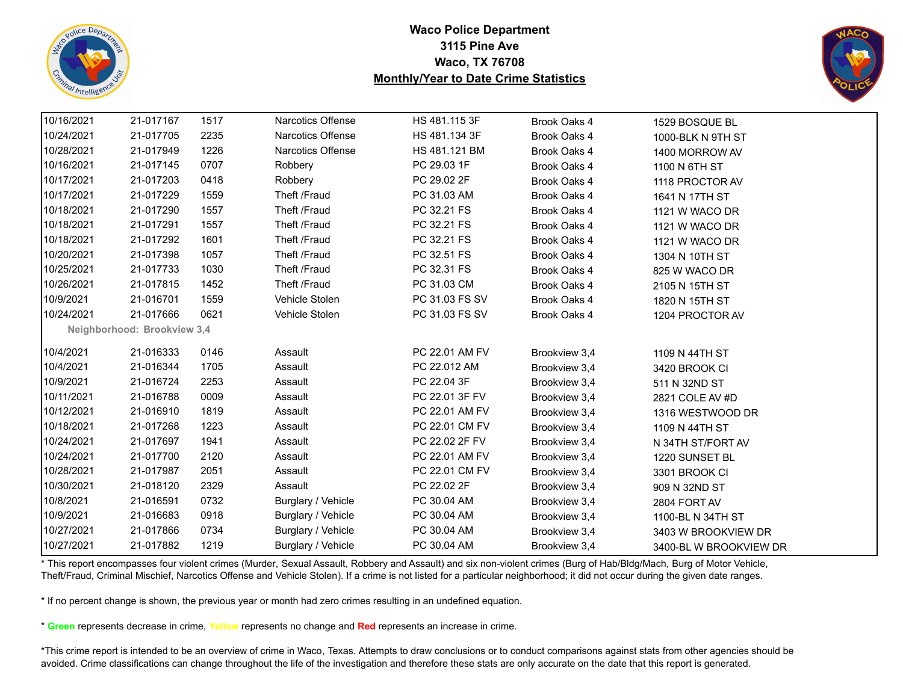![](_page_33_Picture_0.jpeg)

![](_page_33_Picture_2.jpeg)

| 10/16/2021 | 21-017167                   | 1517 | Narcotics Offense        | HS 481.115 3F  | Brook Oaks 4  | 1529 BOSQUE BL         |  |
|------------|-----------------------------|------|--------------------------|----------------|---------------|------------------------|--|
| 10/24/2021 | 21-017705                   | 2235 | Narcotics Offense        | HS 481.134 3F  | Brook Oaks 4  | 1000-BLK N 9TH ST      |  |
| 10/28/2021 | 21-017949                   | 1226 | <b>Narcotics Offense</b> | HS 481.121 BM  | Brook Oaks 4  | 1400 MORROW AV         |  |
| 10/16/2021 | 21-017145                   | 0707 | Robbery                  | PC 29.03 1F    | Brook Oaks 4  | 1100 N 6TH ST          |  |
| 10/17/2021 | 21-017203                   | 0418 | Robbery                  | PC 29.02 2F    | Brook Oaks 4  | 1118 PROCTOR AV        |  |
| 10/17/2021 | 21-017229                   | 1559 | Theft /Fraud             | PC 31.03 AM    | Brook Oaks 4  | 1641 N 17TH ST         |  |
| 10/18/2021 | 21-017290                   | 1557 | Theft /Fraud             | PC 32.21 FS    | Brook Oaks 4  | 1121 W WACO DR         |  |
| 10/18/2021 | 21-017291                   | 1557 | Theft /Fraud             | PC 32.21 FS    | Brook Oaks 4  | 1121 W WACO DR         |  |
| 10/18/2021 | 21-017292                   | 1601 | Theft /Fraud             | PC 32.21 FS    | Brook Oaks 4  | 1121 W WACO DR         |  |
| 10/20/2021 | 21-017398                   | 1057 | Theft /Fraud             | PC 32.51 FS    | Brook Oaks 4  | 1304 N 10TH ST         |  |
| 10/25/2021 | 21-017733                   | 1030 | Theft /Fraud             | PC 32.31 FS    | Brook Oaks 4  | 825 W WACO DR          |  |
| 10/26/2021 | 21-017815                   | 1452 | Theft /Fraud             | PC 31.03 CM    | Brook Oaks 4  | 2105 N 15TH ST         |  |
| 10/9/2021  | 21-016701                   | 1559 | Vehicle Stolen           | PC 31.03 FS SV | Brook Oaks 4  | 1820 N 15TH ST         |  |
| 10/24/2021 | 21-017666                   | 0621 | Vehicle Stolen           | PC 31.03 FS SV | Brook Oaks 4  | 1204 PROCTOR AV        |  |
|            | Neighborhood: Brookview 3,4 |      |                          |                |               |                        |  |
| 10/4/2021  | 21-016333                   | 0146 | Assault                  | PC 22.01 AM FV | Brookview 3,4 | 1109 N 44TH ST         |  |
| 10/4/2021  | 21-016344                   | 1705 | Assault                  | PC 22.012 AM   | Brookview 3,4 | 3420 BROOK CI          |  |
| 10/9/2021  | 21-016724                   | 2253 | Assault                  | PC 22.04 3F    | Brookview 3,4 | 511 N 32ND ST          |  |
| 10/11/2021 | 21-016788                   | 0009 | Assault                  | PC 22.01 3F FV | Brookview 3,4 | 2821 COLE AV #D        |  |
| 10/12/2021 | 21-016910                   | 1819 | Assault                  | PC 22.01 AM FV | Brookview 3,4 | 1316 WESTWOOD DR       |  |
| 10/18/2021 | 21-017268                   | 1223 | Assault                  | PC 22.01 CM FV | Brookview 3,4 | 1109 N 44TH ST         |  |
| 10/24/2021 | 21-017697                   | 1941 | Assault                  | PC 22.02 2F FV | Brookview 3,4 | N 34TH ST/FORT AV      |  |
| 10/24/2021 | 21-017700                   | 2120 | Assault                  | PC 22.01 AM FV | Brookview 3,4 | 1220 SUNSET BL         |  |
| 10/28/2021 | 21-017987                   | 2051 | Assault                  | PC 22.01 CM FV | Brookview 3,4 | 3301 BROOK CI          |  |
| 10/30/2021 | 21-018120                   | 2329 | Assault                  | PC 22.02 2F    | Brookview 3,4 | 909 N 32ND ST          |  |
| 10/8/2021  | 21-016591                   | 0732 | Burglary / Vehicle       | PC 30.04 AM    | Brookview 3,4 | 2804 FORT AV           |  |
| 10/9/2021  | 21-016683                   | 0918 | Burglary / Vehicle       | PC 30.04 AM    | Brookview 3,4 | 1100-BL N 34TH ST      |  |
| 10/27/2021 | 21-017866                   | 0734 | Burglary / Vehicle       | PC 30.04 AM    | Brookview 3,4 | 3403 W BROOKVIEW DR    |  |
| 10/27/2021 | 21-017882                   | 1219 | Burglary / Vehicle       | PC 30.04 AM    | Brookview 3,4 | 3400-BL W BROOKVIEW DR |  |

\* This report encompasses four violent crimes (Murder, Sexual Assault, Robbery and Assault) and six non-violent crimes (Burg of Hab/Bldg/Mach, Burg of Motor Vehicle, Theft/Fraud, Criminal Mischief, Narcotics Offense and Vehicle Stolen). If a crime is not listed for a particular neighborhood; it did not occur during the given date ranges.

\* If no percent change is shown, the previous year or month had zero crimes resulting in an undefined equation.

\* **Green** represents decrease in crime, **Yellow** represents no change and **Red** represents an increase in crime.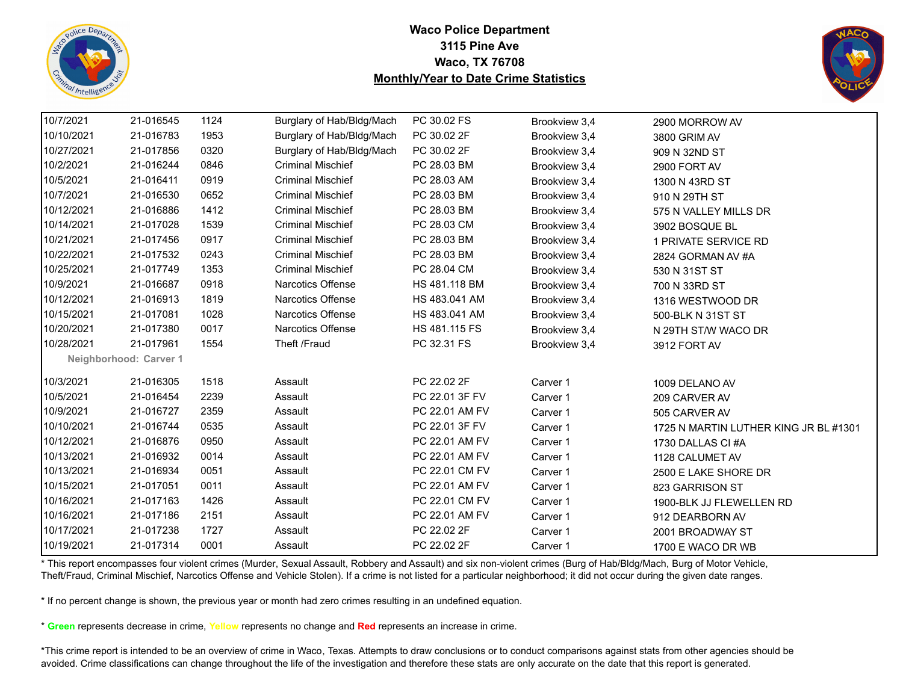![](_page_34_Picture_0.jpeg)

![](_page_34_Picture_2.jpeg)

| 10/7/2021  | 21-016545              | 1124 | Burglary of Hab/Bldg/Mach | PC 30.02 FS    | Brookview 3,4 | 2900 MORROW AV                        |
|------------|------------------------|------|---------------------------|----------------|---------------|---------------------------------------|
| 10/10/2021 | 21-016783              | 1953 | Burglary of Hab/Bldg/Mach | PC 30.02 2F    | Brookview 3,4 | 3800 GRIM AV                          |
| 10/27/2021 | 21-017856              | 0320 | Burglary of Hab/Bldg/Mach | PC 30.02 2F    | Brookview 3,4 | 909 N 32ND ST                         |
| 10/2/2021  | 21-016244              | 0846 | <b>Criminal Mischief</b>  | PC 28.03 BM    | Brookview 3,4 | 2900 FORT AV                          |
| 10/5/2021  | 21-016411              | 0919 | <b>Criminal Mischief</b>  | PC 28.03 AM    | Brookview 3,4 | 1300 N 43RD ST                        |
| 10/7/2021  | 21-016530              | 0652 | <b>Criminal Mischief</b>  | PC 28.03 BM    | Brookview 3,4 | 910 N 29TH ST                         |
| 10/12/2021 | 21-016886              | 1412 | <b>Criminal Mischief</b>  | PC 28.03 BM    | Brookview 3,4 | 575 N VALLEY MILLS DR                 |
| 10/14/2021 | 21-017028              | 1539 | <b>Criminal Mischief</b>  | PC 28.03 CM    | Brookview 3,4 | 3902 BOSQUE BL                        |
| 10/21/2021 | 21-017456              | 0917 | <b>Criminal Mischief</b>  | PC 28.03 BM    | Brookview 3,4 | 1 PRIVATE SERVICE RD                  |
| 10/22/2021 | 21-017532              | 0243 | <b>Criminal Mischief</b>  | PC 28.03 BM    | Brookview 3,4 | 2824 GORMAN AV #A                     |
| 10/25/2021 | 21-017749              | 1353 | <b>Criminal Mischief</b>  | PC 28.04 CM    | Brookview 3,4 | 530 N 31ST ST                         |
| 10/9/2021  | 21-016687              | 0918 | <b>Narcotics Offense</b>  | HS 481.118 BM  | Brookview 3,4 | 700 N 33RD ST                         |
| 10/12/2021 | 21-016913              | 1819 | Narcotics Offense         | HS 483.041 AM  | Brookview 3,4 | 1316 WESTWOOD DR                      |
| 10/15/2021 | 21-017081              | 1028 | <b>Narcotics Offense</b>  | HS 483.041 AM  | Brookview 3,4 | 500-BLK N 31ST ST                     |
| 10/20/2021 | 21-017380              | 0017 | Narcotics Offense         | HS 481.115 FS  | Brookview 3,4 | N 29TH ST/W WACO DR                   |
| 10/28/2021 | 21-017961              | 1554 | Theft /Fraud              | PC 32.31 FS    | Brookview 3,4 | 3912 FORT AV                          |
|            | Neighborhood: Carver 1 |      |                           |                |               |                                       |
| 10/3/2021  | 21-016305              | 1518 | Assault                   | PC 22.02 2F    | Carver 1      | 1009 DELANO AV                        |
| 10/5/2021  | 21-016454              | 2239 | Assault                   | PC 22.01 3F FV | Carver 1      | 209 CARVER AV                         |
| 10/9/2021  | 21-016727              | 2359 | Assault                   | PC 22.01 AM FV | Carver 1      | 505 CARVER AV                         |
| 10/10/2021 | 21-016744              | 0535 | Assault                   | PC 22.01 3F FV | Carver 1      | 1725 N MARTIN LUTHER KING JR BL #1301 |
| 10/12/2021 | 21-016876              | 0950 | Assault                   | PC 22.01 AM FV | Carver 1      | 1730 DALLAS CI#A                      |
| 10/13/2021 | 21-016932              | 0014 | Assault                   | PC 22.01 AM FV | Carver 1      | 1128 CALUMET AV                       |
| 10/13/2021 | 21-016934              | 0051 | Assault                   | PC 22.01 CM FV | Carver 1      | 2500 E LAKE SHORE DR                  |
| 10/15/2021 | 21-017051              | 0011 | Assault                   | PC 22.01 AM FV | Carver 1      | 823 GARRISON ST                       |
| 10/16/2021 | 21-017163              | 1426 | Assault                   | PC 22.01 CM FV | Carver 1      | 1900-BLK JJ FLEWELLEN RD              |
| 10/16/2021 | 21-017186              | 2151 | Assault                   | PC 22.01 AM FV | Carver 1      | 912 DEARBORN AV                       |
| 10/17/2021 | 21-017238              | 1727 | Assault                   | PC 22.02 2F    | Carver 1      | 2001 BROADWAY ST                      |
| 10/19/2021 | 21-017314              | 0001 | Assault                   | PC 22.02 2F    | Carver 1      | 1700 E WACO DR WB                     |

\* This report encompasses four violent crimes (Murder, Sexual Assault, Robbery and Assault) and six non-violent crimes (Burg of Hab/Bldg/Mach, Burg of Motor Vehicle, Theft/Fraud, Criminal Mischief, Narcotics Offense and Vehicle Stolen). If a crime is not listed for a particular neighborhood; it did not occur during the given date ranges.

\* If no percent change is shown, the previous year or month had zero crimes resulting in an undefined equation.

\* **Green** represents decrease in crime, **Yellow** represents no change and **Red** represents an increase in crime.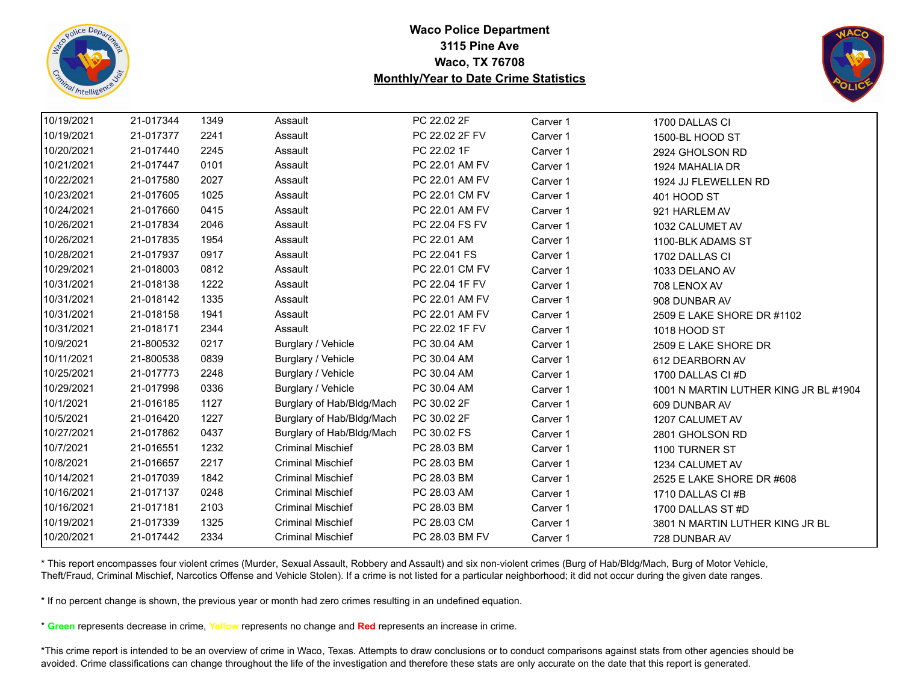![](_page_35_Picture_0.jpeg)

![](_page_35_Picture_2.jpeg)

| 10/19/2021 | 21-017344 | 1349 | Assault                   | PC 22.02 2F    | Carver 1 | 1700 DALLAS CI                        |
|------------|-----------|------|---------------------------|----------------|----------|---------------------------------------|
| 10/19/2021 | 21-017377 | 2241 | Assault                   | PC 22.02 2F FV | Carver 1 | 1500-BL HOOD ST                       |
| 10/20/2021 | 21-017440 | 2245 | Assault                   | PC 22.02 1F    | Carver 1 | 2924 GHOLSON RD                       |
| 10/21/2021 | 21-017447 | 0101 | Assault                   | PC 22.01 AM FV | Carver 1 | 1924 MAHALIA DR                       |
| 10/22/2021 | 21-017580 | 2027 | Assault                   | PC 22.01 AM FV | Carver 1 | 1924 JJ FLEWELLEN RD                  |
| 10/23/2021 | 21-017605 | 1025 | Assault                   | PC 22.01 CM FV | Carver 1 | 401 HOOD ST                           |
| 10/24/2021 | 21-017660 | 0415 | Assault                   | PC 22.01 AM FV | Carver 1 | 921 HARLEM AV                         |
| 10/26/2021 | 21-017834 | 2046 | Assault                   | PC 22.04 FS FV | Carver 1 | 1032 CALUMET AV                       |
| 10/26/2021 | 21-017835 | 1954 | Assault                   | PC 22.01 AM    | Carver 1 | 1100-BLK ADAMS ST                     |
| 10/28/2021 | 21-017937 | 0917 | Assault                   | PC 22.041 FS   | Carver 1 | 1702 DALLAS CI                        |
| 10/29/2021 | 21-018003 | 0812 | Assault                   | PC 22.01 CM FV | Carver 1 | 1033 DELANO AV                        |
| 10/31/2021 | 21-018138 | 1222 | Assault                   | PC 22.04 1F FV | Carver 1 | 708 LENOX AV                          |
| 10/31/2021 | 21-018142 | 1335 | Assault                   | PC 22.01 AM FV | Carver 1 | 908 DUNBAR AV                         |
| 10/31/2021 | 21-018158 | 1941 | Assault                   | PC 22.01 AM FV | Carver 1 | 2509 E LAKE SHORE DR #1102            |
| 10/31/2021 | 21-018171 | 2344 | Assault                   | PC 22.02 1F FV | Carver 1 | 1018 HOOD ST                          |
| 10/9/2021  | 21-800532 | 0217 | Burglary / Vehicle        | PC 30.04 AM    | Carver 1 | 2509 E LAKE SHORE DR                  |
| 10/11/2021 | 21-800538 | 0839 | Burglary / Vehicle        | PC 30.04 AM    | Carver 1 | 612 DEARBORN AV                       |
| 10/25/2021 | 21-017773 | 2248 | Burglary / Vehicle        | PC 30.04 AM    | Carver 1 | 1700 DALLAS CI #D                     |
| 10/29/2021 | 21-017998 | 0336 | Burglary / Vehicle        | PC 30.04 AM    | Carver 1 | 1001 N MARTIN LUTHER KING JR BL #1904 |
| 10/1/2021  | 21-016185 | 1127 | Burglary of Hab/Bldg/Mach | PC 30.02 2F    | Carver 1 | 609 DUNBAR AV                         |
| 10/5/2021  | 21-016420 | 1227 | Burglary of Hab/Bldg/Mach | PC 30.02 2F    | Carver 1 | 1207 CALUMET AV                       |
| 10/27/2021 | 21-017862 | 0437 | Burglary of Hab/Bldg/Mach | PC 30.02 FS    | Carver 1 | 2801 GHOLSON RD                       |
| 10/7/2021  | 21-016551 | 1232 | <b>Criminal Mischief</b>  | PC 28.03 BM    | Carver 1 | 1100 TURNER ST                        |
| 10/8/2021  | 21-016657 | 2217 | <b>Criminal Mischief</b>  | PC 28.03 BM    | Carver 1 | 1234 CALUMET AV                       |
| 10/14/2021 | 21-017039 | 1842 | <b>Criminal Mischief</b>  | PC 28.03 BM    | Carver 1 | 2525 E LAKE SHORE DR #608             |
| 10/16/2021 | 21-017137 | 0248 | <b>Criminal Mischief</b>  | PC 28.03 AM    | Carver 1 | 1710 DALLAS CI#B                      |
| 10/16/2021 | 21-017181 | 2103 | <b>Criminal Mischief</b>  | PC 28.03 BM    | Carver 1 | 1700 DALLAS ST #D                     |
| 10/19/2021 | 21-017339 | 1325 | <b>Criminal Mischief</b>  | PC 28.03 CM    | Carver 1 | 3801 N MARTIN LUTHER KING JR BL       |
| 10/20/2021 | 21-017442 | 2334 | <b>Criminal Mischief</b>  | PC 28.03 BM FV | Carver 1 | 728 DUNBAR AV                         |

\* This report encompasses four violent crimes (Murder, Sexual Assault, Robbery and Assault) and six non-violent crimes (Burg of Hab/Bldg/Mach, Burg of Motor Vehicle, Theft/Fraud, Criminal Mischief, Narcotics Offense and Vehicle Stolen). If a crime is not listed for a particular neighborhood; it did not occur during the given date ranges.

\* If no percent change is shown, the previous year or month had zero crimes resulting in an undefined equation.

\* **Green** represents decrease in crime, **Yellow** represents no change and **Red** represents an increase in crime.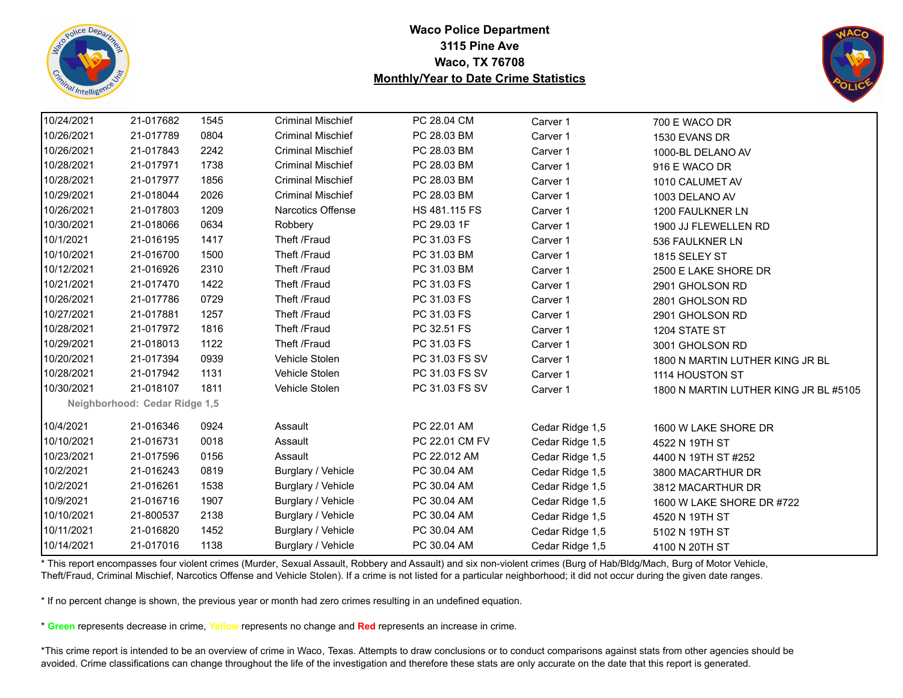![](_page_36_Picture_0.jpeg)

![](_page_36_Picture_2.jpeg)

| 10/24/2021 | 21-017682                     | 1545 | <b>Criminal Mischief</b> | PC 28.04 CM    | Carver 1        | 700 E WACO DR                         |
|------------|-------------------------------|------|--------------------------|----------------|-----------------|---------------------------------------|
| 10/26/2021 | 21-017789                     | 0804 | <b>Criminal Mischief</b> | PC 28.03 BM    | Carver 1        | 1530 EVANS DR                         |
| 10/26/2021 | 21-017843                     | 2242 | <b>Criminal Mischief</b> | PC 28.03 BM    | Carver 1        | 1000-BL DELANO AV                     |
| 10/28/2021 | 21-017971                     | 1738 | <b>Criminal Mischief</b> | PC 28.03 BM    | Carver 1        | 916 E WACO DR                         |
| 10/28/2021 | 21-017977                     | 1856 | <b>Criminal Mischief</b> | PC 28.03 BM    | Carver 1        | 1010 CALUMET AV                       |
| 10/29/2021 | 21-018044                     | 2026 | <b>Criminal Mischief</b> | PC 28.03 BM    | Carver 1        | 1003 DELANO AV                        |
| 10/26/2021 | 21-017803                     | 1209 | Narcotics Offense        | HS 481.115 FS  | Carver 1        | 1200 FAULKNER LN                      |
| 10/30/2021 | 21-018066                     | 0634 | Robbery                  | PC 29.03 1F    | Carver 1        | 1900 JJ FLEWELLEN RD                  |
| 10/1/2021  | 21-016195                     | 1417 | Theft /Fraud             | PC 31.03 FS    | Carver 1        | 536 FAULKNER LN                       |
| 10/10/2021 | 21-016700                     | 1500 | Theft /Fraud             | PC 31.03 BM    | Carver 1        | 1815 SELEY ST                         |
| 10/12/2021 | 21-016926                     | 2310 | Theft /Fraud             | PC 31.03 BM    | Carver 1        | 2500 E LAKE SHORE DR                  |
| 10/21/2021 | 21-017470                     | 1422 | Theft /Fraud             | PC 31.03 FS    | Carver 1        | 2901 GHOLSON RD                       |
| 10/26/2021 | 21-017786                     | 0729 | Theft /Fraud             | PC 31.03 FS    | Carver 1        | 2801 GHOLSON RD                       |
| 10/27/2021 | 21-017881                     | 1257 | Theft /Fraud             | PC 31.03 FS    | Carver 1        | 2901 GHOLSON RD                       |
| 10/28/2021 | 21-017972                     | 1816 | Theft /Fraud             | PC 32.51 FS    | Carver 1        | 1204 STATE ST                         |
| 10/29/2021 | 21-018013                     | 1122 | Theft /Fraud             | PC 31.03 FS    | Carver 1        | 3001 GHOLSON RD                       |
| 10/20/2021 | 21-017394                     | 0939 | Vehicle Stolen           | PC 31.03 FS SV | Carver 1        | 1800 N MARTIN LUTHER KING JR BL       |
| 10/28/2021 | 21-017942                     | 1131 | Vehicle Stolen           | PC 31.03 FS SV | Carver 1        | 1114 HOUSTON ST                       |
| 10/30/2021 | 21-018107                     | 1811 | Vehicle Stolen           | PC 31.03 FS SV | Carver 1        | 1800 N MARTIN LUTHER KING JR BL #5105 |
|            | Neighborhood: Cedar Ridge 1,5 |      |                          |                |                 |                                       |
| 10/4/2021  | 21-016346                     | 0924 | Assault                  | PC 22.01 AM    | Cedar Ridge 1,5 | 1600 W LAKE SHORE DR                  |
| 10/10/2021 | 21-016731                     | 0018 | Assault                  | PC 22.01 CM FV | Cedar Ridge 1,5 | 4522 N 19TH ST                        |
| 10/23/2021 | 21-017596                     | 0156 | Assault                  | PC 22.012 AM   | Cedar Ridge 1,5 | 4400 N 19TH ST #252                   |
| 10/2/2021  | 21-016243                     | 0819 | Burglary / Vehicle       | PC 30.04 AM    | Cedar Ridge 1,5 | 3800 MACARTHUR DR                     |
| 10/2/2021  | 21-016261                     | 1538 | Burglary / Vehicle       | PC 30.04 AM    | Cedar Ridge 1,5 | 3812 MACARTHUR DR                     |
| 10/9/2021  | 21-016716                     | 1907 | Burglary / Vehicle       | PC 30.04 AM    | Cedar Ridge 1,5 | 1600 W LAKE SHORE DR #722             |
| 10/10/2021 | 21-800537                     | 2138 | Burglary / Vehicle       | PC 30.04 AM    | Cedar Ridge 1,5 | 4520 N 19TH ST                        |
| 10/11/2021 | 21-016820                     | 1452 | Burglary / Vehicle       | PC 30.04 AM    | Cedar Ridge 1,5 | 5102 N 19TH ST                        |
| 10/14/2021 | 21-017016                     | 1138 | Burglary / Vehicle       | PC 30.04 AM    | Cedar Ridge 1,5 | 4100 N 20TH ST                        |

\* This report encompasses four violent crimes (Murder, Sexual Assault, Robbery and Assault) and six non-violent crimes (Burg of Hab/Bldg/Mach, Burg of Motor Vehicle, Theft/Fraud, Criminal Mischief, Narcotics Offense and Vehicle Stolen). If a crime is not listed for a particular neighborhood; it did not occur during the given date ranges.

\* If no percent change is shown, the previous year or month had zero crimes resulting in an undefined equation.

\* **Green** represents decrease in crime, **Yellow** represents no change and **Red** represents an increase in crime.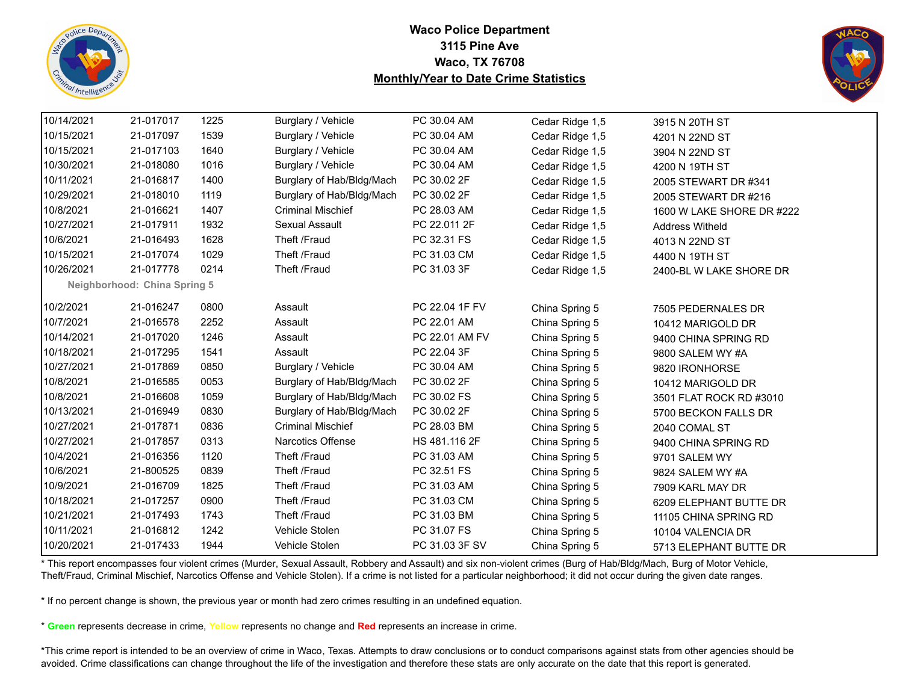![](_page_37_Picture_0.jpeg)

![](_page_37_Picture_2.jpeg)

| 10/14/2021 | 21-017017                    | 1225 | Burglary / Vehicle        | PC 30.04 AM    | Cedar Ridge 1,5 | 3915 N 20TH ST            |
|------------|------------------------------|------|---------------------------|----------------|-----------------|---------------------------|
| 10/15/2021 | 21-017097                    | 1539 | Burglary / Vehicle        | PC 30.04 AM    | Cedar Ridge 1,5 | 4201 N 22ND ST            |
| 10/15/2021 | 21-017103                    | 1640 | Burglary / Vehicle        | PC 30.04 AM    | Cedar Ridge 1,5 | 3904 N 22ND ST            |
| 10/30/2021 | 21-018080                    | 1016 | Burglary / Vehicle        | PC 30.04 AM    | Cedar Ridge 1,5 | 4200 N 19TH ST            |
| 10/11/2021 | 21-016817                    | 1400 | Burglary of Hab/Bldg/Mach | PC 30.02 2F    | Cedar Ridge 1,5 | 2005 STEWART DR #341      |
| 10/29/2021 | 21-018010                    | 1119 | Burglary of Hab/Bldg/Mach | PC 30.02 2F    | Cedar Ridge 1,5 | 2005 STEWART DR #216      |
| 10/8/2021  | 21-016621                    | 1407 | <b>Criminal Mischief</b>  | PC 28.03 AM    | Cedar Ridge 1,5 | 1600 W LAKE SHORE DR #222 |
| 10/27/2021 | 21-017911                    | 1932 | Sexual Assault            | PC 22.011 2F   | Cedar Ridge 1,5 | <b>Address Witheld</b>    |
| 10/6/2021  | 21-016493                    | 1628 | Theft /Fraud              | PC 32.31 FS    | Cedar Ridge 1,5 | 4013 N 22ND ST            |
| 10/15/2021 | 21-017074                    | 1029 | Theft /Fraud              | PC 31.03 CM    | Cedar Ridge 1,5 | 4400 N 19TH ST            |
| 10/26/2021 | 21-017778                    | 0214 | Theft /Fraud              | PC 31.03 3F    | Cedar Ridge 1,5 | 2400-BL W LAKE SHORE DR   |
|            | Neighborhood: China Spring 5 |      |                           |                |                 |                           |
| 10/2/2021  | 21-016247                    | 0800 | Assault                   | PC 22.04 1F FV | China Spring 5  | 7505 PEDERNALES DR        |
| 10/7/2021  | 21-016578                    | 2252 | Assault                   | PC 22.01 AM    | China Spring 5  | 10412 MARIGOLD DR         |
| 10/14/2021 | 21-017020                    | 1246 | Assault                   | PC 22.01 AM FV | China Spring 5  | 9400 CHINA SPRING RD      |
| 10/18/2021 | 21-017295                    | 1541 | Assault                   | PC 22.04 3F    | China Spring 5  | 9800 SALEM WY #A          |
| 10/27/2021 | 21-017869                    | 0850 | Burglary / Vehicle        | PC 30.04 AM    | China Spring 5  | 9820 IRONHORSE            |
| 10/8/2021  | 21-016585                    | 0053 | Burglary of Hab/Bldg/Mach | PC 30.02 2F    | China Spring 5  | 10412 MARIGOLD DR         |
| 10/8/2021  | 21-016608                    | 1059 | Burglary of Hab/Bldg/Mach | PC 30.02 FS    | China Spring 5  | 3501 FLAT ROCK RD #3010   |
| 10/13/2021 | 21-016949                    | 0830 | Burglary of Hab/Bldg/Mach | PC 30.02 2F    | China Spring 5  | 5700 BECKON FALLS DR      |
| 10/27/2021 | 21-017871                    | 0836 | <b>Criminal Mischief</b>  | PC 28.03 BM    | China Spring 5  | 2040 COMAL ST             |
| 10/27/2021 | 21-017857                    | 0313 | <b>Narcotics Offense</b>  | HS 481.116 2F  | China Spring 5  | 9400 CHINA SPRING RD      |
| 10/4/2021  | 21-016356                    | 1120 | Theft /Fraud              | PC 31.03 AM    | China Spring 5  | 9701 SALEM WY             |
| 10/6/2021  | 21-800525                    | 0839 | Theft /Fraud              | PC 32.51 FS    | China Spring 5  | 9824 SALEM WY #A          |
| 10/9/2021  | 21-016709                    | 1825 | Theft /Fraud              | PC 31.03 AM    | China Spring 5  | 7909 KARL MAY DR          |
| 10/18/2021 | 21-017257                    | 0900 | Theft /Fraud              | PC 31.03 CM    | China Spring 5  | 6209 ELEPHANT BUTTE DR    |
| 10/21/2021 | 21-017493                    | 1743 | Theft /Fraud              | PC 31.03 BM    | China Spring 5  | 11105 CHINA SPRING RD     |
| 10/11/2021 | 21-016812                    | 1242 | Vehicle Stolen            | PC 31.07 FS    | China Spring 5  | 10104 VALENCIA DR         |
| 10/20/2021 | 21-017433                    | 1944 | Vehicle Stolen            | PC 31.03 3F SV | China Spring 5  | 5713 ELEPHANT BUTTE DR    |

\* This report encompasses four violent crimes (Murder, Sexual Assault, Robbery and Assault) and six non-violent crimes (Burg of Hab/Bldg/Mach, Burg of Motor Vehicle, Theft/Fraud, Criminal Mischief, Narcotics Offense and Vehicle Stolen). If a crime is not listed for a particular neighborhood; it did not occur during the given date ranges.

\* If no percent change is shown, the previous year or month had zero crimes resulting in an undefined equation.

\* **Green** represents decrease in crime, **Yellow** represents no change and **Red** represents an increase in crime.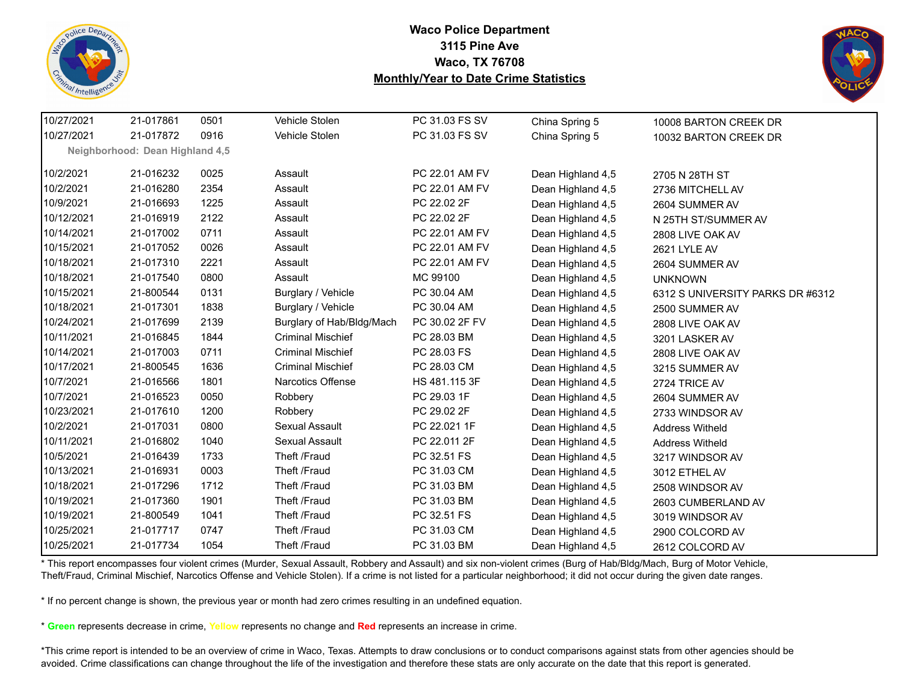![](_page_38_Picture_0.jpeg)

![](_page_38_Picture_2.jpeg)

| 10/27/2021 | 21-017861                       | 0501 | Vehicle Stolen            | PC 31.03 FS SV | China Spring 5    | 10008 BARTON CREEK DR            |
|------------|---------------------------------|------|---------------------------|----------------|-------------------|----------------------------------|
| 10/27/2021 | 21-017872                       | 0916 | Vehicle Stolen            | PC 31.03 FS SV | China Spring 5    | 10032 BARTON CREEK DR            |
|            | Neighborhood: Dean Highland 4,5 |      |                           |                |                   |                                  |
| 10/2/2021  | 21-016232                       | 0025 | Assault                   | PC 22.01 AM FV | Dean Highland 4,5 | 2705 N 28TH ST                   |
| 10/2/2021  | 21-016280                       | 2354 | Assault                   | PC 22.01 AM FV | Dean Highland 4,5 | 2736 MITCHELL AV                 |
| 10/9/2021  | 21-016693                       | 1225 | Assault                   | PC 22.02 2F    | Dean Highland 4,5 | 2604 SUMMER AV                   |
| 10/12/2021 | 21-016919                       | 2122 | Assault                   | PC 22.02 2F    | Dean Highland 4,5 | N 25TH ST/SUMMER AV              |
| 10/14/2021 | 21-017002                       | 0711 | Assault                   | PC 22.01 AM FV | Dean Highland 4,5 | 2808 LIVE OAK AV                 |
| 10/15/2021 | 21-017052                       | 0026 | Assault                   | PC 22.01 AM FV | Dean Highland 4,5 | 2621 LYLE AV                     |
| 10/18/2021 | 21-017310                       | 2221 | Assault                   | PC 22.01 AM FV | Dean Highland 4,5 | 2604 SUMMER AV                   |
| 10/18/2021 | 21-017540                       | 0800 | Assault                   | MC 99100       | Dean Highland 4,5 | <b>UNKNOWN</b>                   |
| 10/15/2021 | 21-800544                       | 0131 | Burglary / Vehicle        | PC 30.04 AM    | Dean Highland 4,5 | 6312 S UNIVERSITY PARKS DR #6312 |
| 10/18/2021 | 21-017301                       | 1838 | Burglary / Vehicle        | PC 30.04 AM    | Dean Highland 4,5 | 2500 SUMMER AV                   |
| 10/24/2021 | 21-017699                       | 2139 | Burglary of Hab/Bldg/Mach | PC 30.02 2F FV | Dean Highland 4,5 | 2808 LIVE OAK AV                 |
| 10/11/2021 | 21-016845                       | 1844 | <b>Criminal Mischief</b>  | PC 28.03 BM    | Dean Highland 4,5 | 3201 LASKER AV                   |
| 10/14/2021 | 21-017003                       | 0711 | <b>Criminal Mischief</b>  | PC 28.03 FS    | Dean Highland 4,5 | 2808 LIVE OAK AV                 |
| 10/17/2021 | 21-800545                       | 1636 | <b>Criminal Mischief</b>  | PC 28.03 CM    | Dean Highland 4,5 | 3215 SUMMER AV                   |
| 10/7/2021  | 21-016566                       | 1801 | <b>Narcotics Offense</b>  | HS 481.115 3F  | Dean Highland 4,5 | 2724 TRICE AV                    |
| 10/7/2021  | 21-016523                       | 0050 | Robbery                   | PC 29.03 1F    | Dean Highland 4,5 | 2604 SUMMER AV                   |
| 10/23/2021 | 21-017610                       | 1200 | Robbery                   | PC 29.02 2F    | Dean Highland 4,5 | 2733 WINDSOR AV                  |
| 10/2/2021  | 21-017031                       | 0800 | Sexual Assault            | PC 22.021 1F   | Dean Highland 4,5 | <b>Address Witheld</b>           |
| 10/11/2021 | 21-016802                       | 1040 | Sexual Assault            | PC 22.011 2F   | Dean Highland 4,5 | <b>Address Witheld</b>           |
| 10/5/2021  | 21-016439                       | 1733 | Theft /Fraud              | PC 32.51 FS    | Dean Highland 4,5 | 3217 WINDSOR AV                  |
| 10/13/2021 | 21-016931                       | 0003 | Theft /Fraud              | PC 31.03 CM    | Dean Highland 4,5 | 3012 ETHEL AV                    |
| 10/18/2021 | 21-017296                       | 1712 | Theft /Fraud              | PC 31.03 BM    | Dean Highland 4,5 | 2508 WINDSOR AV                  |
| 10/19/2021 | 21-017360                       | 1901 | Theft /Fraud              | PC 31.03 BM    | Dean Highland 4,5 | 2603 CUMBERLAND AV               |
| 10/19/2021 | 21-800549                       | 1041 | Theft /Fraud              | PC 32.51 FS    | Dean Highland 4,5 | 3019 WINDSOR AV                  |
| 10/25/2021 | 21-017717                       | 0747 | Theft /Fraud              | PC 31.03 CM    | Dean Highland 4,5 | 2900 COLCORD AV                  |
| 10/25/2021 | 21-017734                       | 1054 | Theft /Fraud              | PC 31.03 BM    | Dean Highland 4,5 | 2612 COLCORD AV                  |

\* This report encompasses four violent crimes (Murder, Sexual Assault, Robbery and Assault) and six non-violent crimes (Burg of Hab/Bldg/Mach, Burg of Motor Vehicle, Theft/Fraud, Criminal Mischief, Narcotics Offense and Vehicle Stolen). If a crime is not listed for a particular neighborhood; it did not occur during the given date ranges.

\* If no percent change is shown, the previous year or month had zero crimes resulting in an undefined equation.

\* **Green** represents decrease in crime, **Yellow** represents no change and **Red** represents an increase in crime.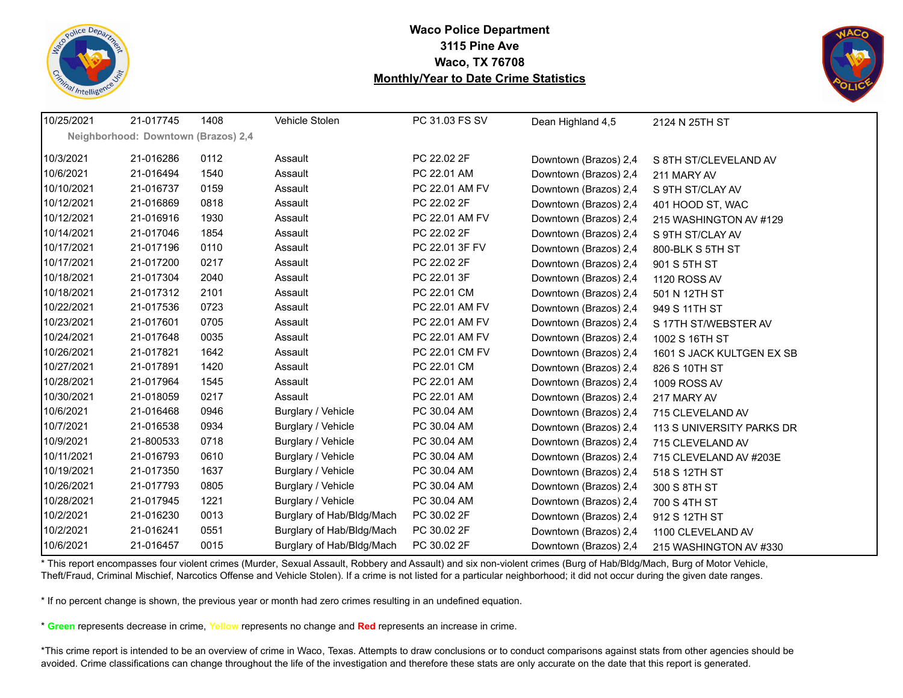![](_page_39_Picture_0.jpeg)

![](_page_39_Picture_2.jpeg)

| 10/25/2021 | 21-017745                           | 1408 | Vehicle Stolen            | PC 31.03 FS SV | Dean Highland 4,5     | 2124 N 25TH ST            |
|------------|-------------------------------------|------|---------------------------|----------------|-----------------------|---------------------------|
|            | Neighborhood: Downtown (Brazos) 2,4 |      |                           |                |                       |                           |
| 10/3/2021  | 21-016286                           | 0112 | Assault                   | PC 22.02 2F    | Downtown (Brazos) 2,4 | S 8TH ST/CLEVELAND AV     |
| 10/6/2021  | 21-016494                           | 1540 | Assault                   | PC 22.01 AM    | Downtown (Brazos) 2,4 | 211 MARY AV               |
| 10/10/2021 | 21-016737                           | 0159 | Assault                   | PC 22.01 AM FV | Downtown (Brazos) 2,4 | S 9TH ST/CLAY AV          |
| 10/12/2021 | 21-016869                           | 0818 | Assault                   | PC 22.02 2F    | Downtown (Brazos) 2,4 | 401 HOOD ST, WAC          |
| 10/12/2021 | 21-016916                           | 1930 | Assault                   | PC 22.01 AM FV | Downtown (Brazos) 2,4 | 215 WASHINGTON AV #129    |
| 10/14/2021 | 21-017046                           | 1854 | Assault                   | PC 22.02 2F    | Downtown (Brazos) 2,4 | S 9TH ST/CLAY AV          |
| 10/17/2021 | 21-017196                           | 0110 | Assault                   | PC 22.01 3F FV | Downtown (Brazos) 2,4 | 800-BLK S 5TH ST          |
| 10/17/2021 | 21-017200                           | 0217 | Assault                   | PC 22.02 2F    | Downtown (Brazos) 2,4 | 901 S 5TH ST              |
| 10/18/2021 | 21-017304                           | 2040 | Assault                   | PC 22.01 3F    | Downtown (Brazos) 2,4 | 1120 ROSS AV              |
| 10/18/2021 | 21-017312                           | 2101 | Assault                   | PC 22.01 CM    | Downtown (Brazos) 2,4 | 501 N 12TH ST             |
| 10/22/2021 | 21-017536                           | 0723 | Assault                   | PC 22.01 AM FV | Downtown (Brazos) 2,4 | 949 S 11TH ST             |
| 10/23/2021 | 21-017601                           | 0705 | Assault                   | PC 22.01 AM FV | Downtown (Brazos) 2,4 | S 17TH ST/WEBSTER AV      |
| 10/24/2021 | 21-017648                           | 0035 | Assault                   | PC 22.01 AM FV | Downtown (Brazos) 2,4 | 1002 S 16TH ST            |
| 10/26/2021 | 21-017821                           | 1642 | Assault                   | PC 22.01 CM FV | Downtown (Brazos) 2,4 | 1601 S JACK KULTGEN EX SB |
| 10/27/2021 | 21-017891                           | 1420 | Assault                   | PC 22.01 CM    | Downtown (Brazos) 2,4 | 826 S 10TH ST             |
| 10/28/2021 | 21-017964                           | 1545 | Assault                   | PC 22.01 AM    | Downtown (Brazos) 2,4 | 1009 ROSS AV              |
| 10/30/2021 | 21-018059                           | 0217 | Assault                   | PC 22.01 AM    | Downtown (Brazos) 2,4 | 217 MARY AV               |
| 10/6/2021  | 21-016468                           | 0946 | Burglary / Vehicle        | PC 30.04 AM    | Downtown (Brazos) 2,4 | 715 CLEVELAND AV          |
| 10/7/2021  | 21-016538                           | 0934 | Burglary / Vehicle        | PC 30.04 AM    | Downtown (Brazos) 2,4 | 113 S UNIVERSITY PARKS DR |
| 10/9/2021  | 21-800533                           | 0718 | Burglary / Vehicle        | PC 30.04 AM    | Downtown (Brazos) 2,4 | 715 CLEVELAND AV          |
| 10/11/2021 | 21-016793                           | 0610 | Burglary / Vehicle        | PC 30.04 AM    | Downtown (Brazos) 2,4 | 715 CLEVELAND AV #203E    |
| 10/19/2021 | 21-017350                           | 1637 | Burglary / Vehicle        | PC 30.04 AM    | Downtown (Brazos) 2,4 | 518 S 12TH ST             |
| 10/26/2021 | 21-017793                           | 0805 | Burglary / Vehicle        | PC 30.04 AM    | Downtown (Brazos) 2,4 | 300 S 8TH ST              |
| 10/28/2021 | 21-017945                           | 1221 | Burglary / Vehicle        | PC 30.04 AM    | Downtown (Brazos) 2,4 | 700 S 4TH ST              |
| 10/2/2021  | 21-016230                           | 0013 | Burglary of Hab/Bldg/Mach | PC 30.02 2F    | Downtown (Brazos) 2,4 | 912 S 12TH ST             |
| 10/2/2021  | 21-016241                           | 0551 | Burglary of Hab/Bldg/Mach | PC 30.02 2F    | Downtown (Brazos) 2,4 | 1100 CLEVELAND AV         |
| 10/6/2021  | 21-016457                           | 0015 | Burglary of Hab/Bldg/Mach | PC 30.02 2F    | Downtown (Brazos) 2,4 | 215 WASHINGTON AV #330    |

\* This report encompasses four violent crimes (Murder, Sexual Assault, Robbery and Assault) and six non-violent crimes (Burg of Hab/Bldg/Mach, Burg of Motor Vehicle, Theft/Fraud, Criminal Mischief, Narcotics Offense and Vehicle Stolen). If a crime is not listed for a particular neighborhood; it did not occur during the given date ranges.

\* If no percent change is shown, the previous year or month had zero crimes resulting in an undefined equation.

\* **Green** represents decrease in crime, **Yellow** represents no change and **Red** represents an increase in crime.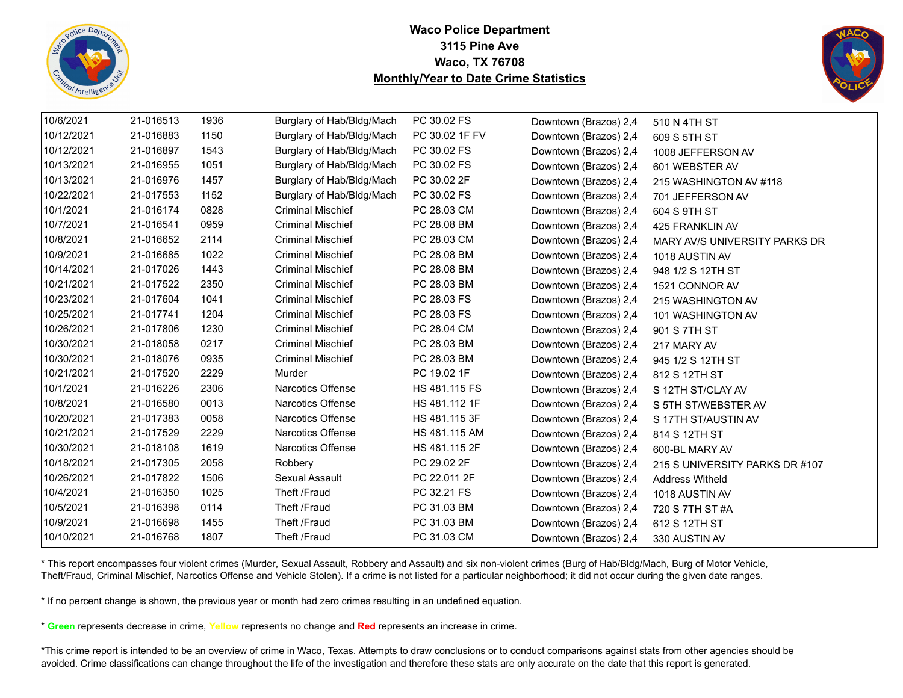![](_page_40_Picture_0.jpeg)

![](_page_40_Picture_2.jpeg)

| 10/6/2021  | 21-016513 | 1936 | Burglary of Hab/Bldg/Mach | PC 30.02 FS    | Downtown (Brazos) 2,4 | 510 N 4TH ST                   |
|------------|-----------|------|---------------------------|----------------|-----------------------|--------------------------------|
| 10/12/2021 | 21-016883 | 1150 | Burglary of Hab/Bldg/Mach | PC 30.02 1F FV | Downtown (Brazos) 2,4 | 609 S 5TH ST                   |
| 10/12/2021 | 21-016897 | 1543 | Burglary of Hab/Bldg/Mach | PC 30.02 FS    | Downtown (Brazos) 2,4 | 1008 JEFFERSON AV              |
| 10/13/2021 | 21-016955 | 1051 | Burglary of Hab/Bldg/Mach | PC 30.02 FS    | Downtown (Brazos) 2,4 | 601 WEBSTER AV                 |
| 10/13/2021 | 21-016976 | 1457 | Burglary of Hab/Bldg/Mach | PC 30.02 2F    | Downtown (Brazos) 2,4 | 215 WASHINGTON AV #118         |
| 10/22/2021 | 21-017553 | 1152 | Burglary of Hab/Bldg/Mach | PC 30.02 FS    | Downtown (Brazos) 2,4 | 701 JEFFERSON AV               |
| 10/1/2021  | 21-016174 | 0828 | <b>Criminal Mischief</b>  | PC 28.03 CM    | Downtown (Brazos) 2,4 | 604 S 9TH ST                   |
| 10/7/2021  | 21-016541 | 0959 | <b>Criminal Mischief</b>  | PC 28.08 BM    | Downtown (Brazos) 2,4 | 425 FRANKLIN AV                |
| 10/8/2021  | 21-016652 | 2114 | <b>Criminal Mischief</b>  | PC 28.03 CM    | Downtown (Brazos) 2,4 | MARY AV/S UNIVERSITY PARKS DR  |
| 10/9/2021  | 21-016685 | 1022 | <b>Criminal Mischief</b>  | PC 28.08 BM    | Downtown (Brazos) 2,4 | 1018 AUSTIN AV                 |
| 10/14/2021 | 21-017026 | 1443 | <b>Criminal Mischief</b>  | PC 28.08 BM    | Downtown (Brazos) 2,4 | 948 1/2 S 12TH ST              |
| 10/21/2021 | 21-017522 | 2350 | <b>Criminal Mischief</b>  | PC 28.03 BM    | Downtown (Brazos) 2,4 | 1521 CONNOR AV                 |
| 10/23/2021 | 21-017604 | 1041 | <b>Criminal Mischief</b>  | PC 28.03 FS    | Downtown (Brazos) 2,4 | 215 WASHINGTON AV              |
| 10/25/2021 | 21-017741 | 1204 | <b>Criminal Mischief</b>  | PC 28.03 FS    | Downtown (Brazos) 2,4 | 101 WASHINGTON AV              |
| 10/26/2021 | 21-017806 | 1230 | <b>Criminal Mischief</b>  | PC 28.04 CM    | Downtown (Brazos) 2,4 | 901 S 7TH ST                   |
| 10/30/2021 | 21-018058 | 0217 | <b>Criminal Mischief</b>  | PC 28.03 BM    | Downtown (Brazos) 2,4 | 217 MARY AV                    |
| 10/30/2021 | 21-018076 | 0935 | <b>Criminal Mischief</b>  | PC 28.03 BM    | Downtown (Brazos) 2,4 | 945 1/2 S 12TH ST              |
| 10/21/2021 | 21-017520 | 2229 | Murder                    | PC 19.02 1F    | Downtown (Brazos) 2,4 | 812 S 12TH ST                  |
| 10/1/2021  | 21-016226 | 2306 | <b>Narcotics Offense</b>  | HS 481.115 FS  | Downtown (Brazos) 2,4 | S 12TH ST/CLAY AV              |
| 10/8/2021  | 21-016580 | 0013 | Narcotics Offense         | HS 481.112 1F  | Downtown (Brazos) 2,4 | S 5TH ST/WEBSTER AV            |
| 10/20/2021 | 21-017383 | 0058 | Narcotics Offense         | HS 481.115 3F  | Downtown (Brazos) 2,4 | S 17TH ST/AUSTIN AV            |
| 10/21/2021 | 21-017529 | 2229 | Narcotics Offense         | HS 481.115 AM  | Downtown (Brazos) 2,4 | 814 S 12TH ST                  |
| 10/30/2021 | 21-018108 | 1619 | Narcotics Offense         | HS 481.115 2F  | Downtown (Brazos) 2,4 | 600-BL MARY AV                 |
| 10/18/2021 | 21-017305 | 2058 | Robbery                   | PC 29.02 2F    | Downtown (Brazos) 2,4 | 215 S UNIVERSITY PARKS DR #107 |
| 10/26/2021 | 21-017822 | 1506 | Sexual Assault            | PC 22.011 2F   | Downtown (Brazos) 2,4 | <b>Address Witheld</b>         |
| 10/4/2021  | 21-016350 | 1025 | Theft /Fraud              | PC 32.21 FS    | Downtown (Brazos) 2,4 | 1018 AUSTIN AV                 |
| 10/5/2021  | 21-016398 | 0114 | Theft /Fraud              | PC 31.03 BM    | Downtown (Brazos) 2,4 | 720 S 7TH ST #A                |
| 10/9/2021  | 21-016698 | 1455 | Theft /Fraud              | PC 31.03 BM    | Downtown (Brazos) 2,4 | 612 S 12TH ST                  |
| 10/10/2021 | 21-016768 | 1807 | Theft /Fraud              | PC 31.03 CM    | Downtown (Brazos) 2,4 | 330 AUSTIN AV                  |

\* This report encompasses four violent crimes (Murder, Sexual Assault, Robbery and Assault) and six non-violent crimes (Burg of Hab/Bldg/Mach, Burg of Motor Vehicle, Theft/Fraud, Criminal Mischief, Narcotics Offense and Vehicle Stolen). If a crime is not listed for a particular neighborhood; it did not occur during the given date ranges.

\* If no percent change is shown, the previous year or month had zero crimes resulting in an undefined equation.

\* **Green** represents decrease in crime, **Yellow** represents no change and **Red** represents an increase in crime.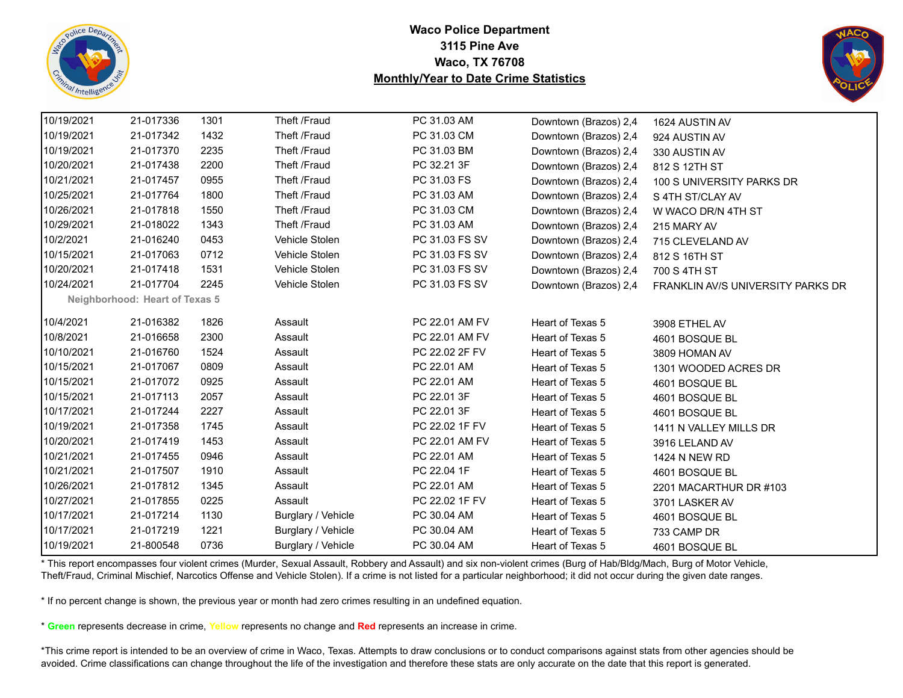![](_page_41_Picture_0.jpeg)

![](_page_41_Picture_2.jpeg)

| 10/19/2021 | 21-017336                             | 1301 | Theft /Fraud       | PC 31.03 AM    | Downtown (Brazos) 2,4 | 1624 AUSTIN AV                    |
|------------|---------------------------------------|------|--------------------|----------------|-----------------------|-----------------------------------|
| 10/19/2021 | 21-017342                             | 1432 | Theft /Fraud       | PC 31.03 CM    | Downtown (Brazos) 2,4 | 924 AUSTIN AV                     |
| 10/19/2021 | 21-017370                             | 2235 | Theft /Fraud       | PC 31.03 BM    | Downtown (Brazos) 2,4 | 330 AUSTIN AV                     |
| 10/20/2021 | 21-017438                             | 2200 | Theft /Fraud       | PC 32.21 3F    | Downtown (Brazos) 2,4 | 812 S 12TH ST                     |
| 10/21/2021 | 21-017457                             | 0955 | Theft /Fraud       | PC 31.03 FS    | Downtown (Brazos) 2,4 | 100 S UNIVERSITY PARKS DR         |
| 10/25/2021 | 21-017764                             | 1800 | Theft /Fraud       | PC 31.03 AM    | Downtown (Brazos) 2,4 | S 4TH ST/CLAY AV                  |
| 10/26/2021 | 21-017818                             | 1550 | Theft /Fraud       | PC 31.03 CM    | Downtown (Brazos) 2,4 | W WACO DR/N 4TH ST                |
| 10/29/2021 | 21-018022                             | 1343 | Theft /Fraud       | PC 31.03 AM    | Downtown (Brazos) 2,4 | 215 MARY AV                       |
| 10/2/2021  | 21-016240                             | 0453 | Vehicle Stolen     | PC 31.03 FS SV | Downtown (Brazos) 2,4 | 715 CLEVELAND AV                  |
| 10/15/2021 | 21-017063                             | 0712 | Vehicle Stolen     | PC 31.03 FS SV | Downtown (Brazos) 2,4 | 812 S 16TH ST                     |
| 10/20/2021 | 21-017418                             | 1531 | Vehicle Stolen     | PC 31.03 FS SV | Downtown (Brazos) 2,4 | 700 S 4TH ST                      |
| 10/24/2021 | 21-017704                             | 2245 | Vehicle Stolen     | PC 31.03 FS SV | Downtown (Brazos) 2,4 | FRANKLIN AV/S UNIVERSITY PARKS DR |
|            | <b>Neighborhood: Heart of Texas 5</b> |      |                    |                |                       |                                   |
| 10/4/2021  | 21-016382                             | 1826 | Assault            | PC 22.01 AM FV | Heart of Texas 5      | 3908 ETHEL AV                     |
| 10/8/2021  | 21-016658                             | 2300 | Assault            | PC 22.01 AM FV | Heart of Texas 5      | 4601 BOSQUE BL                    |
| 10/10/2021 | 21-016760                             | 1524 | Assault            | PC 22.02 2F FV | Heart of Texas 5      | 3809 HOMAN AV                     |
| 10/15/2021 | 21-017067                             | 0809 | Assault            | PC 22.01 AM    | Heart of Texas 5      | 1301 WOODED ACRES DR              |
| 10/15/2021 | 21-017072                             | 0925 | Assault            | PC 22.01 AM    | Heart of Texas 5      | 4601 BOSQUE BL                    |
| 10/15/2021 | 21-017113                             | 2057 | Assault            | PC 22.01 3F    | Heart of Texas 5      | 4601 BOSQUE BL                    |
| 10/17/2021 | 21-017244                             | 2227 | Assault            | PC 22.01 3F    | Heart of Texas 5      | 4601 BOSQUE BL                    |
| 10/19/2021 | 21-017358                             | 1745 | Assault            | PC 22.02 1F FV | Heart of Texas 5      | 1411 N VALLEY MILLS DR            |
| 10/20/2021 | 21-017419                             | 1453 | Assault            | PC 22.01 AM FV | Heart of Texas 5      | 3916 LELAND AV                    |
| 10/21/2021 | 21-017455                             | 0946 | Assault            | PC 22.01 AM    | Heart of Texas 5      | 1424 N NEW RD                     |
| 10/21/2021 | 21-017507                             | 1910 | Assault            | PC 22.04 1F    | Heart of Texas 5      | 4601 BOSQUE BL                    |
| 10/26/2021 | 21-017812                             | 1345 | Assault            | PC 22.01 AM    | Heart of Texas 5      | 2201 MACARTHUR DR #103            |
| 10/27/2021 | 21-017855                             | 0225 | Assault            | PC 22.02 1F FV | Heart of Texas 5      | 3701 LASKER AV                    |
| 10/17/2021 | 21-017214                             | 1130 | Burglary / Vehicle | PC 30.04 AM    | Heart of Texas 5      | 4601 BOSQUE BL                    |
| 10/17/2021 | 21-017219                             | 1221 | Burglary / Vehicle | PC 30.04 AM    | Heart of Texas 5      | 733 CAMP DR                       |
| 10/19/2021 | 21-800548                             | 0736 | Burglary / Vehicle | PC 30.04 AM    | Heart of Texas 5      | 4601 BOSQUE BL                    |

\* This report encompasses four violent crimes (Murder, Sexual Assault, Robbery and Assault) and six non-violent crimes (Burg of Hab/Bldg/Mach, Burg of Motor Vehicle, Theft/Fraud, Criminal Mischief, Narcotics Offense and Vehicle Stolen). If a crime is not listed for a particular neighborhood; it did not occur during the given date ranges.

\* If no percent change is shown, the previous year or month had zero crimes resulting in an undefined equation.

\* **Green** represents decrease in crime, **Yellow** represents no change and **Red** represents an increase in crime.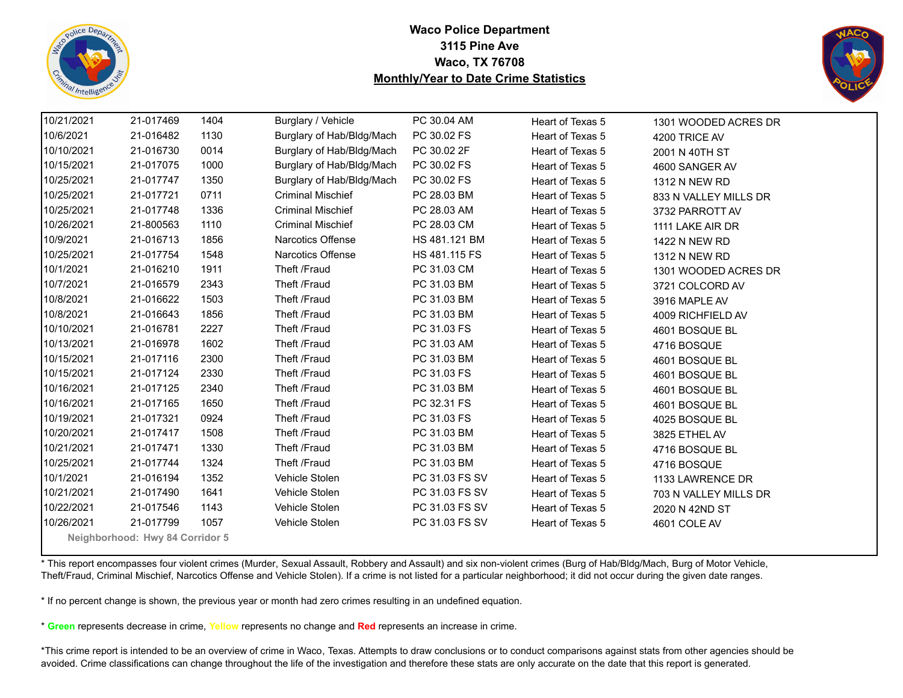![](_page_42_Picture_0.jpeg)

![](_page_42_Picture_2.jpeg)

| 10/21/2021 | 21-017469                       | 1404 | Burglary / Vehicle        | PC 30.04 AM    | Heart of Texas 5 | 1301 WOODED ACRES DR  |  |  |  |
|------------|---------------------------------|------|---------------------------|----------------|------------------|-----------------------|--|--|--|
| 10/6/2021  | 21-016482                       | 1130 | Burglary of Hab/Bldg/Mach | PC 30.02 FS    | Heart of Texas 5 | 4200 TRICE AV         |  |  |  |
| 10/10/2021 | 21-016730                       | 0014 | Burglary of Hab/Bldg/Mach | PC 30.02 2F    | Heart of Texas 5 | 2001 N 40TH ST        |  |  |  |
| 10/15/2021 | 21-017075                       | 1000 | Burglary of Hab/Bldg/Mach | PC 30.02 FS    | Heart of Texas 5 | 4600 SANGER AV        |  |  |  |
| 10/25/2021 | 21-017747                       | 1350 | Burglary of Hab/Bldg/Mach | PC 30.02 FS    | Heart of Texas 5 | 1312 N NEW RD         |  |  |  |
| 10/25/2021 | 21-017721                       | 0711 | <b>Criminal Mischief</b>  | PC 28.03 BM    | Heart of Texas 5 | 833 N VALLEY MILLS DR |  |  |  |
| 10/25/2021 | 21-017748                       | 1336 | <b>Criminal Mischief</b>  | PC 28.03 AM    | Heart of Texas 5 | 3732 PARROTT AV       |  |  |  |
| 10/26/2021 | 21-800563                       | 1110 | <b>Criminal Mischief</b>  | PC 28.03 CM    | Heart of Texas 5 | 1111 LAKE AIR DR      |  |  |  |
| 10/9/2021  | 21-016713                       | 1856 | <b>Narcotics Offense</b>  | HS 481.121 BM  | Heart of Texas 5 | 1422 N NEW RD         |  |  |  |
| 10/25/2021 | 21-017754                       | 1548 | Narcotics Offense         | HS 481.115 FS  | Heart of Texas 5 | <b>1312 N NEW RD</b>  |  |  |  |
| 10/1/2021  | 21-016210                       | 1911 | Theft /Fraud              | PC 31.03 CM    | Heart of Texas 5 | 1301 WOODED ACRES DR  |  |  |  |
| 10/7/2021  | 21-016579                       | 2343 | Theft /Fraud              | PC 31.03 BM    | Heart of Texas 5 | 3721 COLCORD AV       |  |  |  |
| 10/8/2021  | 21-016622                       | 1503 | Theft /Fraud              | PC 31.03 BM    | Heart of Texas 5 | 3916 MAPLE AV         |  |  |  |
| 10/8/2021  | 21-016643                       | 1856 | Theft /Fraud              | PC 31.03 BM    | Heart of Texas 5 | 4009 RICHFIELD AV     |  |  |  |
| 10/10/2021 | 21-016781                       | 2227 | Theft /Fraud              | PC 31.03 FS    | Heart of Texas 5 | 4601 BOSQUE BL        |  |  |  |
| 10/13/2021 | 21-016978                       | 1602 | Theft /Fraud              | PC 31.03 AM    | Heart of Texas 5 | 4716 BOSQUE           |  |  |  |
| 10/15/2021 | 21-017116                       | 2300 | Theft /Fraud              | PC 31.03 BM    | Heart of Texas 5 | 4601 BOSQUE BL        |  |  |  |
| 10/15/2021 | 21-017124                       | 2330 | Theft /Fraud              | PC 31.03 FS    | Heart of Texas 5 | 4601 BOSQUE BL        |  |  |  |
| 10/16/2021 | 21-017125                       | 2340 | Theft /Fraud              | PC 31.03 BM    | Heart of Texas 5 | 4601 BOSQUE BL        |  |  |  |
| 10/16/2021 | 21-017165                       | 1650 | Theft /Fraud              | PC 32.31 FS    | Heart of Texas 5 | 4601 BOSQUE BL        |  |  |  |
| 10/19/2021 | 21-017321                       | 0924 | Theft /Fraud              | PC 31.03 FS    | Heart of Texas 5 | 4025 BOSQUE BL        |  |  |  |
| 10/20/2021 | 21-017417                       | 1508 | Theft /Fraud              | PC 31.03 BM    | Heart of Texas 5 | 3825 ETHEL AV         |  |  |  |
| 10/21/2021 | 21-017471                       | 1330 | Theft /Fraud              | PC 31.03 BM    | Heart of Texas 5 | 4716 BOSQUE BL        |  |  |  |
| 10/25/2021 | 21-017744                       | 1324 | Theft /Fraud              | PC 31.03 BM    | Heart of Texas 5 | 4716 BOSQUE           |  |  |  |
| 10/1/2021  | 21-016194                       | 1352 | Vehicle Stolen            | PC 31.03 FS SV | Heart of Texas 5 | 1133 LAWRENCE DR      |  |  |  |
| 10/21/2021 | 21-017490                       | 1641 | Vehicle Stolen            | PC 31.03 FS SV | Heart of Texas 5 | 703 N VALLEY MILLS DR |  |  |  |
| 10/22/2021 | 21-017546                       | 1143 | Vehicle Stolen            | PC 31.03 FS SV | Heart of Texas 5 | 2020 N 42ND ST        |  |  |  |
| 10/26/2021 | 21-017799                       | 1057 | Vehicle Stolen            | PC 31.03 FS SV | Heart of Texas 5 | 4601 COLE AV          |  |  |  |
|            | Neighborhood: Hwy 84 Corridor 5 |      |                           |                |                  |                       |  |  |  |

\* This report encompasses four violent crimes (Murder, Sexual Assault, Robbery and Assault) and six non-violent crimes (Burg of Hab/Bldg/Mach, Burg of Motor Vehicle, Theft/Fraud, Criminal Mischief, Narcotics Offense and Vehicle Stolen). If a crime is not listed for a particular neighborhood; it did not occur during the given date ranges.

\* If no percent change is shown, the previous year or month had zero crimes resulting in an undefined equation.

\* **Green** represents decrease in crime, **Yellow** represents no change and **Red** represents an increase in crime.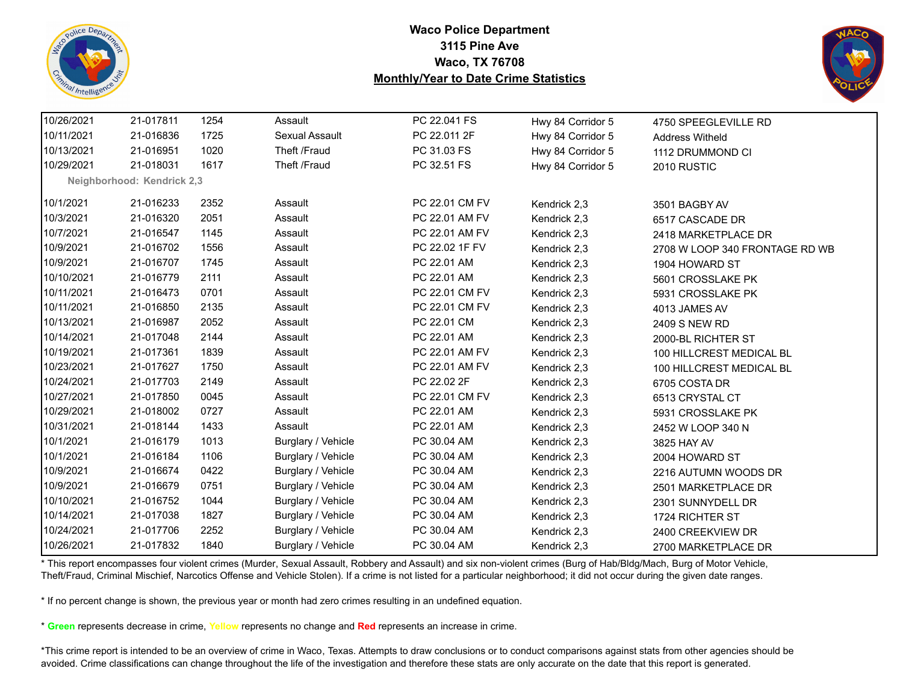![](_page_43_Picture_0.jpeg)

![](_page_43_Picture_2.jpeg)

| 10/26/2021 | 21-017811                  | 1254 | Assault            | PC 22.041 FS   | Hwy 84 Corridor 5 | 4750 SPEEGLEVILLE RD           |
|------------|----------------------------|------|--------------------|----------------|-------------------|--------------------------------|
| 10/11/2021 | 21-016836                  | 1725 | Sexual Assault     | PC 22.011 2F   | Hwy 84 Corridor 5 | <b>Address Witheld</b>         |
| 10/13/2021 | 21-016951                  | 1020 | Theft /Fraud       | PC 31.03 FS    | Hwy 84 Corridor 5 | 1112 DRUMMOND CI               |
| 10/29/2021 | 21-018031                  | 1617 | Theft /Fraud       | PC 32.51 FS    | Hwy 84 Corridor 5 | 2010 RUSTIC                    |
|            | Neighborhood: Kendrick 2,3 |      |                    |                |                   |                                |
| 10/1/2021  | 21-016233                  | 2352 | Assault            | PC 22.01 CM FV | Kendrick 2,3      | 3501 BAGBY AV                  |
| 10/3/2021  | 21-016320                  | 2051 | Assault            | PC 22.01 AM FV | Kendrick 2,3      | 6517 CASCADE DR                |
| 10/7/2021  | 21-016547                  | 1145 | Assault            | PC 22.01 AM FV | Kendrick 2,3      | 2418 MARKETPLACE DR            |
| 10/9/2021  | 21-016702                  | 1556 | Assault            | PC 22.02 1F FV | Kendrick 2,3      | 2708 W LOOP 340 FRONTAGE RD WB |
| 10/9/2021  | 21-016707                  | 1745 | Assault            | PC 22.01 AM    | Kendrick 2,3      | 1904 HOWARD ST                 |
| 10/10/2021 | 21-016779                  | 2111 | Assault            | PC 22.01 AM    | Kendrick 2,3      | 5601 CROSSLAKE PK              |
| 10/11/2021 | 21-016473                  | 0701 | Assault            | PC 22.01 CM FV | Kendrick 2,3      | 5931 CROSSLAKE PK              |
| 10/11/2021 | 21-016850                  | 2135 | Assault            | PC 22.01 CM FV | Kendrick 2,3      | 4013 JAMES AV                  |
| 10/13/2021 | 21-016987                  | 2052 | Assault            | PC 22.01 CM    | Kendrick 2,3      | 2409 S NEW RD                  |
| 10/14/2021 | 21-017048                  | 2144 | Assault            | PC 22.01 AM    | Kendrick 2,3      | 2000-BL RICHTER ST             |
| 10/19/2021 | 21-017361                  | 1839 | Assault            | PC 22.01 AM FV | Kendrick 2,3      | 100 HILLCREST MEDICAL BL       |
| 10/23/2021 | 21-017627                  | 1750 | Assault            | PC 22.01 AM FV | Kendrick 2,3      | 100 HILLCREST MEDICAL BL       |
| 10/24/2021 | 21-017703                  | 2149 | Assault            | PC 22.02 2F    | Kendrick 2,3      | 6705 COSTA DR                  |
| 10/27/2021 | 21-017850                  | 0045 | Assault            | PC 22.01 CM FV | Kendrick 2,3      | 6513 CRYSTAL CT                |
| 10/29/2021 | 21-018002                  | 0727 | Assault            | PC 22.01 AM    | Kendrick 2,3      | 5931 CROSSLAKE PK              |
| 10/31/2021 | 21-018144                  | 1433 | Assault            | PC 22.01 AM    | Kendrick 2,3      | 2452 W LOOP 340 N              |
| 10/1/2021  | 21-016179                  | 1013 | Burglary / Vehicle | PC 30.04 AM    | Kendrick 2,3      | 3825 HAY AV                    |
| 10/1/2021  | 21-016184                  | 1106 | Burglary / Vehicle | PC 30.04 AM    | Kendrick 2,3      | 2004 HOWARD ST                 |
| 10/9/2021  | 21-016674                  | 0422 | Burglary / Vehicle | PC 30.04 AM    | Kendrick 2,3      | 2216 AUTUMN WOODS DR           |
| 10/9/2021  | 21-016679                  | 0751 | Burglary / Vehicle | PC 30.04 AM    | Kendrick 2,3      | 2501 MARKETPLACE DR            |
| 10/10/2021 | 21-016752                  | 1044 | Burglary / Vehicle | PC 30.04 AM    | Kendrick 2,3      | 2301 SUNNYDELL DR              |
| 10/14/2021 | 21-017038                  | 1827 | Burglary / Vehicle | PC 30.04 AM    | Kendrick 2,3      | 1724 RICHTER ST                |
| 10/24/2021 | 21-017706                  | 2252 | Burglary / Vehicle | PC 30.04 AM    | Kendrick 2,3      | 2400 CREEKVIEW DR              |
| 10/26/2021 | 21-017832                  | 1840 | Burglary / Vehicle | PC 30.04 AM    | Kendrick 2,3      | 2700 MARKETPLACE DR            |

\* This report encompasses four violent crimes (Murder, Sexual Assault, Robbery and Assault) and six non-violent crimes (Burg of Hab/Bldg/Mach, Burg of Motor Vehicle, Theft/Fraud, Criminal Mischief, Narcotics Offense and Vehicle Stolen). If a crime is not listed for a particular neighborhood; it did not occur during the given date ranges.

\* If no percent change is shown, the previous year or month had zero crimes resulting in an undefined equation.

\* **Green** represents decrease in crime, **Yellow** represents no change and **Red** represents an increase in crime.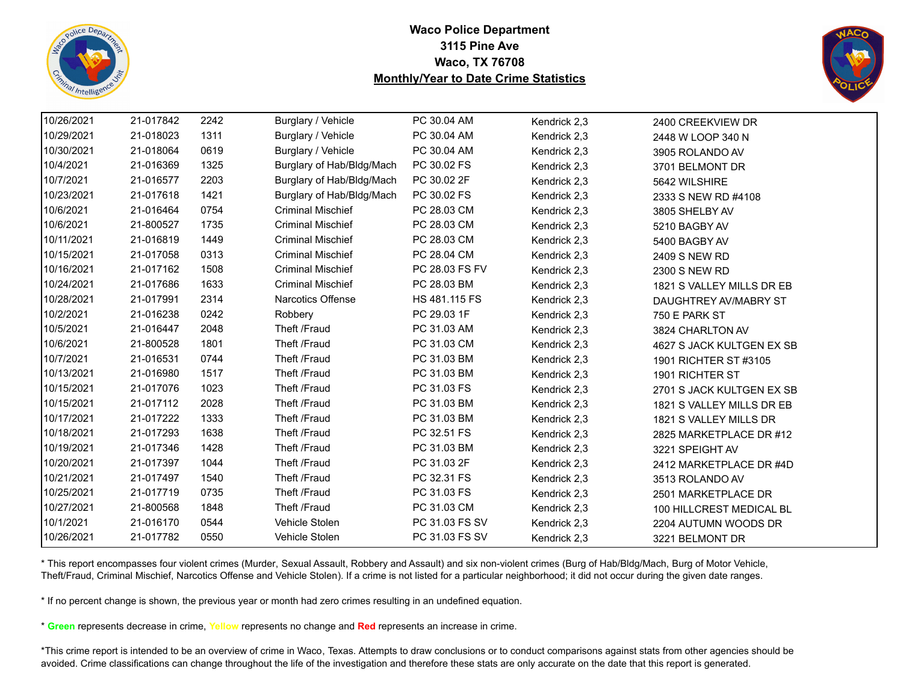![](_page_44_Picture_0.jpeg)

![](_page_44_Picture_2.jpeg)

| 10/26/2021 | 21-017842 | 2242 | Burglary / Vehicle        | PC 30.04 AM    | Kendrick 2,3 | 2400 CREEKVIEW DR         |
|------------|-----------|------|---------------------------|----------------|--------------|---------------------------|
| 10/29/2021 | 21-018023 | 1311 | Burglary / Vehicle        | PC 30.04 AM    | Kendrick 2,3 | 2448 W LOOP 340 N         |
| 10/30/2021 | 21-018064 | 0619 | Burglary / Vehicle        | PC 30.04 AM    | Kendrick 2,3 | 3905 ROLANDO AV           |
| 10/4/2021  | 21-016369 | 1325 | Burglary of Hab/Bldg/Mach | PC 30.02 FS    | Kendrick 2,3 | 3701 BELMONT DR           |
| 10/7/2021  | 21-016577 | 2203 | Burglary of Hab/Bldg/Mach | PC 30.02 2F    | Kendrick 2,3 | 5642 WILSHIRE             |
| 10/23/2021 | 21-017618 | 1421 | Burglary of Hab/Bldg/Mach | PC 30.02 FS    | Kendrick 2,3 | 2333 S NEW RD #4108       |
| 10/6/2021  | 21-016464 | 0754 | <b>Criminal Mischief</b>  | PC 28.03 CM    | Kendrick 2,3 | 3805 SHELBY AV            |
| 10/6/2021  | 21-800527 | 1735 | <b>Criminal Mischief</b>  | PC 28.03 CM    | Kendrick 2,3 | 5210 BAGBY AV             |
| 10/11/2021 | 21-016819 | 1449 | <b>Criminal Mischief</b>  | PC 28.03 CM    | Kendrick 2,3 | 5400 BAGBY AV             |
| 10/15/2021 | 21-017058 | 0313 | <b>Criminal Mischief</b>  | PC 28.04 CM    | Kendrick 2,3 | 2409 S NEW RD             |
| 10/16/2021 | 21-017162 | 1508 | <b>Criminal Mischief</b>  | PC 28.03 FS FV | Kendrick 2,3 | 2300 S NEW RD             |
| 10/24/2021 | 21-017686 | 1633 | <b>Criminal Mischief</b>  | PC 28.03 BM    | Kendrick 2,3 | 1821 S VALLEY MILLS DR EB |
| 10/28/2021 | 21-017991 | 2314 | Narcotics Offense         | HS 481.115 FS  | Kendrick 2,3 | DAUGHTREY AV/MABRY ST     |
| 10/2/2021  | 21-016238 | 0242 | Robbery                   | PC 29.03 1F    | Kendrick 2,3 | 750 E PARK ST             |
| 10/5/2021  | 21-016447 | 2048 | Theft /Fraud              | PC 31.03 AM    | Kendrick 2,3 | 3824 CHARLTON AV          |
| 10/6/2021  | 21-800528 | 1801 | Theft /Fraud              | PC 31.03 CM    | Kendrick 2,3 | 4627 S JACK KULTGEN EX SB |
| 10/7/2021  | 21-016531 | 0744 | Theft /Fraud              | PC 31.03 BM    | Kendrick 2,3 | 1901 RICHTER ST #3105     |
| 10/13/2021 | 21-016980 | 1517 | Theft /Fraud              | PC 31.03 BM    | Kendrick 2,3 | 1901 RICHTER ST           |
| 10/15/2021 | 21-017076 | 1023 | Theft /Fraud              | PC 31.03 FS    | Kendrick 2,3 | 2701 S JACK KULTGEN EX SB |
| 10/15/2021 | 21-017112 | 2028 | Theft /Fraud              | PC 31.03 BM    | Kendrick 2,3 | 1821 S VALLEY MILLS DR EB |
| 10/17/2021 | 21-017222 | 1333 | Theft /Fraud              | PC 31.03 BM    | Kendrick 2,3 | 1821 S VALLEY MILLS DR    |
| 10/18/2021 | 21-017293 | 1638 | Theft /Fraud              | PC 32.51 FS    | Kendrick 2,3 | 2825 MARKETPLACE DR #12   |
| 10/19/2021 | 21-017346 | 1428 | Theft /Fraud              | PC 31.03 BM    | Kendrick 2,3 | 3221 SPEIGHT AV           |
| 10/20/2021 | 21-017397 | 1044 | Theft /Fraud              | PC 31.03 2F    | Kendrick 2,3 | 2412 MARKETPLACE DR #4D   |
| 10/21/2021 | 21-017497 | 1540 | Theft /Fraud              | PC 32.31 FS    | Kendrick 2,3 | 3513 ROLANDO AV           |
| 10/25/2021 | 21-017719 | 0735 | Theft /Fraud              | PC 31.03 FS    | Kendrick 2,3 | 2501 MARKETPLACE DR       |
| 10/27/2021 | 21-800568 | 1848 | Theft /Fraud              | PC 31.03 CM    | Kendrick 2,3 | 100 HILLCREST MEDICAL BL  |
| 10/1/2021  | 21-016170 | 0544 | Vehicle Stolen            | PC 31.03 FS SV | Kendrick 2,3 | 2204 AUTUMN WOODS DR      |
| 10/26/2021 | 21-017782 | 0550 | Vehicle Stolen            | PC 31.03 FS SV | Kendrick 2,3 | 3221 BELMONT DR           |

\* This report encompasses four violent crimes (Murder, Sexual Assault, Robbery and Assault) and six non-violent crimes (Burg of Hab/Bldg/Mach, Burg of Motor Vehicle, Theft/Fraud, Criminal Mischief, Narcotics Offense and Vehicle Stolen). If a crime is not listed for a particular neighborhood; it did not occur during the given date ranges.

\* If no percent change is shown, the previous year or month had zero crimes resulting in an undefined equation.

\* **Green** represents decrease in crime, **Yellow** represents no change and **Red** represents an increase in crime.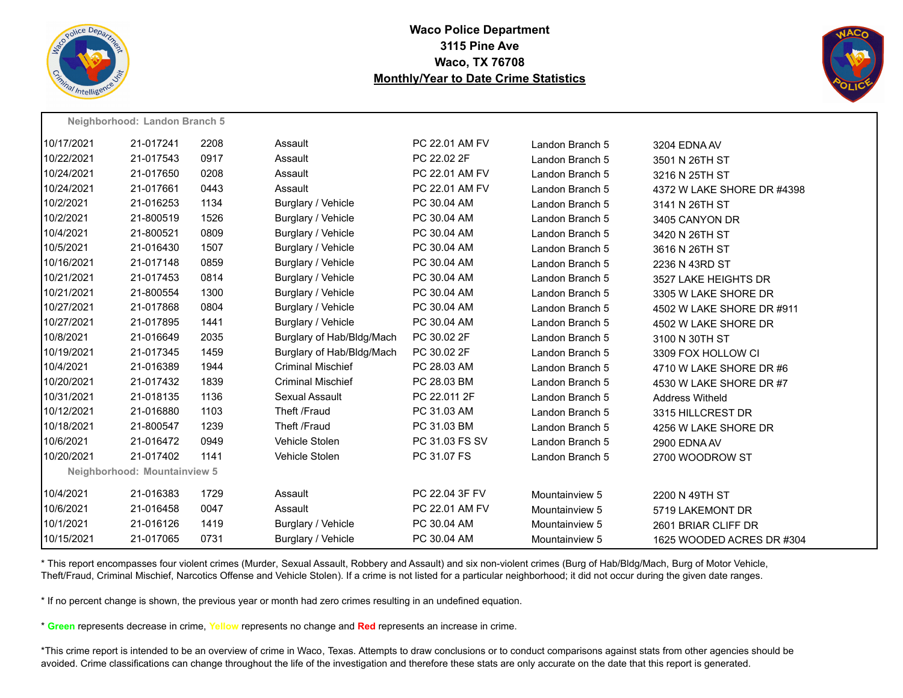![](_page_45_Picture_0.jpeg)

**Neighborhood: Landon Branch 5**

# **Waco Police Department 3115 Pine Ave Waco, TX 76708 Monthly/Year to Date Crime Statistics**

![](_page_45_Picture_2.jpeg)

|            | <b>Neighbornood.</b> Langon Branch 5 |      |                           |                |                 |                            |
|------------|--------------------------------------|------|---------------------------|----------------|-----------------|----------------------------|
| 10/17/2021 | 21-017241                            | 2208 | Assault                   | PC 22.01 AM FV | Landon Branch 5 | 3204 EDNA AV               |
| 10/22/2021 | 21-017543                            | 0917 | Assault                   | PC 22.02 2F    | Landon Branch 5 | 3501 N 26TH ST             |
| 10/24/2021 | 21-017650                            | 0208 | Assault                   | PC 22.01 AM FV | Landon Branch 5 | 3216 N 25TH ST             |
| 10/24/2021 | 21-017661                            | 0443 | Assault                   | PC 22.01 AM FV | Landon Branch 5 | 4372 W LAKE SHORE DR #4398 |
| 10/2/2021  | 21-016253                            | 1134 | Burglary / Vehicle        | PC 30.04 AM    | Landon Branch 5 | 3141 N 26TH ST             |
| 10/2/2021  | 21-800519                            | 1526 | Burglary / Vehicle        | PC 30.04 AM    | Landon Branch 5 | 3405 CANYON DR             |
| 10/4/2021  | 21-800521                            | 0809 | Burglary / Vehicle        | PC 30.04 AM    | Landon Branch 5 | 3420 N 26TH ST             |
| 10/5/2021  | 21-016430                            | 1507 | Burglary / Vehicle        | PC 30.04 AM    | Landon Branch 5 | 3616 N 26TH ST             |
| 10/16/2021 | 21-017148                            | 0859 | Burglary / Vehicle        | PC 30.04 AM    | Landon Branch 5 | 2236 N 43RD ST             |
| 10/21/2021 | 21-017453                            | 0814 | Burglary / Vehicle        | PC 30.04 AM    | Landon Branch 5 | 3527 LAKE HEIGHTS DR       |
| 10/21/2021 | 21-800554                            | 1300 | Burglary / Vehicle        | PC 30.04 AM    | Landon Branch 5 | 3305 W LAKE SHORE DR       |
| 10/27/2021 | 21-017868                            | 0804 | Burglary / Vehicle        | PC 30.04 AM    | Landon Branch 5 | 4502 W LAKE SHORE DR #911  |
| 10/27/2021 | 21-017895                            | 1441 | Burglary / Vehicle        | PC 30.04 AM    | Landon Branch 5 | 4502 W LAKE SHORE DR       |
| 10/8/2021  | 21-016649                            | 2035 | Burglary of Hab/Bldg/Mach | PC 30.02 2F    | Landon Branch 5 | 3100 N 30TH ST             |
| 10/19/2021 | 21-017345                            | 1459 | Burglary of Hab/Bldg/Mach | PC 30.02 2F    | Landon Branch 5 | 3309 FOX HOLLOW CI         |
| 10/4/2021  | 21-016389                            | 1944 | <b>Criminal Mischief</b>  | PC 28.03 AM    | Landon Branch 5 | 4710 W LAKE SHORE DR #6    |
| 10/20/2021 | 21-017432                            | 1839 | <b>Criminal Mischief</b>  | PC 28.03 BM    | Landon Branch 5 | 4530 W LAKE SHORE DR #7    |
| 10/31/2021 | 21-018135                            | 1136 | Sexual Assault            | PC 22.011 2F   | Landon Branch 5 | <b>Address Witheld</b>     |
| 10/12/2021 | 21-016880                            | 1103 | Theft /Fraud              | PC 31.03 AM    | Landon Branch 5 | 3315 HILLCREST DR          |
| 10/18/2021 | 21-800547                            | 1239 | Theft /Fraud              | PC 31.03 BM    | Landon Branch 5 | 4256 W LAKE SHORE DR       |
| 10/6/2021  | 21-016472                            | 0949 | Vehicle Stolen            | PC 31.03 FS SV | Landon Branch 5 | 2900 EDNA AV               |
| 10/20/2021 | 21-017402                            | 1141 | Vehicle Stolen            | PC 31.07 FS    | Landon Branch 5 | 2700 WOODROW ST            |
|            | Neighborhood: Mountainview 5         |      |                           |                |                 |                            |
| 10/4/2021  | 21-016383                            | 1729 | Assault                   | PC 22.04 3F FV | Mountainview 5  | 2200 N 49TH ST             |
| 10/6/2021  | 21-016458                            | 0047 | Assault                   | PC 22.01 AM FV | Mountainview 5  | 5719 LAKEMONT DR           |
| 10/1/2021  | 21-016126                            | 1419 | Burglary / Vehicle        | PC 30.04 AM    | Mountainview 5  | 2601 BRIAR CLIFF DR        |
| 10/15/2021 | 21-017065                            | 0731 | Burglary / Vehicle        | PC 30.04 AM    | Mountainview 5  | 1625 WOODED ACRES DR #304  |
|            |                                      |      |                           |                |                 |                            |

\* This report encompasses four violent crimes (Murder, Sexual Assault, Robbery and Assault) and six non-violent crimes (Burg of Hab/Bldg/Mach, Burg of Motor Vehicle, Theft/Fraud, Criminal Mischief, Narcotics Offense and Vehicle Stolen). If a crime is not listed for a particular neighborhood; it did not occur during the given date ranges.

\* If no percent change is shown, the previous year or month had zero crimes resulting in an undefined equation.

\* **Green** represents decrease in crime, **Yellow** represents no change and **Red** represents an increase in crime.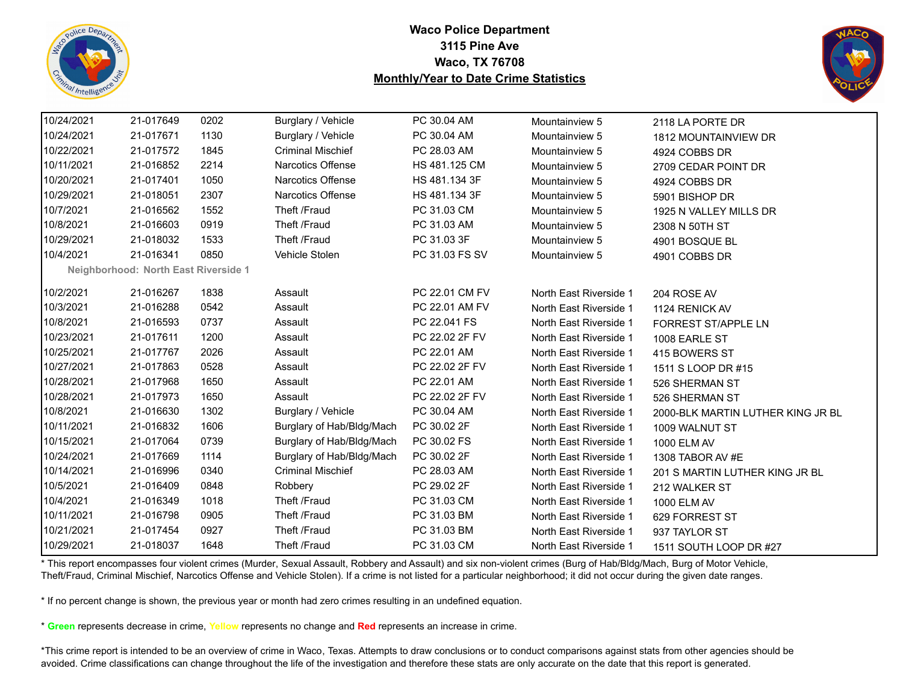![](_page_46_Picture_0.jpeg)

![](_page_46_Picture_2.jpeg)

| 10/24/2021 | 21-017649                            | 0202 | Burglary / Vehicle        | PC 30.04 AM    | Mountainview 5         | 2118 LA PORTE DR                  |
|------------|--------------------------------------|------|---------------------------|----------------|------------------------|-----------------------------------|
| 10/24/2021 | 21-017671                            | 1130 | Burglary / Vehicle        | PC 30.04 AM    | Mountainview 5         | <b>1812 MOUNTAINVIEW DR</b>       |
| 10/22/2021 | 21-017572                            | 1845 | <b>Criminal Mischief</b>  | PC 28.03 AM    | Mountainview 5         | 4924 COBBS DR                     |
| 10/11/2021 | 21-016852                            | 2214 | Narcotics Offense         | HS 481.125 CM  | Mountainview 5         | 2709 CEDAR POINT DR               |
| 10/20/2021 | 21-017401                            | 1050 | <b>Narcotics Offense</b>  | HS 481.134 3F  | Mountainview 5         | 4924 COBBS DR                     |
| 10/29/2021 | 21-018051                            | 2307 | <b>Narcotics Offense</b>  | HS 481.134 3F  | Mountainview 5         | 5901 BISHOP DR                    |
| 10/7/2021  | 21-016562                            | 1552 | Theft /Fraud              | PC 31.03 CM    | Mountainview 5         | 1925 N VALLEY MILLS DR            |
| 10/8/2021  | 21-016603                            | 0919 | Theft /Fraud              | PC 31.03 AM    | Mountainview 5         | 2308 N 50TH ST                    |
| 10/29/2021 | 21-018032                            | 1533 | Theft /Fraud              | PC 31.03 3F    | Mountainview 5         | 4901 BOSQUE BL                    |
| 10/4/2021  | 21-016341                            | 0850 | Vehicle Stolen            | PC 31.03 FS SV | Mountainview 5         | 4901 COBBS DR                     |
|            | Neighborhood: North East Riverside 1 |      |                           |                |                        |                                   |
| 10/2/2021  | 21-016267                            | 1838 | Assault                   | PC 22.01 CM FV | North East Riverside 1 | 204 ROSE AV                       |
| 10/3/2021  | 21-016288                            | 0542 | Assault                   | PC 22.01 AM FV | North East Riverside 1 | 1124 RENICK AV                    |
| 10/8/2021  | 21-016593                            | 0737 | Assault                   | PC 22.041 FS   | North East Riverside 1 | <b>FORREST ST/APPLE LN</b>        |
| 10/23/2021 | 21-017611                            | 1200 | Assault                   | PC 22.02 2F FV | North East Riverside 1 | 1008 EARLE ST                     |
| 10/25/2021 | 21-017767                            | 2026 | Assault                   | PC 22.01 AM    | North East Riverside 1 | 415 BOWERS ST                     |
| 10/27/2021 | 21-017863                            | 0528 | Assault                   | PC 22.02 2F FV | North East Riverside 1 | 1511 S LOOP DR #15                |
| 10/28/2021 | 21-017968                            | 1650 | Assault                   | PC 22.01 AM    | North East Riverside 1 | 526 SHERMAN ST                    |
| 10/28/2021 | 21-017973                            | 1650 | Assault                   | PC 22.02 2F FV | North East Riverside 1 | 526 SHERMAN ST                    |
| 10/8/2021  | 21-016630                            | 1302 | Burglary / Vehicle        | PC 30.04 AM    | North East Riverside 1 | 2000-BLK MARTIN LUTHER KING JR BL |
| 10/11/2021 | 21-016832                            | 1606 | Burglary of Hab/Bldg/Mach | PC 30.02 2F    | North East Riverside 1 | 1009 WALNUT ST                    |
| 10/15/2021 | 21-017064                            | 0739 | Burglary of Hab/Bldg/Mach | PC 30.02 FS    | North East Riverside 1 | 1000 ELM AV                       |
| 10/24/2021 | 21-017669                            | 1114 | Burglary of Hab/Bldg/Mach | PC 30.02 2F    | North East Riverside 1 | 1308 TABOR AV #E                  |
| 10/14/2021 | 21-016996                            | 0340 | <b>Criminal Mischief</b>  | PC 28.03 AM    | North East Riverside 1 | 201 S MARTIN LUTHER KING JR BL    |
| 10/5/2021  | 21-016409                            | 0848 | Robbery                   | PC 29.02 2F    | North East Riverside 1 | 212 WALKER ST                     |
| 10/4/2021  | 21-016349                            | 1018 | Theft /Fraud              | PC 31.03 CM    | North East Riverside 1 | 1000 ELM AV                       |
| 10/11/2021 | 21-016798                            | 0905 | Theft /Fraud              | PC 31.03 BM    | North East Riverside 1 | 629 FORREST ST                    |
| 10/21/2021 | 21-017454                            | 0927 | Theft /Fraud              | PC 31.03 BM    | North East Riverside 1 | 937 TAYLOR ST                     |
| 10/29/2021 | 21-018037                            | 1648 | Theft /Fraud              | PC 31.03 CM    | North East Riverside 1 | 1511 SOUTH LOOP DR #27            |
|            |                                      |      |                           |                |                        |                                   |

\* This report encompasses four violent crimes (Murder, Sexual Assault, Robbery and Assault) and six non-violent crimes (Burg of Hab/Bldg/Mach, Burg of Motor Vehicle, Theft/Fraud, Criminal Mischief, Narcotics Offense and Vehicle Stolen). If a crime is not listed for a particular neighborhood; it did not occur during the given date ranges.

\* If no percent change is shown, the previous year or month had zero crimes resulting in an undefined equation.

\* **Green** represents decrease in crime, **Yellow** represents no change and **Red** represents an increase in crime.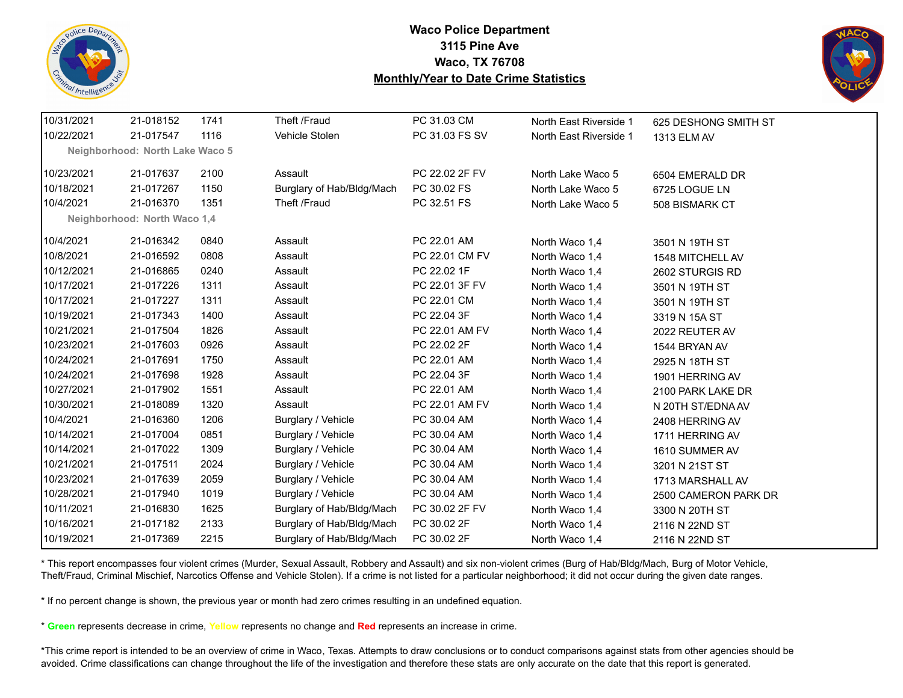![](_page_47_Picture_0.jpeg)

![](_page_47_Picture_2.jpeg)

| 10/31/2021                   | 21-018152                       | 1741 | Theft /Fraud              | PC 31.03 CM    | North East Riverside 1 | 625 DESHONG SMITH ST |  |  |  |  |
|------------------------------|---------------------------------|------|---------------------------|----------------|------------------------|----------------------|--|--|--|--|
| 10/22/2021                   | 21-017547                       | 1116 | Vehicle Stolen            | PC 31.03 FS SV | North East Riverside 1 | 1313 ELM AV          |  |  |  |  |
|                              | Neighborhood: North Lake Waco 5 |      |                           |                |                        |                      |  |  |  |  |
| 10/23/2021                   | 21-017637                       | 2100 | Assault                   | PC 22.02 2F FV | North Lake Waco 5      | 6504 EMERALD DR      |  |  |  |  |
| 10/18/2021                   | 21-017267                       | 1150 | Burglary of Hab/Bldg/Mach | PC 30.02 FS    | North Lake Waco 5      | 6725 LOGUE LN        |  |  |  |  |
| 10/4/2021                    | 21-016370                       | 1351 | Theft /Fraud              | PC 32.51 FS    | North Lake Waco 5      | 508 BISMARK CT       |  |  |  |  |
| Neighborhood: North Waco 1,4 |                                 |      |                           |                |                        |                      |  |  |  |  |
| 10/4/2021                    | 21-016342                       | 0840 | Assault                   | PC 22.01 AM    | North Waco 1,4         | 3501 N 19TH ST       |  |  |  |  |
| 10/8/2021                    | 21-016592                       | 0808 | Assault                   | PC 22.01 CM FV | North Waco 1,4         | 1548 MITCHELL AV     |  |  |  |  |
| 10/12/2021                   | 21-016865                       | 0240 | Assault                   | PC 22.02 1F    | North Waco 1,4         | 2602 STURGIS RD      |  |  |  |  |
| 10/17/2021                   | 21-017226                       | 1311 | Assault                   | PC 22.01 3F FV | North Waco 1,4         | 3501 N 19TH ST       |  |  |  |  |
| 10/17/2021                   | 21-017227                       | 1311 | Assault                   | PC 22.01 CM    | North Waco 1,4         | 3501 N 19TH ST       |  |  |  |  |
| 10/19/2021                   | 21-017343                       | 1400 | Assault                   | PC 22.04 3F    | North Waco 1,4         | 3319 N 15A ST        |  |  |  |  |
| 10/21/2021                   | 21-017504                       | 1826 | Assault                   | PC 22.01 AM FV | North Waco 1,4         | 2022 REUTER AV       |  |  |  |  |
| 10/23/2021                   | 21-017603                       | 0926 | Assault                   | PC 22.02 2F    | North Waco 1,4         | 1544 BRYAN AV        |  |  |  |  |
| 10/24/2021                   | 21-017691                       | 1750 | Assault                   | PC 22.01 AM    | North Waco 1,4         | 2925 N 18TH ST       |  |  |  |  |
| 10/24/2021                   | 21-017698                       | 1928 | Assault                   | PC 22.04 3F    | North Waco 1,4         | 1901 HERRING AV      |  |  |  |  |
| 10/27/2021                   | 21-017902                       | 1551 | Assault                   | PC 22.01 AM    | North Waco 1,4         | 2100 PARK LAKE DR    |  |  |  |  |
| 10/30/2021                   | 21-018089                       | 1320 | Assault                   | PC 22.01 AM FV | North Waco 1,4         | N 20TH ST/EDNA AV    |  |  |  |  |
| 10/4/2021                    | 21-016360                       | 1206 | Burglary / Vehicle        | PC 30.04 AM    | North Waco 1,4         | 2408 HERRING AV      |  |  |  |  |
| 10/14/2021                   | 21-017004                       | 0851 | Burglary / Vehicle        | PC 30.04 AM    | North Waco 1,4         | 1711 HERRING AV      |  |  |  |  |
| 10/14/2021                   | 21-017022                       | 1309 | Burglary / Vehicle        | PC 30.04 AM    | North Waco 1,4         | 1610 SUMMER AV       |  |  |  |  |
| 10/21/2021                   | 21-017511                       | 2024 | Burglary / Vehicle        | PC 30.04 AM    | North Waco 1,4         | 3201 N 21ST ST       |  |  |  |  |
| 10/23/2021                   | 21-017639                       | 2059 | Burglary / Vehicle        | PC 30.04 AM    | North Waco 1,4         | 1713 MARSHALL AV     |  |  |  |  |
| 10/28/2021                   | 21-017940                       | 1019 | Burglary / Vehicle        | PC 30.04 AM    | North Waco 1,4         | 2500 CAMERON PARK DR |  |  |  |  |
| 10/11/2021                   | 21-016830                       | 1625 | Burglary of Hab/Bldg/Mach | PC 30.02 2F FV | North Waco 1,4         | 3300 N 20TH ST       |  |  |  |  |
| 10/16/2021                   | 21-017182                       | 2133 | Burglary of Hab/Bldg/Mach | PC 30.02 2F    | North Waco 1,4         | 2116 N 22ND ST       |  |  |  |  |
| 10/19/2021                   | 21-017369                       | 2215 | Burglary of Hab/Bldg/Mach | PC 30.02 2F    | North Waco 1,4         | 2116 N 22ND ST       |  |  |  |  |

\* This report encompasses four violent crimes (Murder, Sexual Assault, Robbery and Assault) and six non-violent crimes (Burg of Hab/Bldg/Mach, Burg of Motor Vehicle, Theft/Fraud, Criminal Mischief, Narcotics Offense and Vehicle Stolen). If a crime is not listed for a particular neighborhood; it did not occur during the given date ranges.

\* If no percent change is shown, the previous year or month had zero crimes resulting in an undefined equation.

\* **Green** represents decrease in crime, **Yellow** represents no change and **Red** represents an increase in crime.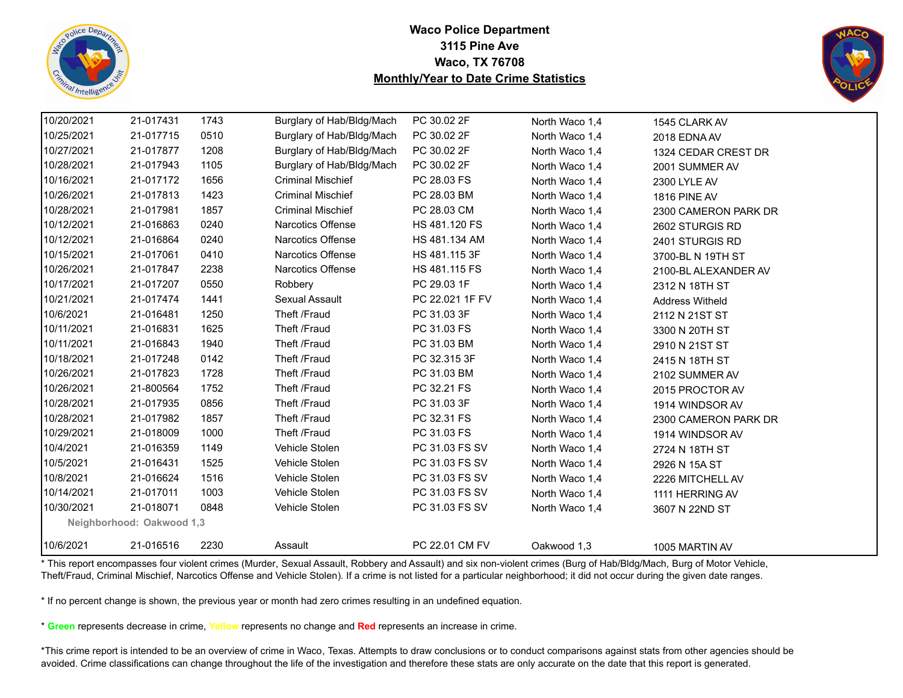![](_page_48_Picture_0.jpeg)

![](_page_48_Picture_2.jpeg)

| 10/20/2021 | 21-017431                 | 1743 | Burglary of Hab/Bldg/Mach | PC 30.02 2F     | North Waco 1,4 | 1545 CLARK AV          |
|------------|---------------------------|------|---------------------------|-----------------|----------------|------------------------|
| 10/25/2021 | 21-017715                 | 0510 | Burglary of Hab/Bldg/Mach | PC 30.02 2F     | North Waco 1,4 | 2018 EDNA AV           |
| 10/27/2021 | 21-017877                 | 1208 | Burglary of Hab/Bldg/Mach | PC 30.02 2F     | North Waco 1,4 | 1324 CEDAR CREST DR    |
| 10/28/2021 | 21-017943                 | 1105 | Burglary of Hab/Bldg/Mach | PC 30.02 2F     | North Waco 1,4 | 2001 SUMMER AV         |
| 10/16/2021 | 21-017172                 | 1656 | <b>Criminal Mischief</b>  | PC 28.03 FS     | North Waco 1,4 | 2300 LYLE AV           |
| 10/26/2021 | 21-017813                 | 1423 | <b>Criminal Mischief</b>  | PC 28.03 BM     | North Waco 1,4 | <b>1816 PINE AV</b>    |
| 10/28/2021 | 21-017981                 | 1857 | <b>Criminal Mischief</b>  | PC 28.03 CM     | North Waco 1,4 | 2300 CAMERON PARK DR   |
| 10/12/2021 | 21-016863                 | 0240 | <b>Narcotics Offense</b>  | HS 481.120 FS   | North Waco 1,4 | 2602 STURGIS RD        |
| 10/12/2021 | 21-016864                 | 0240 | Narcotics Offense         | HS 481.134 AM   | North Waco 1,4 | 2401 STURGIS RD        |
| 10/15/2021 | 21-017061                 | 0410 | <b>Narcotics Offense</b>  | HS 481.115 3F   | North Waco 1,4 | 3700-BL N 19TH ST      |
| 10/26/2021 | 21-017847                 | 2238 | Narcotics Offense         | HS 481.115 FS   | North Waco 1,4 | 2100-BL ALEXANDER AV   |
| 10/17/2021 | 21-017207                 | 0550 | Robbery                   | PC 29.03 1F     | North Waco 1,4 | 2312 N 18TH ST         |
| 10/21/2021 | 21-017474                 | 1441 | Sexual Assault            | PC 22.021 1F FV | North Waco 1,4 | <b>Address Witheld</b> |
| 10/6/2021  | 21-016481                 | 1250 | Theft /Fraud              | PC 31.03 3F     | North Waco 1,4 | 2112 N 21ST ST         |
| 10/11/2021 | 21-016831                 | 1625 | Theft /Fraud              | PC 31.03 FS     | North Waco 1,4 | 3300 N 20TH ST         |
| 10/11/2021 | 21-016843                 | 1940 | Theft /Fraud              | PC 31.03 BM     | North Waco 1,4 | 2910 N 21ST ST         |
| 10/18/2021 | 21-017248                 | 0142 | Theft /Fraud              | PC 32.315 3F    | North Waco 1,4 | 2415 N 18TH ST         |
| 10/26/2021 | 21-017823                 | 1728 | Theft /Fraud              | PC 31.03 BM     | North Waco 1,4 | 2102 SUMMER AV         |
| 10/26/2021 | 21-800564                 | 1752 | Theft /Fraud              | PC 32.21 FS     | North Waco 1,4 | 2015 PROCTOR AV        |
| 10/28/2021 | 21-017935                 | 0856 | Theft /Fraud              | PC 31.03 3F     | North Waco 1,4 | 1914 WINDSOR AV        |
| 10/28/2021 | 21-017982                 | 1857 | Theft /Fraud              | PC 32.31 FS     | North Waco 1,4 | 2300 CAMERON PARK DR   |
| 10/29/2021 | 21-018009                 | 1000 | Theft /Fraud              | PC 31.03 FS     | North Waco 1,4 | 1914 WINDSOR AV        |
| 10/4/2021  | 21-016359                 | 1149 | Vehicle Stolen            | PC 31.03 FS SV  | North Waco 1,4 | 2724 N 18TH ST         |
| 10/5/2021  | 21-016431                 | 1525 | Vehicle Stolen            | PC 31.03 FS SV  | North Waco 1,4 | 2926 N 15A ST          |
| 10/8/2021  | 21-016624                 | 1516 | Vehicle Stolen            | PC 31.03 FS SV  | North Waco 1,4 | 2226 MITCHELL AV       |
| 10/14/2021 | 21-017011                 | 1003 | Vehicle Stolen            | PC 31.03 FS SV  | North Waco 1,4 | 1111 HERRING AV        |
| 10/30/2021 | 21-018071                 | 0848 | Vehicle Stolen            | PC 31.03 FS SV  | North Waco 1,4 | 3607 N 22ND ST         |
|            | Neighborhood: Oakwood 1,3 |      |                           |                 |                |                        |
| 10/6/2021  | 21-016516                 | 2230 | Assault                   | PC 22.01 CM FV  | Oakwood 1,3    | 1005 MARTIN AV         |

\* This report encompasses four violent crimes (Murder, Sexual Assault, Robbery and Assault) and six non-violent crimes (Burg of Hab/Bldg/Mach, Burg of Motor Vehicle, Theft/Fraud, Criminal Mischief, Narcotics Offense and Vehicle Stolen). If a crime is not listed for a particular neighborhood; it did not occur during the given date ranges.

\* If no percent change is shown, the previous year or month had zero crimes resulting in an undefined equation.

\* **Green** represents decrease in crime, **Yellow** represents no change and **Red** represents an increase in crime.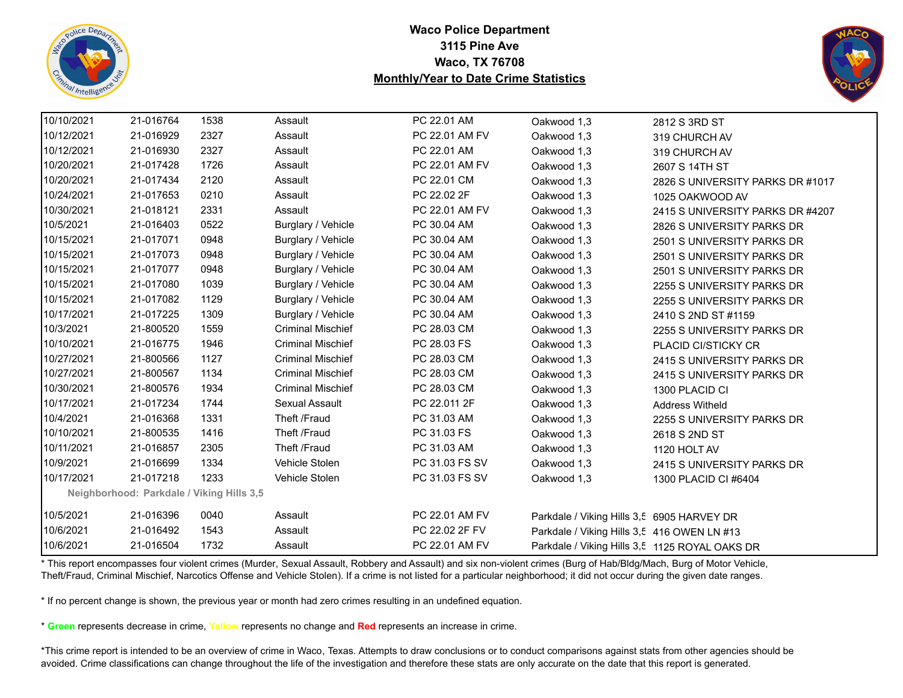![](_page_49_Picture_0.jpeg)

![](_page_49_Picture_2.jpeg)

| 10/10/2021 | 21-016764 | 1538                                      | Assault                  | PC 22.01 AM    | Oakwood 1,3                                    | 2812 S 3RD ST                    |
|------------|-----------|-------------------------------------------|--------------------------|----------------|------------------------------------------------|----------------------------------|
| 10/12/2021 | 21-016929 | 2327                                      | Assault                  | PC 22.01 AM FV | Oakwood 1,3                                    | 319 CHURCH AV                    |
| 10/12/2021 | 21-016930 | 2327                                      | Assault                  | PC 22.01 AM    | Oakwood 1,3                                    | 319 CHURCH AV                    |
| 10/20/2021 | 21-017428 | 1726                                      | Assault                  | PC 22.01 AM FV | Oakwood 1,3                                    | 2607 S 14TH ST                   |
| 10/20/2021 | 21-017434 | 2120                                      | Assault                  | PC 22.01 CM    | Oakwood 1,3                                    | 2826 S UNIVERSITY PARKS DR #1017 |
| 10/24/2021 | 21-017653 | 0210                                      | Assault                  | PC 22.02 2F    | Oakwood 1,3                                    | 1025 OAKWOOD AV                  |
| 10/30/2021 | 21-018121 | 2331                                      | Assault                  | PC 22.01 AM FV | Oakwood 1,3                                    | 2415 S UNIVERSITY PARKS DR #4207 |
| 10/5/2021  | 21-016403 | 0522                                      | Burglary / Vehicle       | PC 30.04 AM    | Oakwood 1,3                                    | 2826 S UNIVERSITY PARKS DR       |
| 10/15/2021 | 21-017071 | 0948                                      | Burglary / Vehicle       | PC 30.04 AM    | Oakwood 1,3                                    | 2501 S UNIVERSITY PARKS DR       |
| 10/15/2021 | 21-017073 | 0948                                      | Burglary / Vehicle       | PC 30.04 AM    | Oakwood 1,3                                    | 2501 S UNIVERSITY PARKS DR       |
| 10/15/2021 | 21-017077 | 0948                                      | Burglary / Vehicle       | PC 30.04 AM    | Oakwood 1,3                                    | 2501 S UNIVERSITY PARKS DR       |
| 10/15/2021 | 21-017080 | 1039                                      | Burglary / Vehicle       | PC 30.04 AM    | Oakwood 1,3                                    | 2255 S UNIVERSITY PARKS DR       |
| 10/15/2021 | 21-017082 | 1129                                      | Burglary / Vehicle       | PC 30.04 AM    | Oakwood 1,3                                    | 2255 S UNIVERSITY PARKS DR       |
| 10/17/2021 | 21-017225 | 1309                                      | Burglary / Vehicle       | PC 30.04 AM    | Oakwood 1,3                                    | 2410 S 2ND ST #1159              |
| 10/3/2021  | 21-800520 | 1559                                      | <b>Criminal Mischief</b> | PC 28.03 CM    | Oakwood 1,3                                    | 2255 S UNIVERSITY PARKS DR       |
| 10/10/2021 | 21-016775 | 1946                                      | <b>Criminal Mischief</b> | PC 28.03 FS    | Oakwood 1,3                                    | PLACID CI/STICKY CR              |
| 10/27/2021 | 21-800566 | 1127                                      | <b>Criminal Mischief</b> | PC 28.03 CM    | Oakwood 1,3                                    | 2415 S UNIVERSITY PARKS DR       |
| 10/27/2021 | 21-800567 | 1134                                      | <b>Criminal Mischief</b> | PC 28.03 CM    | Oakwood 1,3                                    | 2415 S UNIVERSITY PARKS DR       |
| 10/30/2021 | 21-800576 | 1934                                      | <b>Criminal Mischief</b> | PC 28.03 CM    | Oakwood 1,3                                    | 1300 PLACID CI                   |
| 10/17/2021 | 21-017234 | 1744                                      | Sexual Assault           | PC 22.011 2F   | Oakwood 1,3                                    | <b>Address Witheld</b>           |
| 10/4/2021  | 21-016368 | 1331                                      | Theft /Fraud             | PC 31.03 AM    | Oakwood 1,3                                    | 2255 S UNIVERSITY PARKS DR       |
| 10/10/2021 | 21-800535 | 1416                                      | Theft /Fraud             | PC 31.03 FS    | Oakwood 1,3                                    | 2618 S 2ND ST                    |
| 10/11/2021 | 21-016857 | 2305                                      | Theft /Fraud             | PC 31.03 AM    | Oakwood 1,3                                    | 1120 HOLT AV                     |
| 10/9/2021  | 21-016699 | 1334                                      | Vehicle Stolen           | PC 31.03 FS SV | Oakwood 1,3                                    | 2415 S UNIVERSITY PARKS DR       |
| 10/17/2021 | 21-017218 | 1233                                      | Vehicle Stolen           | PC 31.03 FS SV | Oakwood 1,3                                    | 1300 PLACID CI #6404             |
|            |           | Neighborhood: Parkdale / Viking Hills 3,5 |                          |                |                                                |                                  |
| 10/5/2021  | 21-016396 | 0040                                      | Assault                  | PC 22.01 AM FV | Parkdale / Viking Hills 3,5 6905 HARVEY DR     |                                  |
| 10/6/2021  | 21-016492 | 1543                                      | Assault                  | PC 22.02 2F FV | Parkdale / Viking Hills 3,5 416 OWEN LN #13    |                                  |
| 10/6/2021  | 21-016504 | 1732                                      | Assault                  | PC 22.01 AM FV | Parkdale / Viking Hills 3,5 1125 ROYAL OAKS DR |                                  |

\* This report encompasses four violent crimes (Murder, Sexual Assault, Robbery and Assault) and six non-violent crimes (Burg of Hab/Bldg/Mach, Burg of Motor Vehicle, Theft/Fraud, Criminal Mischief, Narcotics Offense and Vehicle Stolen). If a crime is not listed for a particular neighborhood; it did not occur during the given date ranges.

\* If no percent change is shown, the previous year or month had zero crimes resulting in an undefined equation.

\* **Green** represents decrease in crime, **Yellow** represents no change and **Red** represents an increase in crime.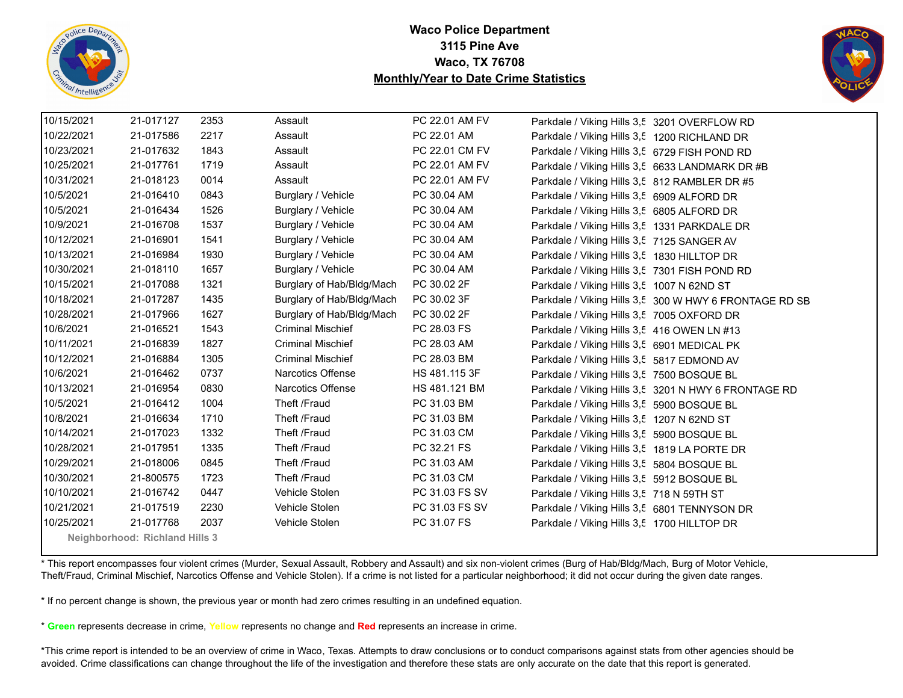![](_page_50_Picture_0.jpeg)

![](_page_50_Picture_2.jpeg)

| 10/15/2021 | 21-017127                      | 2353 | Assault                   | PC 22.01 AM FV | Parkdale / Viking Hills 3,5 3201 OVERFLOW RD  |                                                        |
|------------|--------------------------------|------|---------------------------|----------------|-----------------------------------------------|--------------------------------------------------------|
| 10/22/2021 | 21-017586                      | 2217 | Assault                   | PC 22.01 AM    | Parkdale / Viking Hills 3,5 1200 RICHLAND DR  |                                                        |
| 10/23/2021 | 21-017632                      | 1843 | Assault                   | PC 22.01 CM FV | Parkdale / Viking Hills 3,5 6729 FISH POND RD |                                                        |
| 10/25/2021 | 21-017761                      | 1719 | Assault                   | PC 22.01 AM FV |                                               | Parkdale / Viking Hills 3,5 6633 LANDMARK DR #B        |
| 10/31/2021 | 21-018123                      | 0014 | Assault                   | PC 22.01 AM FV | Parkdale / Viking Hills 3,5 812 RAMBLER DR #5 |                                                        |
| 10/5/2021  | 21-016410                      | 0843 | Burglary / Vehicle        | PC 30.04 AM    | Parkdale / Viking Hills 3,5 6909 ALFORD DR    |                                                        |
| 10/5/2021  | 21-016434                      | 1526 | Burglary / Vehicle        | PC 30.04 AM    | Parkdale / Viking Hills 3,5 6805 ALFORD DR    |                                                        |
| 10/9/2021  | 21-016708                      | 1537 | Burglary / Vehicle        | PC 30.04 AM    | Parkdale / Viking Hills 3,5 1331 PARKDALE DR  |                                                        |
| 10/12/2021 | 21-016901                      | 1541 | Burglary / Vehicle        | PC 30.04 AM    | Parkdale / Viking Hills 3,5 7125 SANGER AV    |                                                        |
| 10/13/2021 | 21-016984                      | 1930 | Burglary / Vehicle        | PC 30.04 AM    | Parkdale / Viking Hills 3,5 1830 HILLTOP DR   |                                                        |
| 10/30/2021 | 21-018110                      | 1657 | Burglary / Vehicle        | PC 30.04 AM    | Parkdale / Viking Hills 3,5 7301 FISH POND RD |                                                        |
| 10/15/2021 | 21-017088                      | 1321 | Burglary of Hab/Bldg/Mach | PC 30.02 2F    | Parkdale / Viking Hills 3,5 1007 N 62ND ST    |                                                        |
| 10/18/2021 | 21-017287                      | 1435 | Burglary of Hab/Bldg/Mach | PC 30.02 3F    |                                               | Parkdale / Viking Hills 3,5 300 W HWY 6 FRONTAGE RD SB |
| 10/28/2021 | 21-017966                      | 1627 | Burglary of Hab/Bldg/Mach | PC 30.02 2F    | Parkdale / Viking Hills 3,5 7005 OXFORD DR    |                                                        |
| 10/6/2021  | 21-016521                      | 1543 | <b>Criminal Mischief</b>  | PC 28.03 FS    | Parkdale / Viking Hills 3,5 416 OWEN LN #13   |                                                        |
| 10/11/2021 | 21-016839                      | 1827 | <b>Criminal Mischief</b>  | PC 28.03 AM    | Parkdale / Viking Hills 3,5 6901 MEDICAL PK   |                                                        |
| 10/12/2021 | 21-016884                      | 1305 | <b>Criminal Mischief</b>  | PC 28.03 BM    | Parkdale / Viking Hills 3,5 5817 EDMOND AV    |                                                        |
| 10/6/2021  | 21-016462                      | 0737 | <b>Narcotics Offense</b>  | HS 481.115 3F  | Parkdale / Viking Hills 3,5 7500 BOSQUE BL    |                                                        |
| 10/13/2021 | 21-016954                      | 0830 | Narcotics Offense         | HS 481.121 BM  |                                               | Parkdale / Viking Hills 3,5 3201 N HWY 6 FRONTAGE RD   |
| 10/5/2021  | 21-016412                      | 1004 | Theft /Fraud              | PC 31.03 BM    | Parkdale / Viking Hills 3,5 5900 BOSQUE BL    |                                                        |
| 10/8/2021  | 21-016634                      | 1710 | Theft /Fraud              | PC 31.03 BM    | Parkdale / Viking Hills 3,5 1207 N 62ND ST    |                                                        |
| 10/14/2021 | 21-017023                      | 1332 | Theft /Fraud              | PC 31.03 CM    | Parkdale / Viking Hills 3,5 5900 BOSQUE BL    |                                                        |
| 10/28/2021 | 21-017951                      | 1335 | Theft /Fraud              | PC 32.21 FS    | Parkdale / Viking Hills 3,5 1819 LA PORTE DR  |                                                        |
| 10/29/2021 | 21-018006                      | 0845 | Theft /Fraud              | PC 31.03 AM    | Parkdale / Viking Hills 3,5 5804 BOSQUE BL    |                                                        |
| 10/30/2021 | 21-800575                      | 1723 | Theft /Fraud              | PC 31.03 CM    | Parkdale / Viking Hills 3,5 5912 BOSQUE BL    |                                                        |
| 10/10/2021 | 21-016742                      | 0447 | Vehicle Stolen            | PC 31.03 FS SV | Parkdale / Viking Hills 3,5 718 N 59TH ST     |                                                        |
| 10/21/2021 | 21-017519                      | 2230 | Vehicle Stolen            | PC 31.03 FS SV | Parkdale / Viking Hills 3,5 6801 TENNYSON DR  |                                                        |
| 10/25/2021 | 21-017768                      | 2037 | Vehicle Stolen            | PC 31.07 FS    | Parkdale / Viking Hills 3,5 1700 HILLTOP DR   |                                                        |
|            | Neighborhood: Richland Hills 3 |      |                           |                |                                               |                                                        |

\* This report encompasses four violent crimes (Murder, Sexual Assault, Robbery and Assault) and six non-violent crimes (Burg of Hab/Bldg/Mach, Burg of Motor Vehicle, Theft/Fraud, Criminal Mischief, Narcotics Offense and Vehicle Stolen). If a crime is not listed for a particular neighborhood; it did not occur during the given date ranges.

\* If no percent change is shown, the previous year or month had zero crimes resulting in an undefined equation.

\* **Green** represents decrease in crime, **Yellow** represents no change and **Red** represents an increase in crime.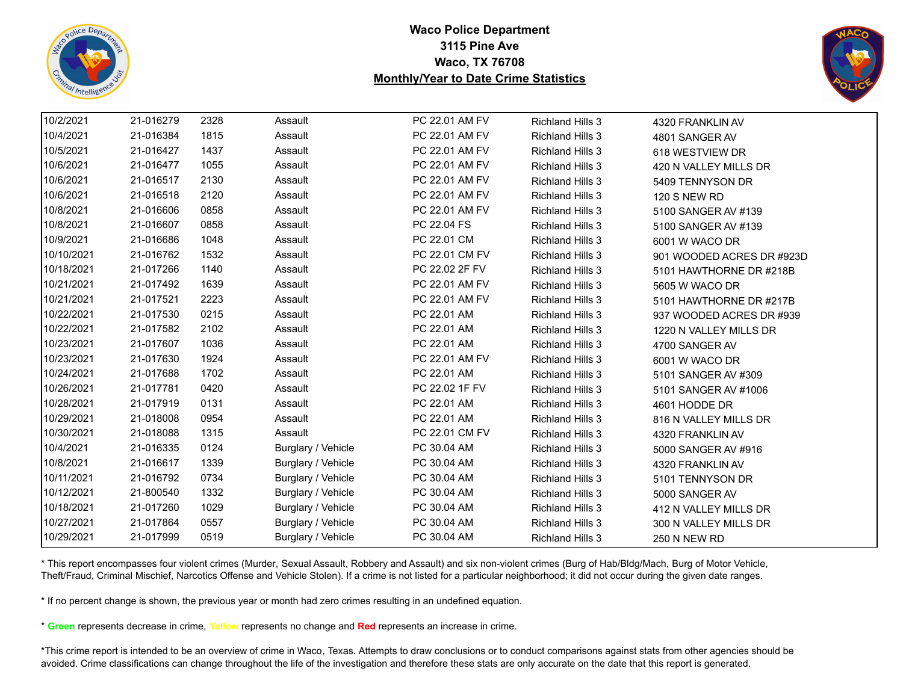![](_page_51_Picture_0.jpeg)

![](_page_51_Picture_2.jpeg)

| 10/2/2021  | 21-016279 | 2328 | Assault            | PC 22.01 AM FV | <b>Richland Hills 3</b> | 4320 FRANKLIN AV          |  |
|------------|-----------|------|--------------------|----------------|-------------------------|---------------------------|--|
| 10/4/2021  | 21-016384 | 1815 | Assault            | PC 22.01 AM FV | <b>Richland Hills 3</b> | 4801 SANGER AV            |  |
| 10/5/2021  | 21-016427 | 1437 | Assault            | PC 22.01 AM FV | <b>Richland Hills 3</b> | 618 WESTVIEW DR           |  |
| 10/6/2021  | 21-016477 | 1055 | Assault            | PC 22.01 AM FV | <b>Richland Hills 3</b> | 420 N VALLEY MILLS DR     |  |
| 10/6/2021  | 21-016517 | 2130 | Assault            | PC 22.01 AM FV | <b>Richland Hills 3</b> | 5409 TENNYSON DR          |  |
| 10/6/2021  | 21-016518 | 2120 | Assault            | PC 22.01 AM FV | <b>Richland Hills 3</b> | <b>120 S NEW RD</b>       |  |
| 10/8/2021  | 21-016606 | 0858 | Assault            | PC 22.01 AM FV | <b>Richland Hills 3</b> | 5100 SANGER AV #139       |  |
| 10/8/2021  | 21-016607 | 0858 | Assault            | PC 22.04 FS    | <b>Richland Hills 3</b> | 5100 SANGER AV #139       |  |
| 10/9/2021  | 21-016686 | 1048 | Assault            | PC 22.01 CM    | <b>Richland Hills 3</b> | 6001 W WACO DR            |  |
| 10/10/2021 | 21-016762 | 1532 | Assault            | PC 22.01 CM FV | <b>Richland Hills 3</b> | 901 WOODED ACRES DR #923D |  |
| 10/18/2021 | 21-017266 | 1140 | Assault            | PC 22.02 2F FV | <b>Richland Hills 3</b> | 5101 HAWTHORNE DR #218B   |  |
| 10/21/2021 | 21-017492 | 1639 | Assault            | PC 22.01 AM FV | <b>Richland Hills 3</b> | 5605 W WACO DR            |  |
| 10/21/2021 | 21-017521 | 2223 | Assault            | PC 22.01 AM FV | <b>Richland Hills 3</b> | 5101 HAWTHORNE DR #217B   |  |
| 10/22/2021 | 21-017530 | 0215 | Assault            | PC 22.01 AM    | <b>Richland Hills 3</b> | 937 WOODED ACRES DR #939  |  |
| 10/22/2021 | 21-017582 | 2102 | Assault            | PC 22.01 AM    | <b>Richland Hills 3</b> | 1220 N VALLEY MILLS DR    |  |
| 10/23/2021 | 21-017607 | 1036 | Assault            | PC 22.01 AM    | <b>Richland Hills 3</b> | 4700 SANGER AV            |  |
| 10/23/2021 | 21-017630 | 1924 | Assault            | PC 22.01 AM FV | <b>Richland Hills 3</b> | 6001 W WACO DR            |  |
| 10/24/2021 | 21-017688 | 1702 | Assault            | PC 22.01 AM    | <b>Richland Hills 3</b> | 5101 SANGER AV #309       |  |
| 10/26/2021 | 21-017781 | 0420 | Assault            | PC 22.02 1F FV | <b>Richland Hills 3</b> | 5101 SANGER AV #1006      |  |
| 10/28/2021 | 21-017919 | 0131 | Assault            | PC 22.01 AM    | <b>Richland Hills 3</b> | 4601 HODDE DR             |  |
| 10/29/2021 | 21-018008 | 0954 | Assault            | PC 22.01 AM    | <b>Richland Hills 3</b> | 816 N VALLEY MILLS DR     |  |
| 10/30/2021 | 21-018088 | 1315 | Assault            | PC 22.01 CM FV | <b>Richland Hills 3</b> | 4320 FRANKLIN AV          |  |
| 10/4/2021  | 21-016335 | 0124 | Burglary / Vehicle | PC 30.04 AM    | <b>Richland Hills 3</b> | 5000 SANGER AV #916       |  |
| 10/8/2021  | 21-016617 | 1339 | Burglary / Vehicle | PC 30.04 AM    | <b>Richland Hills 3</b> | 4320 FRANKLIN AV          |  |
| 10/11/2021 | 21-016792 | 0734 | Burglary / Vehicle | PC 30.04 AM    | <b>Richland Hills 3</b> | 5101 TENNYSON DR          |  |
| 10/12/2021 | 21-800540 | 1332 | Burglary / Vehicle | PC 30.04 AM    | <b>Richland Hills 3</b> | 5000 SANGER AV            |  |
| 10/18/2021 | 21-017260 | 1029 | Burglary / Vehicle | PC 30.04 AM    | <b>Richland Hills 3</b> | 412 N VALLEY MILLS DR     |  |
| 10/27/2021 | 21-017864 | 0557 | Burglary / Vehicle | PC 30.04 AM    | <b>Richland Hills 3</b> | 300 N VALLEY MILLS DR     |  |
| 10/29/2021 | 21-017999 | 0519 | Burglary / Vehicle | PC 30.04 AM    | <b>Richland Hills 3</b> | <b>250 N NEW RD</b>       |  |
|            |           |      |                    |                |                         |                           |  |

\* This report encompasses four violent crimes (Murder, Sexual Assault, Robbery and Assault) and six non-violent crimes (Burg of Hab/Bldg/Mach, Burg of Motor Vehicle, Theft/Fraud, Criminal Mischief, Narcotics Offense and Vehicle Stolen). If a crime is not listed for a particular neighborhood; it did not occur during the given date ranges.

\* If no percent change is shown, the previous year or month had zero crimes resulting in an undefined equation.

\* **Green** represents decrease in crime, **Yellow** represents no change and **Red** represents an increase in crime.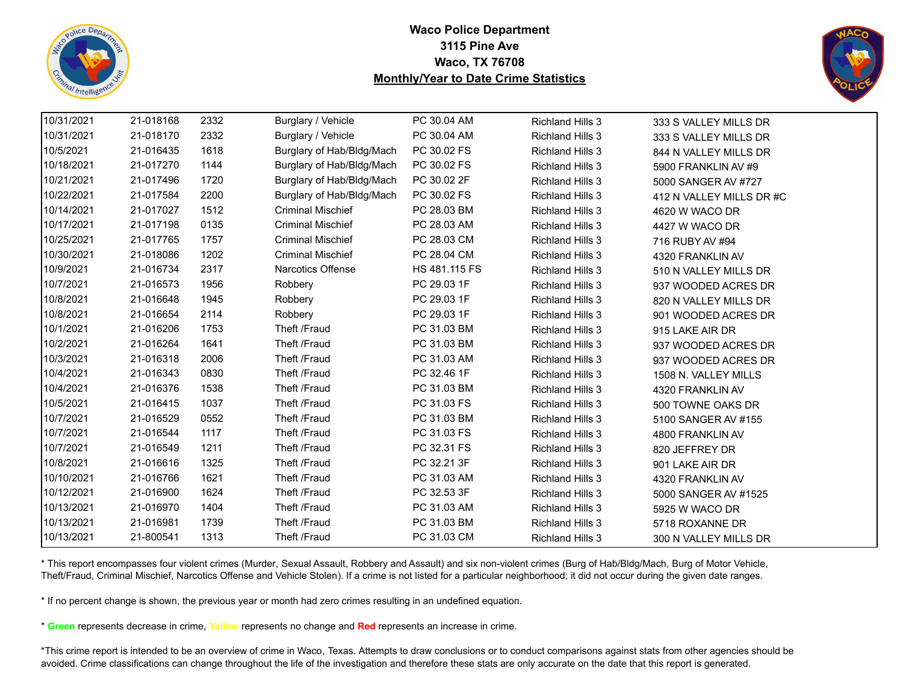![](_page_52_Picture_0.jpeg)

![](_page_52_Picture_2.jpeg)

| 10/31/2021 | 21-018168 | 2332 | Burglary / Vehicle        | PC 30.04 AM   | <b>Richland Hills 3</b> | 333 S VALLEY MILLS DR    |
|------------|-----------|------|---------------------------|---------------|-------------------------|--------------------------|
| 10/31/2021 | 21-018170 | 2332 | Burglary / Vehicle        | PC 30.04 AM   | <b>Richland Hills 3</b> | 333 S VALLEY MILLS DR    |
| 10/5/2021  | 21-016435 | 1618 | Burglary of Hab/Bldg/Mach | PC 30.02 FS   | <b>Richland Hills 3</b> | 844 N VALLEY MILLS DR    |
| 10/18/2021 | 21-017270 | 1144 | Burglary of Hab/Bldg/Mach | PC 30.02 FS   | <b>Richland Hills 3</b> | 5900 FRANKLIN AV #9      |
| 10/21/2021 | 21-017496 | 1720 | Burglary of Hab/Bldg/Mach | PC 30.02 2F   | <b>Richland Hills 3</b> | 5000 SANGER AV #727      |
| 10/22/2021 | 21-017584 | 2200 | Burglary of Hab/Bldg/Mach | PC 30.02 FS   | <b>Richland Hills 3</b> | 412 N VALLEY MILLS DR #C |
| 10/14/2021 | 21-017027 | 1512 | <b>Criminal Mischief</b>  | PC 28.03 BM   | <b>Richland Hills 3</b> | 4620 W WACO DR           |
| 10/17/2021 | 21-017198 | 0135 | <b>Criminal Mischief</b>  | PC 28.03 AM   | <b>Richland Hills 3</b> | 4427 W WACO DR           |
| 10/25/2021 | 21-017765 | 1757 | <b>Criminal Mischief</b>  | PC 28.03 CM   | <b>Richland Hills 3</b> | 716 RUBY AV #94          |
| 10/30/2021 | 21-018086 | 1202 | <b>Criminal Mischief</b>  | PC 28.04 CM   | <b>Richland Hills 3</b> | 4320 FRANKLIN AV         |
| 10/9/2021  | 21-016734 | 2317 | Narcotics Offense         | HS 481.115 FS | <b>Richland Hills 3</b> | 510 N VALLEY MILLS DR    |
| 10/7/2021  | 21-016573 | 1956 | Robbery                   | PC 29.03 1F   | Richland Hills 3        | 937 WOODED ACRES DR      |
| 10/8/2021  | 21-016648 | 1945 | Robbery                   | PC 29.03 1F   | <b>Richland Hills 3</b> | 820 N VALLEY MILLS DR    |
| 10/8/2021  | 21-016654 | 2114 | Robbery                   | PC 29.03 1F   | <b>Richland Hills 3</b> | 901 WOODED ACRES DR      |
| 10/1/2021  | 21-016206 | 1753 | Theft /Fraud              | PC 31.03 BM   | <b>Richland Hills 3</b> | 915 LAKE AIR DR          |
| 10/2/2021  | 21-016264 | 1641 | Theft /Fraud              | PC 31.03 BM   | <b>Richland Hills 3</b> | 937 WOODED ACRES DR      |
| 10/3/2021  | 21-016318 | 2006 | Theft /Fraud              | PC 31.03 AM   | <b>Richland Hills 3</b> | 937 WOODED ACRES DR      |
| 10/4/2021  | 21-016343 | 0830 | Theft /Fraud              | PC 32.46 1F   | <b>Richland Hills 3</b> | 1508 N. VALLEY MILLS     |
| 10/4/2021  | 21-016376 | 1538 | Theft /Fraud              | PC 31.03 BM   | <b>Richland Hills 3</b> | 4320 FRANKLIN AV         |
| 10/5/2021  | 21-016415 | 1037 | Theft /Fraud              | PC 31.03 FS   | <b>Richland Hills 3</b> | 500 TOWNE OAKS DR        |
| 10/7/2021  | 21-016529 | 0552 | Theft /Fraud              | PC 31.03 BM   | <b>Richland Hills 3</b> | 5100 SANGER AV #155      |
| 10/7/2021  | 21-016544 | 1117 | Theft /Fraud              | PC 31.03 FS   | <b>Richland Hills 3</b> | 4800 FRANKLIN AV         |
| 10/7/2021  | 21-016549 | 1211 | Theft /Fraud              | PC 32.31 FS   | <b>Richland Hills 3</b> | 820 JEFFREY DR           |
| 10/8/2021  | 21-016616 | 1325 | Theft /Fraud              | PC 32.21 3F   | <b>Richland Hills 3</b> | 901 LAKE AIR DR          |
| 10/10/2021 | 21-016766 | 1621 | Theft /Fraud              | PC 31.03 AM   | <b>Richland Hills 3</b> | 4320 FRANKLIN AV         |
| 10/12/2021 | 21-016900 | 1624 | Theft /Fraud              | PC 32.53 3F   | <b>Richland Hills 3</b> | 5000 SANGER AV #1525     |
| 10/13/2021 | 21-016970 | 1404 | Theft /Fraud              | PC 31.03 AM   | <b>Richland Hills 3</b> | 5925 W WACO DR           |
| 10/13/2021 | 21-016981 | 1739 | Theft /Fraud              | PC 31.03 BM   | <b>Richland Hills 3</b> | 5718 ROXANNE DR          |
| 10/13/2021 | 21-800541 | 1313 | Theft /Fraud              | PC 31.03 CM   | <b>Richland Hills 3</b> | 300 N VALLEY MILLS DR    |

\* This report encompasses four violent crimes (Murder, Sexual Assault, Robbery and Assault) and six non-violent crimes (Burg of Hab/Bldg/Mach, Burg of Motor Vehicle, Theft/Fraud, Criminal Mischief, Narcotics Offense and Vehicle Stolen). If a crime is not listed for a particular neighborhood; it did not occur during the given date ranges.

\* If no percent change is shown, the previous year or month had zero crimes resulting in an undefined equation.

\* **Green** represents decrease in crime, **Yellow** represents no change and **Red** represents an increase in crime.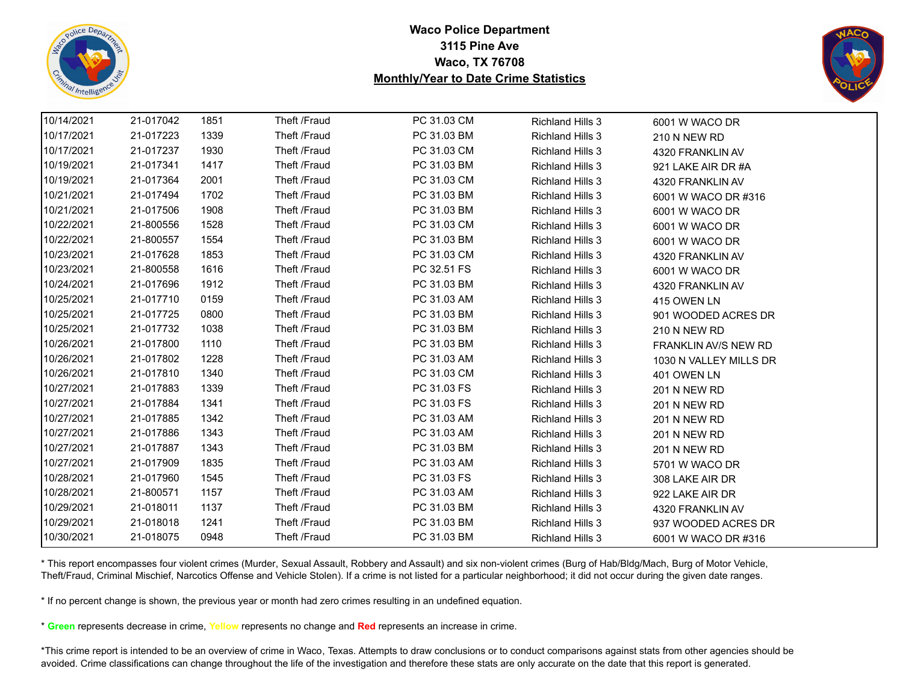![](_page_53_Picture_0.jpeg)

![](_page_53_Picture_2.jpeg)

| 10/14/2021 | 21-017042 | 1851 | Theft /Fraud | PC 31.03 CM | <b>Richland Hills 3</b> | 6001 W WACO DR              |  |
|------------|-----------|------|--------------|-------------|-------------------------|-----------------------------|--|
| 10/17/2021 | 21-017223 | 1339 | Theft /Fraud | PC 31.03 BM | <b>Richland Hills 3</b> | 210 N NEW RD                |  |
| 10/17/2021 | 21-017237 | 1930 | Theft /Fraud | PC 31.03 CM | <b>Richland Hills 3</b> | 4320 FRANKLIN AV            |  |
| 10/19/2021 | 21-017341 | 1417 | Theft /Fraud | PC 31.03 BM | <b>Richland Hills 3</b> | 921 LAKE AIR DR #A          |  |
| 10/19/2021 | 21-017364 | 2001 | Theft /Fraud | PC 31.03 CM | <b>Richland Hills 3</b> | 4320 FRANKLIN AV            |  |
| 10/21/2021 | 21-017494 | 1702 | Theft /Fraud | PC 31.03 BM | <b>Richland Hills 3</b> | 6001 W WACO DR #316         |  |
| 10/21/2021 | 21-017506 | 1908 | Theft /Fraud | PC 31.03 BM | <b>Richland Hills 3</b> | 6001 W WACO DR              |  |
| 10/22/2021 | 21-800556 | 1528 | Theft /Fraud | PC 31.03 CM | <b>Richland Hills 3</b> | 6001 W WACO DR              |  |
| 10/22/2021 | 21-800557 | 1554 | Theft /Fraud | PC 31.03 BM | <b>Richland Hills 3</b> | 6001 W WACO DR              |  |
| 10/23/2021 | 21-017628 | 1853 | Theft /Fraud | PC 31.03 CM | <b>Richland Hills 3</b> | 4320 FRANKLIN AV            |  |
| 10/23/2021 | 21-800558 | 1616 | Theft /Fraud | PC 32.51 FS | <b>Richland Hills 3</b> | 6001 W WACO DR              |  |
| 10/24/2021 | 21-017696 | 1912 | Theft /Fraud | PC 31.03 BM | <b>Richland Hills 3</b> | 4320 FRANKLIN AV            |  |
| 10/25/2021 | 21-017710 | 0159 | Theft /Fraud | PC 31.03 AM | <b>Richland Hills 3</b> | 415 OWEN LN                 |  |
| 10/25/2021 | 21-017725 | 0800 | Theft /Fraud | PC 31.03 BM | <b>Richland Hills 3</b> | 901 WOODED ACRES DR         |  |
| 10/25/2021 | 21-017732 | 1038 | Theft /Fraud | PC 31.03 BM | <b>Richland Hills 3</b> | <b>210 N NEW RD</b>         |  |
| 10/26/2021 | 21-017800 | 1110 | Theft /Fraud | PC 31.03 BM | <b>Richland Hills 3</b> | <b>FRANKLIN AV/S NEW RD</b> |  |
| 10/26/2021 | 21-017802 | 1228 | Theft /Fraud | PC 31.03 AM | <b>Richland Hills 3</b> | 1030 N VALLEY MILLS DR      |  |
| 10/26/2021 | 21-017810 | 1340 | Theft /Fraud | PC 31.03 CM | <b>Richland Hills 3</b> | 401 OWEN LN                 |  |
| 10/27/2021 | 21-017883 | 1339 | Theft /Fraud | PC 31.03 FS | <b>Richland Hills 3</b> | <b>201 N NEW RD</b>         |  |
| 10/27/2021 | 21-017884 | 1341 | Theft /Fraud | PC 31.03 FS | <b>Richland Hills 3</b> | <b>201 N NEW RD</b>         |  |
| 10/27/2021 | 21-017885 | 1342 | Theft /Fraud | PC 31.03 AM | <b>Richland Hills 3</b> | <b>201 N NEW RD</b>         |  |
| 10/27/2021 | 21-017886 | 1343 | Theft /Fraud | PC 31.03 AM | <b>Richland Hills 3</b> | <b>201 N NEW RD</b>         |  |
| 10/27/2021 | 21-017887 | 1343 | Theft /Fraud | PC 31.03 BM | <b>Richland Hills 3</b> | <b>201 N NEW RD</b>         |  |
| 10/27/2021 | 21-017909 | 1835 | Theft /Fraud | PC 31.03 AM | <b>Richland Hills 3</b> | 5701 W WACO DR              |  |
| 10/28/2021 | 21-017960 | 1545 | Theft /Fraud | PC 31.03 FS | <b>Richland Hills 3</b> | 308 LAKE AIR DR             |  |
| 10/28/2021 | 21-800571 | 1157 | Theft /Fraud | PC 31.03 AM | <b>Richland Hills 3</b> | 922 LAKE AIR DR             |  |
| 10/29/2021 | 21-018011 | 1137 | Theft /Fraud | PC 31.03 BM | <b>Richland Hills 3</b> | 4320 FRANKLIN AV            |  |
| 10/29/2021 | 21-018018 | 1241 | Theft /Fraud | PC 31.03 BM | <b>Richland Hills 3</b> | 937 WOODED ACRES DR         |  |
| 10/30/2021 | 21-018075 | 0948 | Theft /Fraud | PC 31.03 BM | <b>Richland Hills 3</b> | 6001 W WACO DR #316         |  |

\* This report encompasses four violent crimes (Murder, Sexual Assault, Robbery and Assault) and six non-violent crimes (Burg of Hab/Bldg/Mach, Burg of Motor Vehicle, Theft/Fraud, Criminal Mischief, Narcotics Offense and Vehicle Stolen). If a crime is not listed for a particular neighborhood; it did not occur during the given date ranges.

\* If no percent change is shown, the previous year or month had zero crimes resulting in an undefined equation.

\* **Green** represents decrease in crime, **Yellow** represents no change and **Red** represents an increase in crime.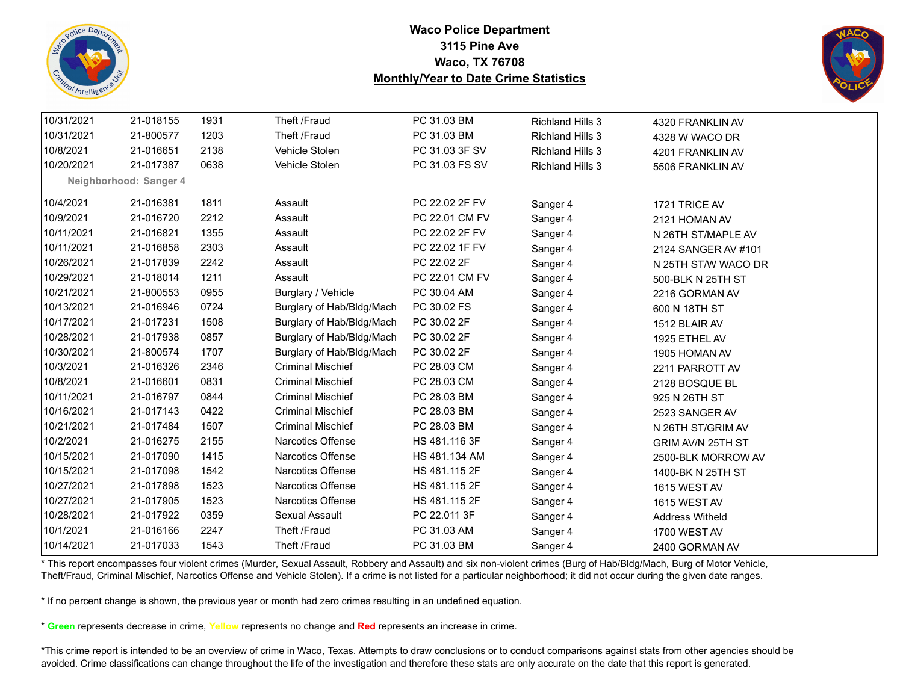![](_page_54_Picture_0.jpeg)

![](_page_54_Picture_2.jpeg)

| 10/31/2021 | 21-018155              | 1931 | Theft /Fraud              | PC 31.03 BM    | <b>Richland Hills 3</b> | 4320 FRANKLIN AV       |
|------------|------------------------|------|---------------------------|----------------|-------------------------|------------------------|
| 10/31/2021 | 21-800577              | 1203 | Theft /Fraud              | PC 31.03 BM    | <b>Richland Hills 3</b> | 4328 W WACO DR         |
| 10/8/2021  | 21-016651              | 2138 | Vehicle Stolen            | PC 31.03 3F SV | <b>Richland Hills 3</b> | 4201 FRANKLIN AV       |
| 10/20/2021 | 21-017387              | 0638 | Vehicle Stolen            | PC 31.03 FS SV | <b>Richland Hills 3</b> | 5506 FRANKLIN AV       |
|            | Neighborhood: Sanger 4 |      |                           |                |                         |                        |
| 10/4/2021  | 21-016381              | 1811 | Assault                   | PC 22.02 2F FV | Sanger 4                | 1721 TRICE AV          |
| 10/9/2021  | 21-016720              | 2212 | Assault                   | PC 22.01 CM FV | Sanger 4                | 2121 HOMAN AV          |
| 10/11/2021 | 21-016821              | 1355 | Assault                   | PC 22.02 2F FV | Sanger 4                | N 26TH ST/MAPLE AV     |
| 10/11/2021 | 21-016858              | 2303 | Assault                   | PC 22.02 1F FV | Sanger 4                | 2124 SANGER AV #101    |
| 10/26/2021 | 21-017839              | 2242 | Assault                   | PC 22.02 2F    | Sanger 4                | N 25TH ST/W WACO DR    |
| 10/29/2021 | 21-018014              | 1211 | Assault                   | PC 22.01 CM FV | Sanger 4                | 500-BLK N 25TH ST      |
| 10/21/2021 | 21-800553              | 0955 | Burglary / Vehicle        | PC 30.04 AM    | Sanger 4                | 2216 GORMAN AV         |
| 10/13/2021 | 21-016946              | 0724 | Burglary of Hab/Bldg/Mach | PC 30.02 FS    | Sanger 4                | 600 N 18TH ST          |
| 10/17/2021 | 21-017231              | 1508 | Burglary of Hab/Bldg/Mach | PC 30.02 2F    | Sanger 4                | 1512 BLAIR AV          |
| 10/28/2021 | 21-017938              | 0857 | Burglary of Hab/Bldg/Mach | PC 30.02 2F    | Sanger 4                | 1925 ETHEL AV          |
| 10/30/2021 | 21-800574              | 1707 | Burglary of Hab/Bldg/Mach | PC 30.02 2F    | Sanger 4                | 1905 HOMAN AV          |
| 10/3/2021  | 21-016326              | 2346 | <b>Criminal Mischief</b>  | PC 28.03 CM    | Sanger 4                | 2211 PARROTT AV        |
| 10/8/2021  | 21-016601              | 0831 | <b>Criminal Mischief</b>  | PC 28.03 CM    | Sanger 4                | 2128 BOSQUE BL         |
| 10/11/2021 | 21-016797              | 0844 | <b>Criminal Mischief</b>  | PC 28.03 BM    | Sanger 4                | 925 N 26TH ST          |
| 10/16/2021 | 21-017143              | 0422 | <b>Criminal Mischief</b>  | PC 28.03 BM    | Sanger 4                | 2523 SANGER AV         |
| 10/21/2021 | 21-017484              | 1507 | <b>Criminal Mischief</b>  | PC 28.03 BM    | Sanger 4                | N 26TH ST/GRIM AV      |
| 10/2/2021  | 21-016275              | 2155 | Narcotics Offense         | HS 481.116 3F  | Sanger 4                | GRIM AV/N 25TH ST      |
| 10/15/2021 | 21-017090              | 1415 | <b>Narcotics Offense</b>  | HS 481.134 AM  | Sanger 4                | 2500-BLK MORROW AV     |
| 10/15/2021 | 21-017098              | 1542 | <b>Narcotics Offense</b>  | HS 481.115 2F  | Sanger 4                | 1400-BK N 25TH ST      |
| 10/27/2021 | 21-017898              | 1523 | <b>Narcotics Offense</b>  | HS 481.115 2F  | Sanger 4                | 1615 WEST AV           |
| 10/27/2021 | 21-017905              | 1523 | Narcotics Offense         | HS 481.115 2F  | Sanger 4                | 1615 WEST AV           |
| 10/28/2021 | 21-017922              | 0359 | Sexual Assault            | PC 22.011 3F   | Sanger 4                | <b>Address Witheld</b> |
| 10/1/2021  | 21-016166              | 2247 | Theft /Fraud              | PC 31.03 AM    | Sanger 4                | 1700 WEST AV           |
| 10/14/2021 | 21-017033              | 1543 | Theft /Fraud              | PC 31.03 BM    | Sanger 4                | 2400 GORMAN AV         |
|            |                        |      |                           |                |                         |                        |

\* This report encompasses four violent crimes (Murder, Sexual Assault, Robbery and Assault) and six non-violent crimes (Burg of Hab/Bldg/Mach, Burg of Motor Vehicle, Theft/Fraud, Criminal Mischief, Narcotics Offense and Vehicle Stolen). If a crime is not listed for a particular neighborhood; it did not occur during the given date ranges.

\* If no percent change is shown, the previous year or month had zero crimes resulting in an undefined equation.

\* **Green** represents decrease in crime, **Yellow** represents no change and **Red** represents an increase in crime.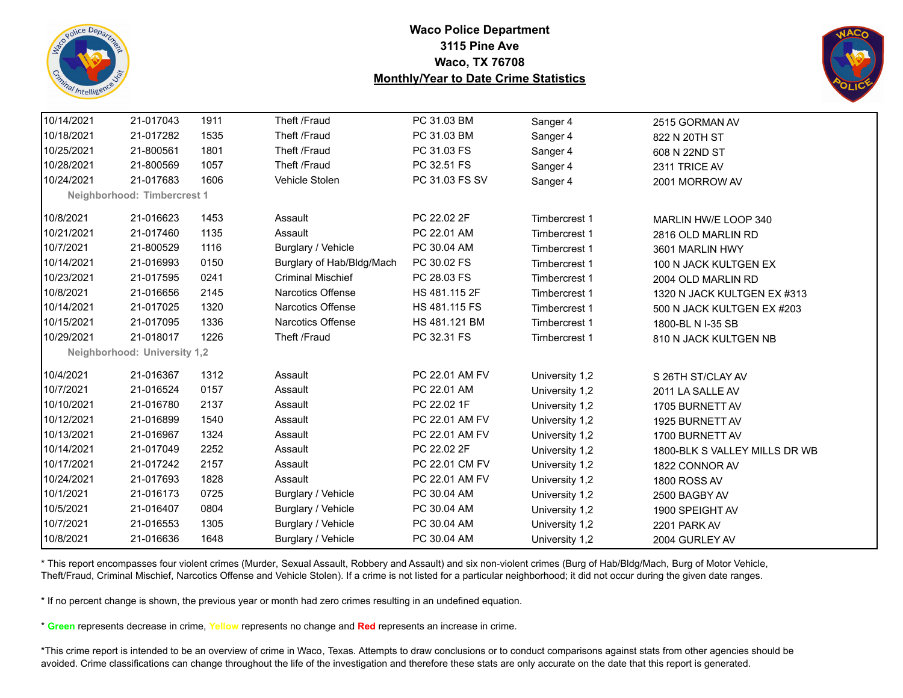![](_page_55_Picture_0.jpeg)

![](_page_55_Picture_2.jpeg)

| 10/14/2021 | 21-017043                    | 1911 | Theft /Fraud              | PC 31.03 BM    | Sanger 4       | 2515 GORMAN AV                |
|------------|------------------------------|------|---------------------------|----------------|----------------|-------------------------------|
| 10/18/2021 | 21-017282                    | 1535 | Theft /Fraud              | PC 31.03 BM    | Sanger 4       | 822 N 20TH ST                 |
| 10/25/2021 | 21-800561                    | 1801 | Theft /Fraud              | PC 31.03 FS    | Sanger 4       | 608 N 22ND ST                 |
| 10/28/2021 | 21-800569                    | 1057 | Theft /Fraud              | PC 32.51 FS    | Sanger 4       | 2311 TRICE AV                 |
| 10/24/2021 | 21-017683                    | 1606 | Vehicle Stolen            | PC 31.03 FS SV | Sanger 4       | 2001 MORROW AV                |
|            | Neighborhood: Timbercrest 1  |      |                           |                |                |                               |
| 10/8/2021  | 21-016623                    | 1453 | Assault                   | PC 22.02 2F    | Timbercrest 1  | MARLIN HW/E LOOP 340          |
| 10/21/2021 | 21-017460                    | 1135 | Assault                   | PC 22.01 AM    | Timbercrest 1  | 2816 OLD MARLIN RD            |
| 10/7/2021  | 21-800529                    | 1116 | Burglary / Vehicle        | PC 30.04 AM    | Timbercrest 1  | 3601 MARLIN HWY               |
| 10/14/2021 | 21-016993                    | 0150 | Burglary of Hab/Bldg/Mach | PC 30.02 FS    | Timbercrest 1  | 100 N JACK KULTGEN EX         |
| 10/23/2021 | 21-017595                    | 0241 | <b>Criminal Mischief</b>  | PC 28.03 FS    | Timbercrest 1  | 2004 OLD MARLIN RD            |
| 10/8/2021  | 21-016656                    | 2145 | <b>Narcotics Offense</b>  | HS 481.115 2F  | Timbercrest 1  | 1320 N JACK KULTGEN EX #313   |
| 10/14/2021 | 21-017025                    | 1320 | <b>Narcotics Offense</b>  | HS 481.115 FS  | Timbercrest 1  | 500 N JACK KULTGEN EX #203    |
| 10/15/2021 | 21-017095                    | 1336 | <b>Narcotics Offense</b>  | HS 481.121 BM  | Timbercrest 1  | 1800-BL N I-35 SB             |
| 10/29/2021 | 21-018017                    | 1226 | Theft /Fraud              | PC 32.31 FS    | Timbercrest 1  | 810 N JACK KULTGEN NB         |
|            | Neighborhood: University 1,2 |      |                           |                |                |                               |
| 10/4/2021  | 21-016367                    | 1312 | Assault                   | PC 22.01 AM FV | University 1,2 | S 26TH ST/CLAY AV             |
| 10/7/2021  | 21-016524                    | 0157 | Assault                   | PC 22.01 AM    | University 1,2 | 2011 LA SALLE AV              |
| 10/10/2021 | 21-016780                    | 2137 | Assault                   | PC 22.02 1F    | University 1,2 | 1705 BURNETT AV               |
| 10/12/2021 | 21-016899                    | 1540 | Assault                   | PC 22.01 AM FV | University 1,2 | 1925 BURNETT AV               |
| 10/13/2021 | 21-016967                    | 1324 | Assault                   | PC 22.01 AM FV | University 1,2 | 1700 BURNETT AV               |
| 10/14/2021 | 21-017049                    | 2252 | Assault                   | PC 22.02 2F    | University 1,2 | 1800-BLK S VALLEY MILLS DR WB |
| 10/17/2021 | 21-017242                    | 2157 | Assault                   | PC 22.01 CM FV | University 1,2 | 1822 CONNOR AV                |
| 10/24/2021 | 21-017693                    | 1828 | Assault                   | PC 22.01 AM FV | University 1,2 | 1800 ROSS AV                  |
| 10/1/2021  | 21-016173                    | 0725 | Burglary / Vehicle        | PC 30.04 AM    | University 1,2 | 2500 BAGBY AV                 |
| 10/5/2021  | 21-016407                    | 0804 | Burglary / Vehicle        | PC 30.04 AM    | University 1,2 | 1900 SPEIGHT AV               |
| 10/7/2021  | 21-016553                    | 1305 | Burglary / Vehicle        | PC 30.04 AM    | University 1,2 | 2201 PARK AV                  |
| 10/8/2021  | 21-016636                    | 1648 | Burglary / Vehicle        | PC 30.04 AM    | University 1,2 | 2004 GURLEY AV                |

\* This report encompasses four violent crimes (Murder, Sexual Assault, Robbery and Assault) and six non-violent crimes (Burg of Hab/Bldg/Mach, Burg of Motor Vehicle, Theft/Fraud, Criminal Mischief, Narcotics Offense and Vehicle Stolen). If a crime is not listed for a particular neighborhood; it did not occur during the given date ranges.

\* If no percent change is shown, the previous year or month had zero crimes resulting in an undefined equation.

\* **Green** represents decrease in crime, **Yellow** represents no change and **Red** represents an increase in crime.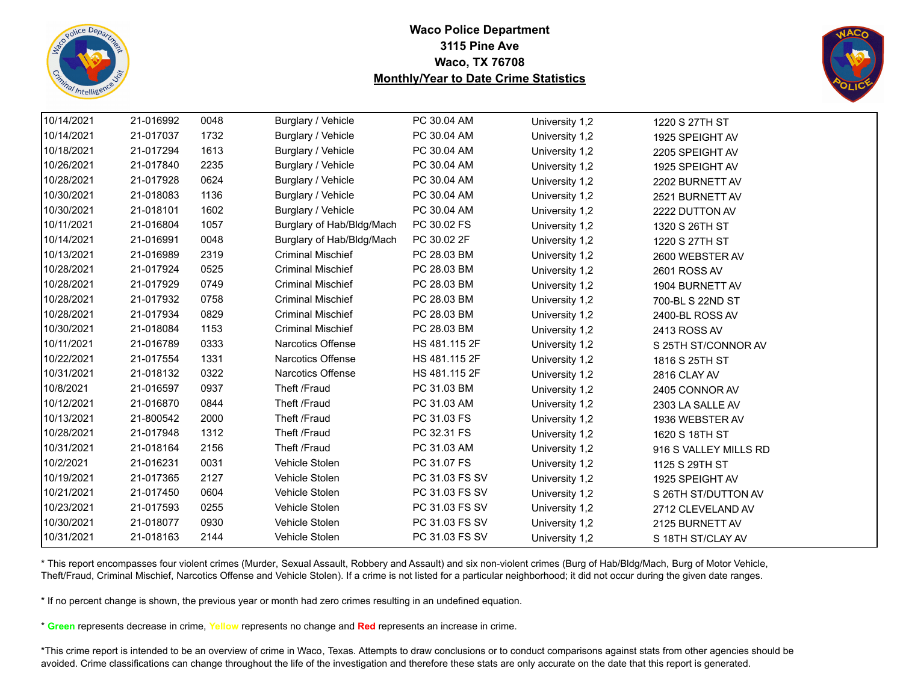![](_page_56_Picture_0.jpeg)

![](_page_56_Picture_2.jpeg)

| 10/14/2021 | 21-016992 | 0048 | Burglary / Vehicle        | PC 30.04 AM    | University 1,2 | 1220 S 27TH ST        |  |
|------------|-----------|------|---------------------------|----------------|----------------|-----------------------|--|
| 10/14/2021 | 21-017037 | 1732 | Burglary / Vehicle        | PC 30.04 AM    | University 1,2 | 1925 SPEIGHT AV       |  |
| 10/18/2021 | 21-017294 | 1613 | Burglary / Vehicle        | PC 30.04 AM    | University 1,2 | 2205 SPEIGHT AV       |  |
| 10/26/2021 | 21-017840 | 2235 | Burglary / Vehicle        | PC 30.04 AM    | University 1,2 | 1925 SPEIGHT AV       |  |
| 10/28/2021 | 21-017928 | 0624 | Burglary / Vehicle        | PC 30.04 AM    | University 1,2 | 2202 BURNETT AV       |  |
| 10/30/2021 | 21-018083 | 1136 | Burglary / Vehicle        | PC 30.04 AM    | University 1,2 | 2521 BURNETT AV       |  |
| 10/30/2021 | 21-018101 | 1602 | Burglary / Vehicle        | PC 30.04 AM    | University 1,2 | 2222 DUTTON AV        |  |
| 10/11/2021 | 21-016804 | 1057 | Burglary of Hab/Bldg/Mach | PC 30.02 FS    | University 1,2 | 1320 S 26TH ST        |  |
| 10/14/2021 | 21-016991 | 0048 | Burglary of Hab/Bldg/Mach | PC 30.02 2F    | University 1,2 | 1220 S 27TH ST        |  |
| 10/13/2021 | 21-016989 | 2319 | <b>Criminal Mischief</b>  | PC 28.03 BM    | University 1,2 | 2600 WEBSTER AV       |  |
| 10/28/2021 | 21-017924 | 0525 | <b>Criminal Mischief</b>  | PC 28.03 BM    | University 1,2 | 2601 ROSS AV          |  |
| 10/28/2021 | 21-017929 | 0749 | <b>Criminal Mischief</b>  | PC 28.03 BM    | University 1,2 | 1904 BURNETT AV       |  |
| 10/28/2021 | 21-017932 | 0758 | <b>Criminal Mischief</b>  | PC 28.03 BM    | University 1,2 | 700-BL S 22ND ST      |  |
| 10/28/2021 | 21-017934 | 0829 | <b>Criminal Mischief</b>  | PC 28.03 BM    | University 1,2 | 2400-BL ROSS AV       |  |
| 10/30/2021 | 21-018084 | 1153 | <b>Criminal Mischief</b>  | PC 28.03 BM    | University 1,2 | 2413 ROSS AV          |  |
| 10/11/2021 | 21-016789 | 0333 | Narcotics Offense         | HS 481.115 2F  | University 1,2 | S 25TH ST/CONNOR AV   |  |
| 10/22/2021 | 21-017554 | 1331 | Narcotics Offense         | HS 481.115 2F  | University 1,2 | 1816 S 25TH ST        |  |
| 10/31/2021 | 21-018132 | 0322 | <b>Narcotics Offense</b>  | HS 481.115 2F  | University 1,2 | 2816 CLAY AV          |  |
| 10/8/2021  | 21-016597 | 0937 | Theft /Fraud              | PC 31.03 BM    | University 1,2 | 2405 CONNOR AV        |  |
| 10/12/2021 | 21-016870 | 0844 | Theft /Fraud              | PC 31.03 AM    | University 1,2 | 2303 LA SALLE AV      |  |
| 10/13/2021 | 21-800542 | 2000 | Theft /Fraud              | PC 31.03 FS    | University 1,2 | 1936 WEBSTER AV       |  |
| 10/28/2021 | 21-017948 | 1312 | Theft /Fraud              | PC 32.31 FS    | University 1,2 | 1620 S 18TH ST        |  |
| 10/31/2021 | 21-018164 | 2156 | Theft /Fraud              | PC 31.03 AM    | University 1,2 | 916 S VALLEY MILLS RD |  |
| 10/2/2021  | 21-016231 | 0031 | Vehicle Stolen            | PC 31.07 FS    | University 1,2 | 1125 S 29TH ST        |  |
| 10/19/2021 | 21-017365 | 2127 | Vehicle Stolen            | PC 31.03 FS SV | University 1,2 | 1925 SPEIGHT AV       |  |
| 10/21/2021 | 21-017450 | 0604 | Vehicle Stolen            | PC 31.03 FS SV | University 1,2 | S 26TH ST/DUTTON AV   |  |
| 10/23/2021 | 21-017593 | 0255 | Vehicle Stolen            | PC 31.03 FS SV | University 1,2 | 2712 CLEVELAND AV     |  |
| 10/30/2021 | 21-018077 | 0930 | Vehicle Stolen            | PC 31.03 FS SV | University 1,2 | 2125 BURNETT AV       |  |
| 10/31/2021 | 21-018163 | 2144 | Vehicle Stolen            | PC 31.03 FS SV | University 1,2 | S 18TH ST/CLAY AV     |  |

\* This report encompasses four violent crimes (Murder, Sexual Assault, Robbery and Assault) and six non-violent crimes (Burg of Hab/Bldg/Mach, Burg of Motor Vehicle, Theft/Fraud, Criminal Mischief, Narcotics Offense and Vehicle Stolen). If a crime is not listed for a particular neighborhood; it did not occur during the given date ranges.

\* If no percent change is shown, the previous year or month had zero crimes resulting in an undefined equation.

\* **Green** represents decrease in crime, **Yellow** represents no change and **Red** represents an increase in crime.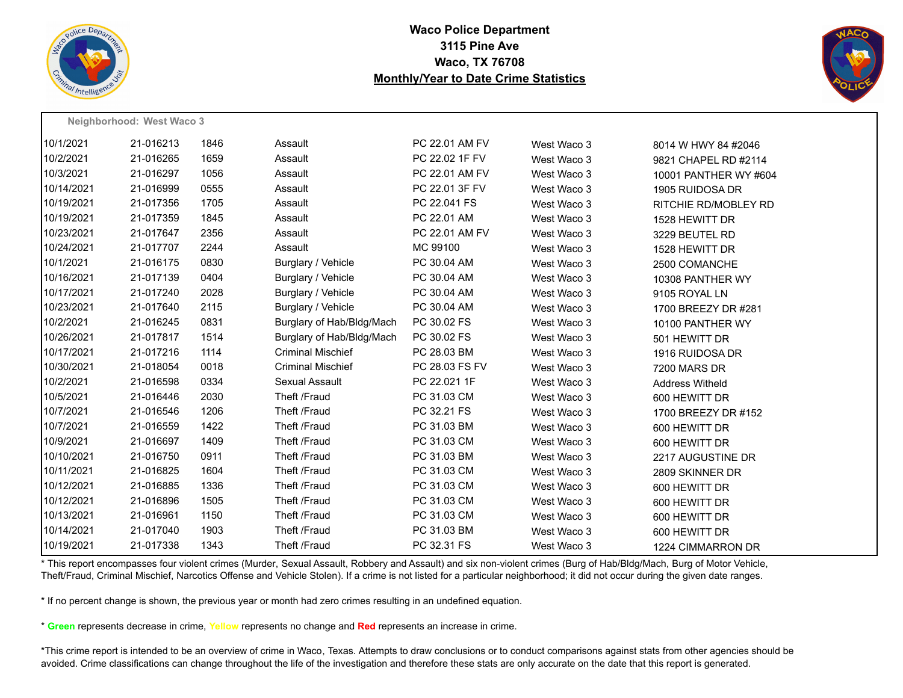![](_page_57_Picture_0.jpeg)

![](_page_57_Picture_2.jpeg)

|            | Neighborhood: West Waco 3 |      |                           |                |             |                        |
|------------|---------------------------|------|---------------------------|----------------|-------------|------------------------|
| 10/1/2021  | 21-016213                 | 1846 | Assault                   | PC 22.01 AM FV | West Waco 3 | 8014 W HWY 84 #2046    |
| 10/2/2021  | 21-016265                 | 1659 | Assault                   | PC 22.02 1F FV | West Waco 3 | 9821 CHAPEL RD #2114   |
| 10/3/2021  | 21-016297                 | 1056 | Assault                   | PC 22.01 AM FV | West Waco 3 | 10001 PANTHER WY #604  |
| 10/14/2021 | 21-016999                 | 0555 | Assault                   | PC 22.01 3F FV | West Waco 3 | 1905 RUIDOSA DR        |
| 10/19/2021 | 21-017356                 | 1705 | Assault                   | PC 22.041 FS   | West Waco 3 | RITCHIE RD/MOBLEY RD   |
| 10/19/2021 | 21-017359                 | 1845 | Assault                   | PC 22.01 AM    | West Waco 3 | 1528 HEWITT DR         |
| 10/23/2021 | 21-017647                 | 2356 | Assault                   | PC 22.01 AM FV | West Waco 3 | 3229 BEUTEL RD         |
| 10/24/2021 | 21-017707                 | 2244 | Assault                   | MC 99100       | West Waco 3 | 1528 HEWITT DR         |
| 10/1/2021  | 21-016175                 | 0830 | Burglary / Vehicle        | PC 30.04 AM    | West Waco 3 | 2500 COMANCHE          |
| 10/16/2021 | 21-017139                 | 0404 | Burglary / Vehicle        | PC 30.04 AM    | West Waco 3 | 10308 PANTHER WY       |
| 10/17/2021 | 21-017240                 | 2028 | Burglary / Vehicle        | PC 30.04 AM    | West Waco 3 | 9105 ROYAL LN          |
| 10/23/2021 | 21-017640                 | 2115 | Burglary / Vehicle        | PC 30.04 AM    | West Waco 3 | 1700 BREEZY DR #281    |
| 10/2/2021  | 21-016245                 | 0831 | Burglary of Hab/Bldg/Mach | PC 30.02 FS    | West Waco 3 | 10100 PANTHER WY       |
| 10/26/2021 | 21-017817                 | 1514 | Burglary of Hab/Bldg/Mach | PC 30.02 FS    | West Waco 3 | 501 HEWITT DR          |
| 10/17/2021 | 21-017216                 | 1114 | <b>Criminal Mischief</b>  | PC 28.03 BM    | West Waco 3 | 1916 RUIDOSA DR        |
| 10/30/2021 | 21-018054                 | 0018 | <b>Criminal Mischief</b>  | PC 28.03 FS FV | West Waco 3 | <b>7200 MARS DR</b>    |
| 10/2/2021  | 21-016598                 | 0334 | Sexual Assault            | PC 22.021 1F   | West Waco 3 | <b>Address Witheld</b> |
| 10/5/2021  | 21-016446                 | 2030 | Theft /Fraud              | PC 31.03 CM    | West Waco 3 | 600 HEWITT DR          |
| 10/7/2021  | 21-016546                 | 1206 | Theft /Fraud              | PC 32.21 FS    | West Waco 3 | 1700 BREEZY DR #152    |
| 10/7/2021  | 21-016559                 | 1422 | Theft /Fraud              | PC 31.03 BM    | West Waco 3 | 600 HEWITT DR          |
| 10/9/2021  | 21-016697                 | 1409 | Theft /Fraud              | PC 31.03 CM    | West Waco 3 | 600 HEWITT DR          |
| 10/10/2021 | 21-016750                 | 0911 | Theft /Fraud              | PC 31.03 BM    | West Waco 3 | 2217 AUGUSTINE DR      |
| 10/11/2021 | 21-016825                 | 1604 | Theft /Fraud              | PC 31.03 CM    | West Waco 3 | 2809 SKINNER DR        |
| 10/12/2021 | 21-016885                 | 1336 | Theft /Fraud              | PC 31.03 CM    | West Waco 3 | 600 HEWITT DR          |
| 10/12/2021 | 21-016896                 | 1505 | Theft /Fraud              | PC 31.03 CM    | West Waco 3 | 600 HEWITT DR          |
| 10/13/2021 | 21-016961                 | 1150 | Theft /Fraud              | PC 31.03 CM    | West Waco 3 | 600 HEWITT DR          |
| 10/14/2021 | 21-017040                 | 1903 | Theft /Fraud              | PC 31.03 BM    | West Waco 3 | 600 HEWITT DR          |
| 10/19/2021 | 21-017338                 | 1343 | Theft /Fraud              | PC 32.31 FS    | West Waco 3 | 1224 CIMMARRON DR      |

\* This report encompasses four violent crimes (Murder, Sexual Assault, Robbery and Assault) and six non-violent crimes (Burg of Hab/Bldg/Mach, Burg of Motor Vehicle, Theft/Fraud, Criminal Mischief, Narcotics Offense and Vehicle Stolen). If a crime is not listed for a particular neighborhood; it did not occur during the given date ranges.

\* If no percent change is shown, the previous year or month had zero crimes resulting in an undefined equation.

\* **Green** represents decrease in crime, **Yellow** represents no change and **Red** represents an increase in crime.